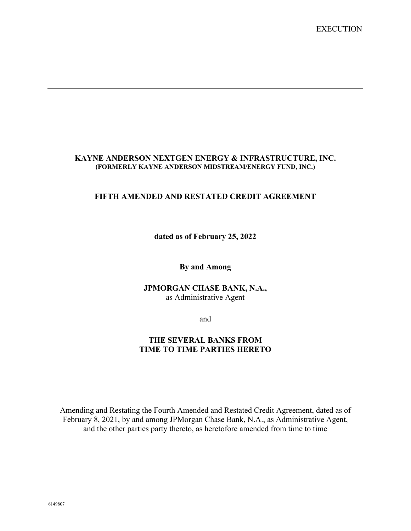**EXECUTION** 

#### **KAYNE ANDERSON NEXTGEN ENERGY & INFRASTRUCTURE, INC. (FORMERLY KAYNE ANDERSON MIDSTREAM/ENERGY FUND, INC.)**

#### **FIFTH AMENDED AND RESTATED CREDIT AGREEMENT**

**dated as of February 25, 2022**

**By and Among**

**JPMORGAN CHASE BANK, N.A.,** as Administrative Agent

and

## **THE SEVERAL BANKS FROM TIME TO TIME PARTIES HERETO**

Amending and Restating the Fourth Amended and Restated Credit Agreement, dated as of February 8, 2021, by and among JPMorgan Chase Bank, N.A., as Administrative Agent, and the other parties party thereto, as heretofore amended from time to time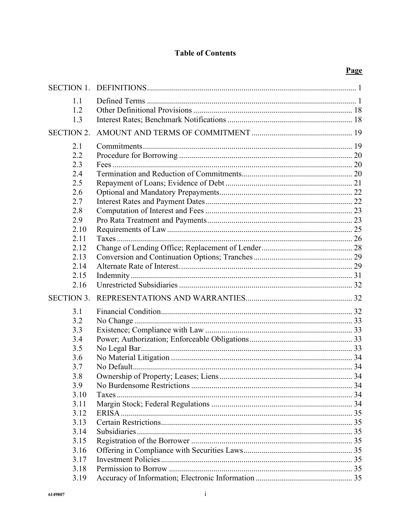# **Table of Contents**

| 1.1<br>1.2<br>1.3<br><b>SECTION 2.</b><br>2.1<br>2.2<br>2.3<br>2.4<br>2.5<br>2.6<br>2.7<br>2.8<br>2.9<br>2.10<br>2.11<br>2.12<br>2.13<br>2.14<br>2.15<br>2.16<br><b>SECTION 3.</b><br>3.1<br>3.2<br>3.3<br>3.4<br>3.5<br>3.6<br>3.7<br>3.8<br>3.9<br>3.10<br>3.11<br>3.12<br>3.13<br>3.14<br>3.15<br>3.16<br>3.17<br>3.18 |  |  |
|---------------------------------------------------------------------------------------------------------------------------------------------------------------------------------------------------------------------------------------------------------------------------------------------------------------------------|--|--|
|                                                                                                                                                                                                                                                                                                                           |  |  |
|                                                                                                                                                                                                                                                                                                                           |  |  |
|                                                                                                                                                                                                                                                                                                                           |  |  |
|                                                                                                                                                                                                                                                                                                                           |  |  |
|                                                                                                                                                                                                                                                                                                                           |  |  |
|                                                                                                                                                                                                                                                                                                                           |  |  |
|                                                                                                                                                                                                                                                                                                                           |  |  |
|                                                                                                                                                                                                                                                                                                                           |  |  |
|                                                                                                                                                                                                                                                                                                                           |  |  |
|                                                                                                                                                                                                                                                                                                                           |  |  |
|                                                                                                                                                                                                                                                                                                                           |  |  |
|                                                                                                                                                                                                                                                                                                                           |  |  |
|                                                                                                                                                                                                                                                                                                                           |  |  |
|                                                                                                                                                                                                                                                                                                                           |  |  |
|                                                                                                                                                                                                                                                                                                                           |  |  |
|                                                                                                                                                                                                                                                                                                                           |  |  |
|                                                                                                                                                                                                                                                                                                                           |  |  |
|                                                                                                                                                                                                                                                                                                                           |  |  |
|                                                                                                                                                                                                                                                                                                                           |  |  |
|                                                                                                                                                                                                                                                                                                                           |  |  |
|                                                                                                                                                                                                                                                                                                                           |  |  |
|                                                                                                                                                                                                                                                                                                                           |  |  |
|                                                                                                                                                                                                                                                                                                                           |  |  |
|                                                                                                                                                                                                                                                                                                                           |  |  |
|                                                                                                                                                                                                                                                                                                                           |  |  |
|                                                                                                                                                                                                                                                                                                                           |  |  |
|                                                                                                                                                                                                                                                                                                                           |  |  |
|                                                                                                                                                                                                                                                                                                                           |  |  |
|                                                                                                                                                                                                                                                                                                                           |  |  |
|                                                                                                                                                                                                                                                                                                                           |  |  |
|                                                                                                                                                                                                                                                                                                                           |  |  |
|                                                                                                                                                                                                                                                                                                                           |  |  |
|                                                                                                                                                                                                                                                                                                                           |  |  |
|                                                                                                                                                                                                                                                                                                                           |  |  |
|                                                                                                                                                                                                                                                                                                                           |  |  |
|                                                                                                                                                                                                                                                                                                                           |  |  |
| 3.19                                                                                                                                                                                                                                                                                                                      |  |  |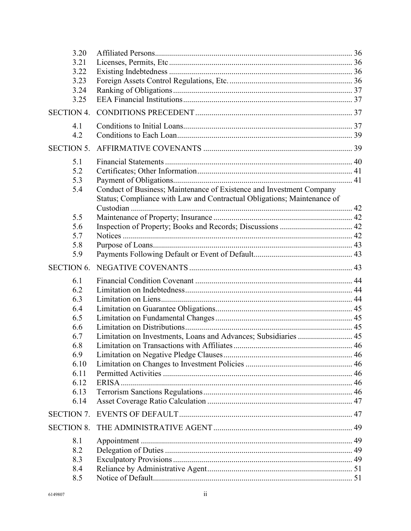| 3.20<br>3.21<br>3.22<br>3.23<br>3.24<br>3.25 |                                                                                                                                                 |  |
|----------------------------------------------|-------------------------------------------------------------------------------------------------------------------------------------------------|--|
| <b>SECTION 4.</b>                            |                                                                                                                                                 |  |
| 4.1<br>4.2                                   |                                                                                                                                                 |  |
| <b>SECTION 5.</b>                            |                                                                                                                                                 |  |
| 5.1<br>5.2<br>5.3<br>5.4                     | Conduct of Business; Maintenance of Existence and Investment Company<br>Status; Compliance with Law and Contractual Obligations; Maintenance of |  |
|                                              |                                                                                                                                                 |  |
| 5.5<br>5.6                                   |                                                                                                                                                 |  |
| 5.7                                          |                                                                                                                                                 |  |
| 5.8                                          |                                                                                                                                                 |  |
| 5.9                                          |                                                                                                                                                 |  |
| <b>SECTION 6.</b>                            |                                                                                                                                                 |  |
| 6.1                                          |                                                                                                                                                 |  |
| 6.2                                          |                                                                                                                                                 |  |
| 6.3                                          |                                                                                                                                                 |  |
| 6.4                                          |                                                                                                                                                 |  |
| 6.5<br>6.6                                   |                                                                                                                                                 |  |
| 6.7                                          | Limitation on Investments, Loans and Advances; Subsidiaries  45                                                                                 |  |
| 6.8                                          |                                                                                                                                                 |  |
| 6.9                                          |                                                                                                                                                 |  |
| 6.10                                         |                                                                                                                                                 |  |
| 6.11                                         |                                                                                                                                                 |  |
| 6.12                                         | ERISA.                                                                                                                                          |  |
| 6.13                                         |                                                                                                                                                 |  |
| 6.14                                         |                                                                                                                                                 |  |
| <b>SECTION 7.</b>                            |                                                                                                                                                 |  |
| <b>SECTION 8.</b>                            |                                                                                                                                                 |  |
| 8.1                                          |                                                                                                                                                 |  |
| 8.2                                          |                                                                                                                                                 |  |
| 8.3                                          |                                                                                                                                                 |  |
| 8.4                                          |                                                                                                                                                 |  |
| 8.5                                          |                                                                                                                                                 |  |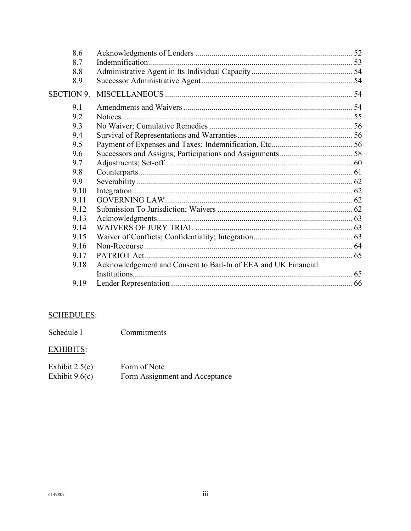| 8.6               |                                                                |  |
|-------------------|----------------------------------------------------------------|--|
| 8.7               |                                                                |  |
| 8.8               |                                                                |  |
| 8.9               |                                                                |  |
| <b>SECTION 9.</b> |                                                                |  |
| 9.1               |                                                                |  |
| 9.2               |                                                                |  |
| 9.3               |                                                                |  |
| 9.4               |                                                                |  |
| 9.5               |                                                                |  |
| 9.6               |                                                                |  |
| 9.7               |                                                                |  |
| 9.8               |                                                                |  |
| 9.9               |                                                                |  |
| 9.10              |                                                                |  |
| 9.11              |                                                                |  |
| 9.12              |                                                                |  |
| 9.13              |                                                                |  |
| 9.14              |                                                                |  |
| 9.15              |                                                                |  |
| 9.16              |                                                                |  |
| 9.17              |                                                                |  |
| 9.18              | Acknowledgement and Consent to Bail-In of EEA and UK Financial |  |
|                   |                                                                |  |
| 9.19              |                                                                |  |
|                   |                                                                |  |

# **SCHEDULES:**

Commitments Schedule I

# **EXHIBITS:**

| Exhibit $2.5(e)$ | Form of Note                   |
|------------------|--------------------------------|
| Exhibit $9.6(c)$ | Form Assignment and Acceptance |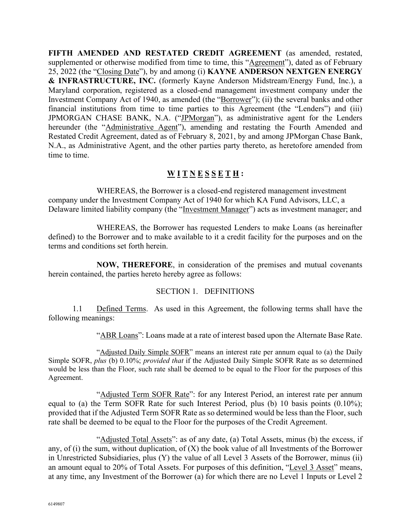**FIFTH AMENDED AND RESTATED CREDIT AGREEMENT** (as amended, restated, supplemented or otherwise modified from time to time, this "Agreement"), dated as of February 25, 2022 (the "Closing Date"), by and among (i) **KAYNE ANDERSON NEXTGEN ENERGY & INFRASTRUCTURE, INC.** (formerly Kayne Anderson Midstream/Energy Fund, Inc.), a Maryland corporation, registered as a closed-end management investment company under the Investment Company Act of 1940, as amended (the "Borrower"); (ii) the several banks and other financial institutions from time to time parties to this Agreement (the "Lenders") and (iii) JPMORGAN CHASE BANK, N.A. ("JPMorgan"), as administrative agent for the Lenders hereunder (the "Administrative Agent"), amending and restating the Fourth Amended and Restated Credit Agreement, dated as of February 8, 2021, by and among JPMorgan Chase Bank, N.A., as Administrative Agent, and the other parties party thereto, as heretofore amended from time to time.

# **W I T N E S S E T H :**

WHEREAS, the Borrower is a closed-end registered management investment company under the Investment Company Act of 1940 for which KA Fund Advisors, LLC, a Delaware limited liability company (the "Investment Manager") acts as investment manager; and

WHEREAS, the Borrower has requested Lenders to make Loans (as hereinafter defined) to the Borrower and to make available to it a credit facility for the purposes and on the terms and conditions set forth herein.

**NOW, THEREFORE**, in consideration of the premises and mutual covenants herein contained, the parties hereto hereby agree as follows:

## SECTION 1. DEFINITIONS

1.1 Defined Terms. As used in this Agreement, the following terms shall have the following meanings:

"ABR Loans": Loans made at a rate of interest based upon the Alternate Base Rate.

"Adjusted Daily Simple SOFR" means an interest rate per annum equal to (a) the Daily Simple SOFR, *plus* (b) 0.10%; *provided that* if the Adjusted Daily Simple SOFR Rate as so determined would be less than the Floor, such rate shall be deemed to be equal to the Floor for the purposes of this Agreement.

"Adjusted Term SOFR Rate": for any Interest Period, an interest rate per annum equal to (a) the Term SOFR Rate for such Interest Period, plus (b) 10 basis points (0.10%); provided that if the Adjusted Term SOFR Rate as so determined would be less than the Floor, such rate shall be deemed to be equal to the Floor for the purposes of the Credit Agreement.

"Adjusted Total Assets": as of any date, (a) Total Assets, minus (b) the excess, if any, of  $(i)$  the sum, without duplication, of  $(X)$  the book value of all Investments of the Borrower in Unrestricted Subsidiaries, plus (Y) the value of all Level 3 Assets of the Borrower, minus (ii) an amount equal to 20% of Total Assets. For purposes of this definition, "Level 3 Asset" means, at any time, any Investment of the Borrower (a) for which there are no Level 1 Inputs or Level 2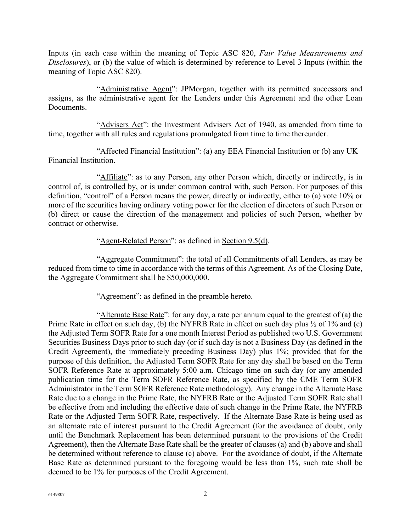Inputs (in each case within the meaning of Topic ASC 820, *Fair Value Measurements and Disclosures*), or (b) the value of which is determined by reference to Level 3 Inputs (within the meaning of Topic ASC 820).

"Administrative Agent": JPMorgan, together with its permitted successors and assigns, as the administrative agent for the Lenders under this Agreement and the other Loan Documents.

"Advisers Act": the Investment Advisers Act of 1940, as amended from time to time, together with all rules and regulations promulgated from time to time thereunder.

"Affected Financial Institution": (a) any EEA Financial Institution or (b) any UK Financial Institution.

"Affiliate": as to any Person, any other Person which, directly or indirectly, is in control of, is controlled by, or is under common control with, such Person. For purposes of this definition, "control" of a Person means the power, directly or indirectly, either to (a) vote 10% or more of the securities having ordinary voting power for the election of directors of such Person or (b) direct or cause the direction of the management and policies of such Person, whether by contract or otherwise.

"Agent-Related Person": as defined in Section 9.5(d).

"Aggregate Commitment": the total of all Commitments of all Lenders, as may be reduced from time to time in accordance with the terms of this Agreement. As of the Closing Date, the Aggregate Commitment shall be \$50,000,000.

"Agreement": as defined in the preamble hereto.

"Alternate Base Rate": for any day, a rate per annum equal to the greatest of (a) the Prime Rate in effect on such day, (b) the NYFRB Rate in effect on such day plus  $\frac{1}{2}$  of 1% and (c) the Adjusted Term SOFR Rate for a one month Interest Period as published two U.S. Government Securities Business Days prior to such day (or if such day is not a Business Day (as defined in the Credit Agreement), the immediately preceding Business Day) plus 1%; provided that for the purpose of this definition, the Adjusted Term SOFR Rate for any day shall be based on the Term SOFR Reference Rate at approximately 5:00 a.m. Chicago time on such day (or any amended publication time for the Term SOFR Reference Rate, as specified by the CME Term SOFR Administrator in the Term SOFR Reference Rate methodology). Any change in the Alternate Base Rate due to a change in the Prime Rate, the NYFRB Rate or the Adjusted Term SOFR Rate shall be effective from and including the effective date of such change in the Prime Rate, the NYFRB Rate or the Adjusted Term SOFR Rate, respectively. If the Alternate Base Rate is being used as an alternate rate of interest pursuant to the Credit Agreement (for the avoidance of doubt, only until the Benchmark Replacement has been determined pursuant to the provisions of the Credit Agreement), then the Alternate Base Rate shall be the greater of clauses (a) and (b) above and shall be determined without reference to clause (c) above. For the avoidance of doubt, if the Alternate Base Rate as determined pursuant to the foregoing would be less than 1%, such rate shall be deemed to be 1% for purposes of the Credit Agreement.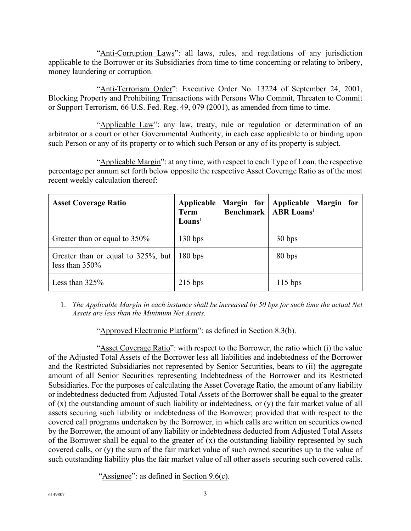"Anti-Corruption Laws": all laws, rules, and regulations of any jurisdiction applicable to the Borrower or its Subsidiaries from time to time concerning or relating to bribery, money laundering or corruption.

"Anti-Terrorism Order": Executive Order No. 13224 of September 24, 2001, Blocking Property and Prohibiting Transactions with Persons Who Commit, Threaten to Commit or Support Terrorism, 66 U.S. Fed. Reg. 49, 079 (2001), as amended from time to time.

"Applicable Law": any law, treaty, rule or regulation or determination of an arbitrator or a court or other Governmental Authority, in each case applicable to or binding upon such Person or any of its property or to which such Person or any of its property is subject.

"Applicable Margin": at any time, with respect to each Type of Loan, the respective percentage per annum set forth below opposite the respective Asset Coverage Ratio as of the most recent weekly calculation thereof:

| <b>Asset Coverage Ratio</b>                             | <b>Term</b><br>$\mathbf{Loans}^1$ | Applicable Margin for Applicable Margin for<br><b>Benchmark   ABR Loans<sup>1</sup></b> |
|---------------------------------------------------------|-----------------------------------|-----------------------------------------------------------------------------------------|
| Greater than or equal to 350%                           | 130 bps                           | 30 bps                                                                                  |
| Greater than or equal to 325%, but<br>less than $350\%$ | 180 bps                           | 80 bps                                                                                  |
| Less than $325%$                                        | $215$ bps                         | $115$ bps                                                                               |

1. *The Applicable Margin in each instance shall be increased by 50 bps for such time the actual Net Assets are less than the Minimum Net Assets.*

"Approved Electronic Platform": as defined in Section 8.3(b).

"Asset Coverage Ratio": with respect to the Borrower, the ratio which (i) the value of the Adjusted Total Assets of the Borrower less all liabilities and indebtedness of the Borrower and the Restricted Subsidiaries not represented by Senior Securities, bears to (ii) the aggregate amount of all Senior Securities representing Indebtedness of the Borrower and its Restricted Subsidiaries. For the purposes of calculating the Asset Coverage Ratio, the amount of any liability or indebtedness deducted from Adjusted Total Assets of the Borrower shall be equal to the greater of (x) the outstanding amount of such liability or indebtedness, or (y) the fair market value of all assets securing such liability or indebtedness of the Borrower; provided that with respect to the covered call programs undertaken by the Borrower, in which calls are written on securities owned by the Borrower, the amount of any liability or indebtedness deducted from Adjusted Total Assets of the Borrower shall be equal to the greater of  $(x)$  the outstanding liability represented by such covered calls, or (y) the sum of the fair market value of such owned securities up to the value of such outstanding liability plus the fair market value of all other assets securing such covered calls.

"Assignee": as defined in Section 9.6(c).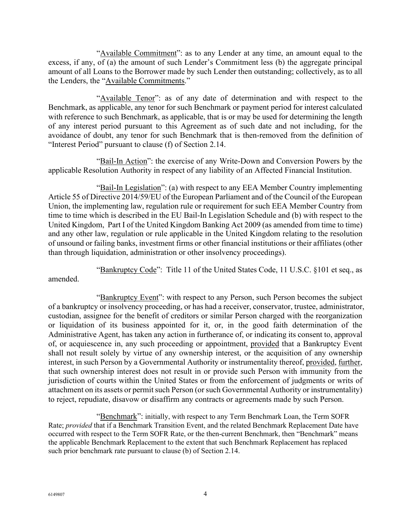"Available Commitment": as to any Lender at any time, an amount equal to the excess, if any, of (a) the amount of such Lender's Commitment less (b) the aggregate principal amount of all Loans to the Borrower made by such Lender then outstanding; collectively, as to all the Lenders, the "Available Commitments."

"Available Tenor": as of any date of determination and with respect to the Benchmark, as applicable, any tenor for such Benchmark or payment period for interest calculated with reference to such Benchmark, as applicable, that is or may be used for determining the length of any interest period pursuant to this Agreement as of such date and not including, for the avoidance of doubt, any tenor for such Benchmark that is then-removed from the definition of "Interest Period" pursuant to clause (f) of Section 2.14.

"Bail-In Action": the exercise of any Write-Down and Conversion Powers by the applicable Resolution Authority in respect of any liability of an Affected Financial Institution.

"Bail-In Legislation": (a) with respect to any EEA Member Country implementing Article 55 of Directive 2014/59/EU of the European Parliament and of the Council of the European Union, the implementing law, regulation rule or requirement for such EEA Member Country from time to time which is described in the EU Bail-In Legislation Schedule and (b) with respect to the United Kingdom, Part I of the United Kingdom Banking Act 2009 (as amended from time to time) and any other law, regulation or rule applicable in the United Kingdom relating to the resolution of unsound or failing banks, investment firms or other financial institutions or their affiliates (other than through liquidation, administration or other insolvency proceedings).

"Bankruptcy Code": Title 11 of the United States Code, 11 U.S.C. §101 et seq., as amended.

"Bankruptcy Event": with respect to any Person, such Person becomes the subject of a bankruptcy or insolvency proceeding, or has had a receiver, conservator, trustee, administrator, custodian, assignee for the benefit of creditors or similar Person charged with the reorganization or liquidation of its business appointed for it, or, in the good faith determination of the Administrative Agent, has taken any action in furtherance of, or indicating its consent to, approval of, or acquiescence in, any such proceeding or appointment, provided that a Bankruptcy Event shall not result solely by virtue of any ownership interest, or the acquisition of any ownership interest, in such Person by a Governmental Authority or instrumentality thereof, provided, further, that such ownership interest does not result in or provide such Person with immunity from the jurisdiction of courts within the United States or from the enforcement of judgments or writs of attachment on its assets or permit such Person (or such Governmental Authority or instrumentality) to reject, repudiate, disavow or disaffirm any contracts or agreements made by such Person.

"Benchmark": initially, with respect to any Term Benchmark Loan, the Term SOFR Rate; *provided* that if a Benchmark Transition Event, and the related Benchmark Replacement Date have occurred with respect to the Term SOFR Rate, or the then-current Benchmark, then "Benchmark" means the applicable Benchmark Replacement to the extent that such Benchmark Replacement has replaced such prior benchmark rate pursuant to clause (b) of Section 2.14.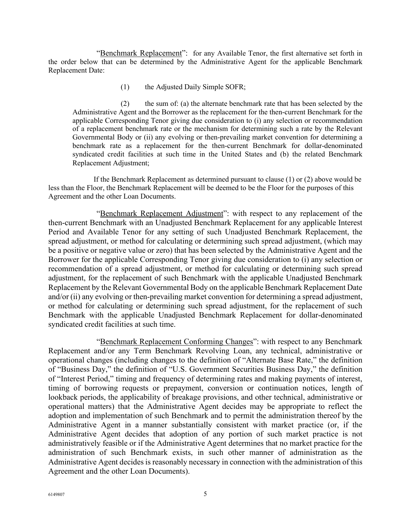"Benchmark Replacement": for any Available Tenor, the first alternative set forth in the order below that can be determined by the Administrative Agent for the applicable Benchmark Replacement Date:

(1) the Adjusted Daily Simple SOFR;

(2) the sum of: (a) the alternate benchmark rate that has been selected by the Administrative Agent and the Borrower as the replacement for the then-current Benchmark for the applicable Corresponding Tenor giving due consideration to (i) any selection or recommendation of a replacement benchmark rate or the mechanism for determining such a rate by the Relevant Governmental Body or (ii) any evolving or then-prevailing market convention for determining a benchmark rate as a replacement for the then-current Benchmark for dollar-denominated syndicated credit facilities at such time in the United States and (b) the related Benchmark Replacement Adjustment;

If the Benchmark Replacement as determined pursuant to clause (1) or (2) above would be less than the Floor, the Benchmark Replacement will be deemed to be the Floor for the purposes of this Agreement and the other Loan Documents.

"Benchmark Replacement Adjustment": with respect to any replacement of the then-current Benchmark with an Unadjusted Benchmark Replacement for any applicable Interest Period and Available Tenor for any setting of such Unadjusted Benchmark Replacement, the spread adjustment, or method for calculating or determining such spread adjustment, (which may be a positive or negative value or zero) that has been selected by the Administrative Agent and the Borrower for the applicable Corresponding Tenor giving due consideration to (i) any selection or recommendation of a spread adjustment, or method for calculating or determining such spread adjustment, for the replacement of such Benchmark with the applicable Unadjusted Benchmark Replacement by the Relevant Governmental Body on the applicable Benchmark Replacement Date and/or (ii) any evolving or then-prevailing market convention for determining a spread adjustment, or method for calculating or determining such spread adjustment, for the replacement of such Benchmark with the applicable Unadjusted Benchmark Replacement for dollar-denominated syndicated credit facilities at such time.

"Benchmark Replacement Conforming Changes": with respect to any Benchmark Replacement and/or any Term Benchmark Revolving Loan, any technical, administrative or operational changes (including changes to the definition of "Alternate Base Rate," the definition of "Business Day," the definition of "U.S. Government Securities Business Day," the definition of "Interest Period," timing and frequency of determining rates and making payments of interest, timing of borrowing requests or prepayment, conversion or continuation notices, length of lookback periods, the applicability of breakage provisions, and other technical, administrative or operational matters) that the Administrative Agent decides may be appropriate to reflect the adoption and implementation of such Benchmark and to permit the administration thereof by the Administrative Agent in a manner substantially consistent with market practice (or, if the Administrative Agent decides that adoption of any portion of such market practice is not administratively feasible or if the Administrative Agent determines that no market practice for the administration of such Benchmark exists, in such other manner of administration as the Administrative Agent decides is reasonably necessary in connection with the administration of this Agreement and the other Loan Documents).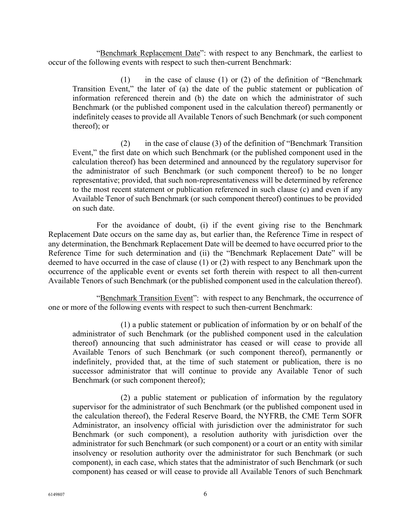"Benchmark Replacement Date": with respect to any Benchmark, the earliest to occur of the following events with respect to such then-current Benchmark:

(1) in the case of clause (1) or (2) of the definition of "Benchmark Transition Event," the later of (a) the date of the public statement or publication of information referenced therein and (b) the date on which the administrator of such Benchmark (or the published component used in the calculation thereof) permanently or indefinitely ceases to provide all Available Tenors of such Benchmark (or such component thereof); or

(2) in the case of clause (3) of the definition of "Benchmark Transition Event," the first date on which such Benchmark (or the published component used in the calculation thereof) has been determined and announced by the regulatory supervisor for the administrator of such Benchmark (or such component thereof) to be no longer representative; provided, that such non-representativeness will be determined by reference to the most recent statement or publication referenced in such clause (c) and even if any Available Tenor of such Benchmark (or such component thereof) continues to be provided on such date.

For the avoidance of doubt, (i) if the event giving rise to the Benchmark Replacement Date occurs on the same day as, but earlier than, the Reference Time in respect of any determination, the Benchmark Replacement Date will be deemed to have occurred prior to the Reference Time for such determination and (ii) the "Benchmark Replacement Date" will be deemed to have occurred in the case of clause (1) or (2) with respect to any Benchmark upon the occurrence of the applicable event or events set forth therein with respect to all then-current Available Tenors of such Benchmark (or the published component used in the calculation thereof).

"Benchmark Transition Event": with respect to any Benchmark, the occurrence of one or more of the following events with respect to such then-current Benchmark:

(1) a public statement or publication of information by or on behalf of the administrator of such Benchmark (or the published component used in the calculation thereof) announcing that such administrator has ceased or will cease to provide all Available Tenors of such Benchmark (or such component thereof), permanently or indefinitely, provided that, at the time of such statement or publication, there is no successor administrator that will continue to provide any Available Tenor of such Benchmark (or such component thereof);

(2) a public statement or publication of information by the regulatory supervisor for the administrator of such Benchmark (or the published component used in the calculation thereof), the Federal Reserve Board, the NYFRB, the CME Term SOFR Administrator, an insolvency official with jurisdiction over the administrator for such Benchmark (or such component), a resolution authority with jurisdiction over the administrator for such Benchmark (or such component) or a court or an entity with similar insolvency or resolution authority over the administrator for such Benchmark (or such component), in each case, which states that the administrator of such Benchmark (or such component) has ceased or will cease to provide all Available Tenors of such Benchmark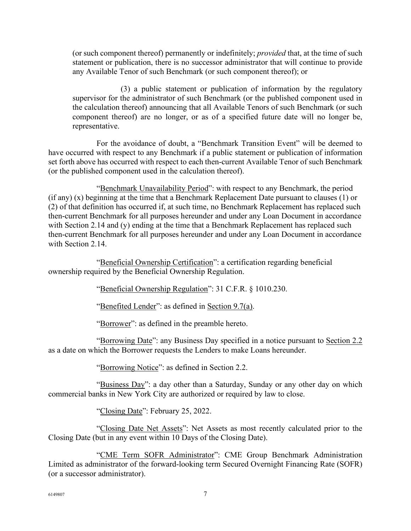(or such component thereof) permanently or indefinitely; *provided* that, at the time of such statement or publication, there is no successor administrator that will continue to provide any Available Tenor of such Benchmark (or such component thereof); or

(3) a public statement or publication of information by the regulatory supervisor for the administrator of such Benchmark (or the published component used in the calculation thereof) announcing that all Available Tenors of such Benchmark (or such component thereof) are no longer, or as of a specified future date will no longer be, representative.

For the avoidance of doubt, a "Benchmark Transition Event" will be deemed to have occurred with respect to any Benchmark if a public statement or publication of information set forth above has occurred with respect to each then-current Available Tenor of such Benchmark (or the published component used in the calculation thereof).

"Benchmark Unavailability Period": with respect to any Benchmark, the period (if any) (x) beginning at the time that a Benchmark Replacement Date pursuant to clauses (1) or (2) of that definition has occurred if, at such time, no Benchmark Replacement has replaced such then-current Benchmark for all purposes hereunder and under any Loan Document in accordance with Section 2.14 and (y) ending at the time that a Benchmark Replacement has replaced such then-current Benchmark for all purposes hereunder and under any Loan Document in accordance with Section 2.14.

"Beneficial Ownership Certification": a certification regarding beneficial ownership required by the Beneficial Ownership Regulation.

"Beneficial Ownership Regulation": 31 C.F.R. § 1010.230.

"Benefited Lender": as defined in Section 9.7(a).

"Borrower": as defined in the preamble hereto.

"Borrowing Date": any Business Day specified in a notice pursuant to Section 2.2 as a date on which the Borrower requests the Lenders to make Loans hereunder.

"Borrowing Notice": as defined in Section 2.2.

"Business Day": a day other than a Saturday, Sunday or any other day on which commercial banks in New York City are authorized or required by law to close.

"Closing Date": February 25, 2022.

"Closing Date Net Assets": Net Assets as most recently calculated prior to the Closing Date (but in any event within 10 Days of the Closing Date).

"CME Term SOFR Administrator": CME Group Benchmark Administration Limited as administrator of the forward-looking term Secured Overnight Financing Rate (SOFR) (or a successor administrator).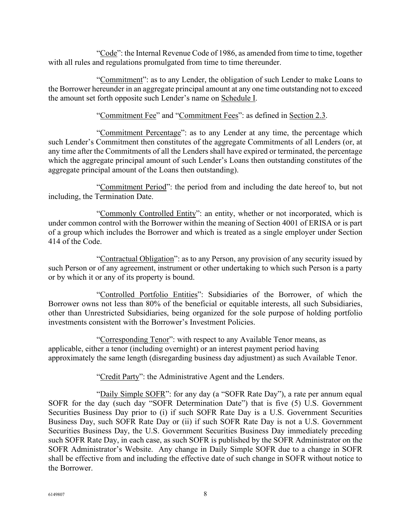"Code": the Internal Revenue Code of 1986, as amended from time to time, together with all rules and regulations promulgated from time to time thereunder.

"Commitment": as to any Lender, the obligation of such Lender to make Loans to the Borrower hereunder in an aggregate principal amount at any one time outstanding not to exceed the amount set forth opposite such Lender's name on Schedule I.

"Commitment Fee" and "Commitment Fees": as defined in Section 2.3.

"Commitment Percentage": as to any Lender at any time, the percentage which such Lender's Commitment then constitutes of the aggregate Commitments of all Lenders (or, at any time after the Commitments of all the Lenders shall have expired or terminated, the percentage which the aggregate principal amount of such Lender's Loans then outstanding constitutes of the aggregate principal amount of the Loans then outstanding).

"Commitment Period": the period from and including the date hereof to, but not including, the Termination Date.

"Commonly Controlled Entity": an entity, whether or not incorporated, which is under common control with the Borrower within the meaning of Section 4001 of ERISA or is part of a group which includes the Borrower and which is treated as a single employer under Section 414 of the Code.

"Contractual Obligation": as to any Person, any provision of any security issued by such Person or of any agreement, instrument or other undertaking to which such Person is a party or by which it or any of its property is bound.

"Controlled Portfolio Entities": Subsidiaries of the Borrower, of which the Borrower owns not less than 80% of the beneficial or equitable interests, all such Subsidiaries, other than Unrestricted Subsidiaries, being organized for the sole purpose of holding portfolio investments consistent with the Borrower's Investment Policies.

"Corresponding Tenor": with respect to any Available Tenor means, as applicable, either a tenor (including overnight) or an interest payment period having approximately the same length (disregarding business day adjustment) as such Available Tenor.

"Credit Party": the Administrative Agent and the Lenders.

"Daily Simple SOFR": for any day (a "SOFR Rate Day"), a rate per annum equal SOFR for the day (such day "SOFR Determination Date") that is five (5) U.S. Government Securities Business Day prior to (i) if such SOFR Rate Day is a U.S. Government Securities Business Day, such SOFR Rate Day or (ii) if such SOFR Rate Day is not a U.S. Government Securities Business Day, the U.S. Government Securities Business Day immediately preceding such SOFR Rate Day, in each case, as such SOFR is published by the SOFR Administrator on the SOFR Administrator's Website. Any change in Daily Simple SOFR due to a change in SOFR shall be effective from and including the effective date of such change in SOFR without notice to the Borrower.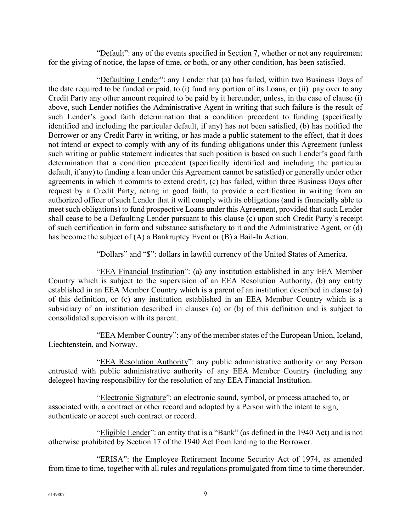"Default": any of the events specified in Section 7, whether or not any requirement for the giving of notice, the lapse of time, or both, or any other condition, has been satisfied.

"Defaulting Lender": any Lender that (a) has failed, within two Business Days of the date required to be funded or paid, to (i) fund any portion of its Loans, or (ii) pay over to any Credit Party any other amount required to be paid by it hereunder, unless, in the case of clause (i) above, such Lender notifies the Administrative Agent in writing that such failure is the result of such Lender's good faith determination that a condition precedent to funding (specifically identified and including the particular default, if any) has not been satisfied, (b) has notified the Borrower or any Credit Party in writing, or has made a public statement to the effect, that it does not intend or expect to comply with any of its funding obligations under this Agreement (unless such writing or public statement indicates that such position is based on such Lender's good faith determination that a condition precedent (specifically identified and including the particular default, if any) to funding a loan under this Agreement cannot be satisfied) or generally under other agreements in which it commits to extend credit, (c) has failed, within three Business Days after request by a Credit Party, acting in good faith, to provide a certification in writing from an authorized officer of such Lender that it will comply with its obligations (and is financially able to meet such obligations) to fund prospective Loans under this Agreement, provided that such Lender shall cease to be a Defaulting Lender pursuant to this clause (c) upon such Credit Party's receipt of such certification in form and substance satisfactory to it and the Administrative Agent, or (d) has become the subject of (A) a Bankruptcy Event or (B) a Bail-In Action.

"Dollars" and "\$": dollars in lawful currency of the United States of America.

"EEA Financial Institution": (a) any institution established in any EEA Member Country which is subject to the supervision of an EEA Resolution Authority, (b) any entity established in an EEA Member Country which is a parent of an institution described in clause (a) of this definition, or (c) any institution established in an EEA Member Country which is a subsidiary of an institution described in clauses (a) or (b) of this definition and is subject to consolidated supervision with its parent.

"EEA Member Country": any of the member states of the European Union, Iceland, Liechtenstein, and Norway.

"EEA Resolution Authority": any public administrative authority or any Person entrusted with public administrative authority of any EEA Member Country (including any delegee) having responsibility for the resolution of any EEA Financial Institution.

"Electronic Signature": an electronic sound, symbol, or process attached to, or associated with, a contract or other record and adopted by a Person with the intent to sign, authenticate or accept such contract or record.

"Eligible Lender": an entity that is a "Bank" (as defined in the 1940 Act) and is not otherwise prohibited by Section 17 of the 1940 Act from lending to the Borrower.

"ERISA": the Employee Retirement Income Security Act of 1974, as amended from time to time, together with all rules and regulations promulgated from time to time thereunder.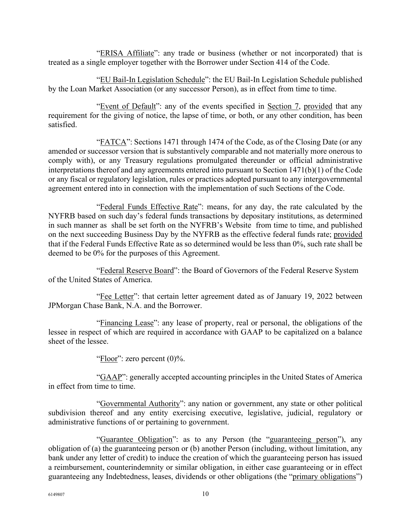"ERISA Affiliate": any trade or business (whether or not incorporated) that is treated as a single employer together with the Borrower under Section 414 of the Code.

"EU Bail-In Legislation Schedule": the EU Bail-In Legislation Schedule published by the Loan Market Association (or any successor Person), as in effect from time to time.

"Event of Default": any of the events specified in Section 7, provided that any requirement for the giving of notice, the lapse of time, or both, or any other condition, has been satisfied.

"FATCA": Sections 1471 through 1474 of the Code, as of the Closing Date (or any amended or successor version that is substantively comparable and not materially more onerous to comply with), or any Treasury regulations promulgated thereunder or official administrative interpretations thereof and any agreements entered into pursuant to Section 1471(b)(1) of the Code or any fiscal or regulatory legislation, rules or practices adopted pursuant to any intergovernmental agreement entered into in connection with the implementation of such Sections of the Code.

"Federal Funds Effective Rate": means, for any day, the rate calculated by the NYFRB based on such day's federal funds transactions by depositary institutions, as determined in such manner as shall be set forth on the NYFRB's Website from time to time, and published on the next succeeding Business Day by the NYFRB as the effective federal funds rate; provided that if the Federal Funds Effective Rate as so determined would be less than 0%, such rate shall be deemed to be 0% for the purposes of this Agreement.

"Federal Reserve Board": the Board of Governors of the Federal Reserve System of the United States of America.

"Fee Letter": that certain letter agreement dated as of January 19, 2022 between JPMorgan Chase Bank, N.A. and the Borrower.

"Financing Lease": any lease of property, real or personal, the obligations of the lessee in respect of which are required in accordance with GAAP to be capitalized on a balance sheet of the lessee.

"Floor": zero percent  $(0)$ %.

"GAAP": generally accepted accounting principles in the United States of America in effect from time to time.

"Governmental Authority": any nation or government, any state or other political subdivision thereof and any entity exercising executive, legislative, judicial, regulatory or administrative functions of or pertaining to government.

"Guarantee Obligation": as to any Person (the "guaranteeing person"), any obligation of (a) the guaranteeing person or (b) another Person (including, without limitation, any bank under any letter of credit) to induce the creation of which the guaranteeing person has issued a reimbursement, counterindemnity or similar obligation, in either case guaranteeing or in effect guaranteeing any Indebtedness, leases, dividends or other obligations (the "primary obligations")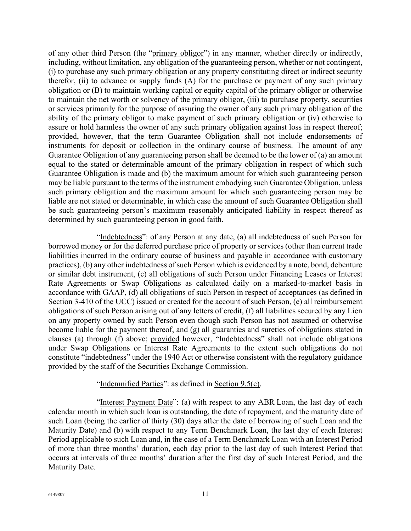of any other third Person (the "primary obligor") in any manner, whether directly or indirectly, including, without limitation, any obligation of the guaranteeing person, whether or not contingent, (i) to purchase any such primary obligation or any property constituting direct or indirect security therefor, (ii) to advance or supply funds (A) for the purchase or payment of any such primary obligation or (B) to maintain working capital or equity capital of the primary obligor or otherwise to maintain the net worth or solvency of the primary obligor, (iii) to purchase property, securities or services primarily for the purpose of assuring the owner of any such primary obligation of the ability of the primary obligor to make payment of such primary obligation or (iv) otherwise to assure or hold harmless the owner of any such primary obligation against loss in respect thereof; provided, however, that the term Guarantee Obligation shall not include endorsements of instruments for deposit or collection in the ordinary course of business. The amount of any Guarantee Obligation of any guaranteeing person shall be deemed to be the lower of (a) an amount equal to the stated or determinable amount of the primary obligation in respect of which such Guarantee Obligation is made and (b) the maximum amount for which such guaranteeing person may be liable pursuant to the terms of the instrument embodying such Guarantee Obligation, unless such primary obligation and the maximum amount for which such guaranteeing person may be liable are not stated or determinable, in which case the amount of such Guarantee Obligation shall be such guaranteeing person's maximum reasonably anticipated liability in respect thereof as determined by such guaranteeing person in good faith.

"Indebtedness": of any Person at any date, (a) all indebtedness of such Person for borrowed money or for the deferred purchase price of property or services (other than current trade liabilities incurred in the ordinary course of business and payable in accordance with customary practices), (b) any other indebtedness of such Person which is evidenced by a note, bond, debenture or similar debt instrument, (c) all obligations of such Person under Financing Leases or Interest Rate Agreements or Swap Obligations as calculated daily on a marked-to-market basis in accordance with GAAP, (d) all obligations of such Person in respect of acceptances (as defined in Section 3-410 of the UCC) issued or created for the account of such Person, (e) all reimbursement obligations of such Person arising out of any letters of credit, (f) all liabilities secured by any Lien on any property owned by such Person even though such Person has not assumed or otherwise become liable for the payment thereof, and (g) all guaranties and sureties of obligations stated in clauses (a) through (f) above; provided however, "Indebtedness" shall not include obligations under Swap Obligations or Interest Rate Agreements to the extent such obligations do not constitute "indebtedness" under the 1940 Act or otherwise consistent with the regulatory guidance provided by the staff of the Securities Exchange Commission.

## "Indemnified Parties": as defined in Section 9.5(c).

"Interest Payment Date": (a) with respect to any ABR Loan, the last day of each calendar month in which such loan is outstanding, the date of repayment, and the maturity date of such Loan (being the earlier of thirty (30) days after the date of borrowing of such Loan and the Maturity Date) and (b) with respect to any Term Benchmark Loan, the last day of each Interest Period applicable to such Loan and, in the case of a Term Benchmark Loan with an Interest Period of more than three months' duration, each day prior to the last day of such Interest Period that occurs at intervals of three months' duration after the first day of such Interest Period, and the Maturity Date.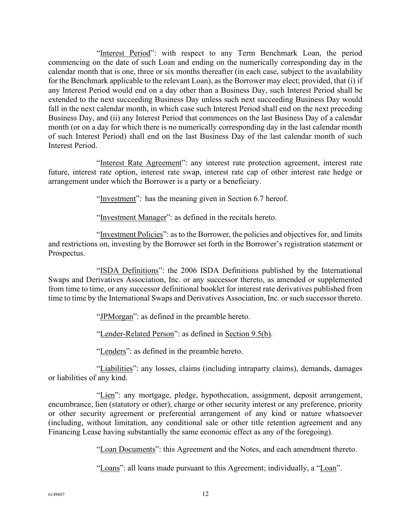"Interest Period": with respect to any Term Benchmark Loan, the period commencing on the date of such Loan and ending on the numerically corresponding day in the calendar month that is one, three or six months thereafter (in each case, subject to the availability for the Benchmark applicable to the relevant Loan), as the Borrower may elect; provided, that (i) if any Interest Period would end on a day other than a Business Day, such Interest Period shall be extended to the next succeeding Business Day unless such next succeeding Business Day would fall in the next calendar month, in which case such Interest Period shall end on the next preceding Business Day, and (ii) any Interest Period that commences on the last Business Day of a calendar month (or on a day for which there is no numerically corresponding day in the last calendar month of such Interest Period) shall end on the last Business Day of the last calendar month of such Interest Period.

"Interest Rate Agreement": any interest rate protection agreement, interest rate future, interest rate option, interest rate swap, interest rate cap of other interest rate hedge or arrangement under which the Borrower is a party or a beneficiary.

"Investment": has the meaning given in Section 6.7 hereof.

"Investment Manager": as defined in the recitals hereto.

"Investment Policies": as to the Borrower, the policies and objectives for, and limits and restrictions on, investing by the Borrower set forth in the Borrower's registration statement or Prospectus.

"ISDA Definitions": the 2006 ISDA Definitions published by the International Swaps and Derivatives Association, Inc. or any successor thereto, as amended or supplemented from time to time, or any successor definitional booklet for interest rate derivatives published from time to time by the International Swaps and Derivatives Association, Inc. or such successor thereto.

"JPMorgan": as defined in the preamble hereto.

"Lender-Related Person": as defined in Section 9.5(b).

"Lenders": as defined in the preamble hereto.

"Liabilities": any losses, claims (including intraparty claims), demands, damages or liabilities of any kind.

"Lien": any mortgage, pledge, hypothecation, assignment, deposit arrangement, encumbrance, lien (statutory or other), charge or other security interest or any preference, priority or other security agreement or preferential arrangement of any kind or nature whatsoever (including, without limitation, any conditional sale or other title retention agreement and any Financing Lease having substantially the same economic effect as any of the foregoing).

"Loan Documents": this Agreement and the Notes, and each amendment thereto.

"Loans": all loans made pursuant to this Agreement; individually, a "Loan".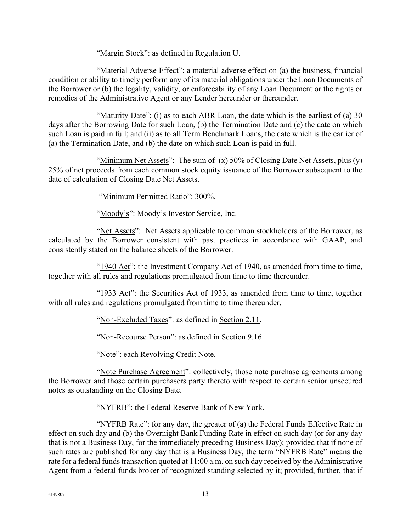"Margin Stock": as defined in Regulation U.

"Material Adverse Effect": a material adverse effect on (a) the business, financial condition or ability to timely perform any of its material obligations under the Loan Documents of the Borrower or (b) the legality, validity, or enforceability of any Loan Document or the rights or remedies of the Administrative Agent or any Lender hereunder or thereunder.

"Maturity Date": (i) as to each ABR Loan, the date which is the earliest of (a) 30 days after the Borrowing Date for such Loan, (b) the Termination Date and (c) the date on which such Loan is paid in full; and (ii) as to all Term Benchmark Loans, the date which is the earlier of (a) the Termination Date, and (b) the date on which such Loan is paid in full.

"Minimum Net Assets": The sum of  $(x)$  50% of Closing Date Net Assets, plus  $(y)$ 25% of net proceeds from each common stock equity issuance of the Borrower subsequent to the date of calculation of Closing Date Net Assets.

"Minimum Permitted Ratio": 300%.

"Moody's": Moody's Investor Service, Inc.

"Net Assets": Net Assets applicable to common stockholders of the Borrower, as calculated by the Borrower consistent with past practices in accordance with GAAP, and consistently stated on the balance sheets of the Borrower.

"1940 Act": the Investment Company Act of 1940, as amended from time to time, together with all rules and regulations promulgated from time to time thereunder.

"1933 Act": the Securities Act of 1933, as amended from time to time, together with all rules and regulations promulgated from time to time thereunder.

"Non-Excluded Taxes": as defined in Section 2.11.

"Non-Recourse Person": as defined in Section 9.16.

"Note": each Revolving Credit Note.

"Note Purchase Agreement": collectively, those note purchase agreements among the Borrower and those certain purchasers party thereto with respect to certain senior unsecured notes as outstanding on the Closing Date.

"NYFRB": the Federal Reserve Bank of New York.

"NYFRB Rate": for any day, the greater of (a) the Federal Funds Effective Rate in effect on such day and (b) the Overnight Bank Funding Rate in effect on such day (or for any day that is not a Business Day, for the immediately preceding Business Day); provided that if none of such rates are published for any day that is a Business Day, the term "NYFRB Rate" means the rate for a federal funds transaction quoted at 11:00 a.m. on such day received by the Administrative Agent from a federal funds broker of recognized standing selected by it; provided, further, that if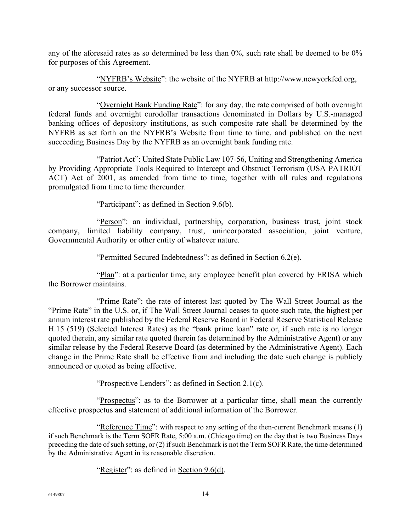any of the aforesaid rates as so determined be less than  $0\%$ , such rate shall be deemed to be  $0\%$ for purposes of this Agreement.

"NYFRB's Website": the website of the NYFRB at http://www.newyorkfed.org, or any successor source.

"Overnight Bank Funding Rate": for any day, the rate comprised of both overnight federal funds and overnight eurodollar transactions denominated in Dollars by U.S.-managed banking offices of depository institutions, as such composite rate shall be determined by the NYFRB as set forth on the NYFRB's Website from time to time, and published on the next succeeding Business Day by the NYFRB as an overnight bank funding rate.

"Patriot Act": United State Public Law 107-56, Uniting and Strengthening America by Providing Appropriate Tools Required to Intercept and Obstruct Terrorism (USA PATRIOT ACT) Act of 2001, as amended from time to time, together with all rules and regulations promulgated from time to time thereunder.

#### "Participant": as defined in Section 9.6(b).

"Person": an individual, partnership, corporation, business trust, joint stock company, limited liability company, trust, unincorporated association, joint venture, Governmental Authority or other entity of whatever nature.

#### "Permitted Secured Indebtedness": as defined in Section 6.2(e).

"Plan": at a particular time, any employee benefit plan covered by ERISA which the Borrower maintains.

"Prime Rate": the rate of interest last quoted by The Wall Street Journal as the "Prime Rate" in the U.S. or, if The Wall Street Journal ceases to quote such rate, the highest per annum interest rate published by the Federal Reserve Board in Federal Reserve Statistical Release H.15 (519) (Selected Interest Rates) as the "bank prime loan" rate or, if such rate is no longer quoted therein, any similar rate quoted therein (as determined by the Administrative Agent) or any similar release by the Federal Reserve Board (as determined by the Administrative Agent). Each change in the Prime Rate shall be effective from and including the date such change is publicly announced or quoted as being effective.

"Prospective Lenders": as defined in Section 2.1(c).

"Prospectus": as to the Borrower at a particular time, shall mean the currently effective prospectus and statement of additional information of the Borrower.

"Reference Time": with respect to any setting of the then-current Benchmark means (1) if such Benchmark is the Term SOFR Rate, 5:00 a.m. (Chicago time) on the day that is two Business Days preceding the date of such setting, or (2) if such Benchmark is not the Term SOFR Rate, the time determined by the Administrative Agent in its reasonable discretion.

"Register": as defined in Section 9.6(d).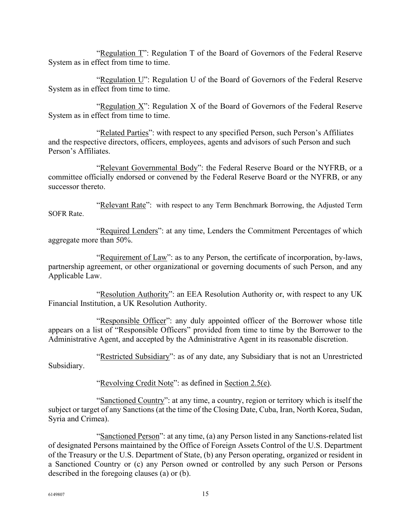"Regulation T": Regulation T of the Board of Governors of the Federal Reserve System as in effect from time to time.

"Regulation U": Regulation U of the Board of Governors of the Federal Reserve System as in effect from time to time.

"Regulation X": Regulation X of the Board of Governors of the Federal Reserve System as in effect from time to time.

"Related Parties": with respect to any specified Person, such Person's Affiliates and the respective directors, officers, employees, agents and advisors of such Person and such Person's Affiliates.

"Relevant Governmental Body": the Federal Reserve Board or the NYFRB, or a committee officially endorsed or convened by the Federal Reserve Board or the NYFRB, or any successor thereto.

"Relevant Rate": with respect to any Term Benchmark Borrowing, the Adjusted Term SOFR Rate.

"Required Lenders": at any time, Lenders the Commitment Percentages of which aggregate more than 50%.

"Requirement of Law": as to any Person, the certificate of incorporation, by-laws, partnership agreement, or other organizational or governing documents of such Person, and any Applicable Law.

"Resolution Authority": an EEA Resolution Authority or, with respect to any UK Financial Institution, a UK Resolution Authority.

"Responsible Officer": any duly appointed officer of the Borrower whose title appears on a list of "Responsible Officers" provided from time to time by the Borrower to the Administrative Agent, and accepted by the Administrative Agent in its reasonable discretion.

"Restricted Subsidiary": as of any date, any Subsidiary that is not an Unrestricted Subsidiary.

"Revolving Credit Note": as defined in Section 2.5(e).

"Sanctioned Country": at any time, a country, region or territory which is itself the subject or target of any Sanctions (at the time of the Closing Date, Cuba, Iran, North Korea, Sudan, Syria and Crimea).

"Sanctioned Person": at any time, (a) any Person listed in any Sanctions-related list of designated Persons maintained by the Office of Foreign Assets Control of the U.S. Department of the Treasury or the U.S. Department of State, (b) any Person operating, organized or resident in a Sanctioned Country or (c) any Person owned or controlled by any such Person or Persons described in the foregoing clauses (a) or (b).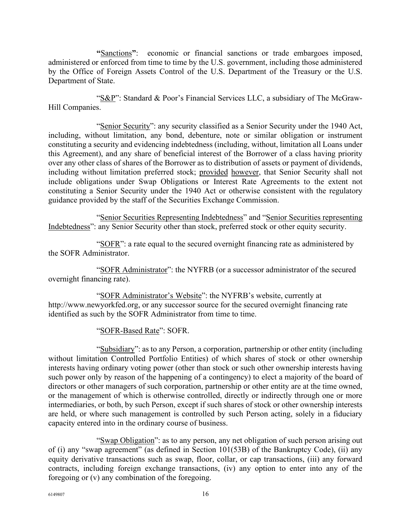**"**Sanctions**"**: economic or financial sanctions or trade embargoes imposed, administered or enforced from time to time by the U.S. government, including those administered by the Office of Foreign Assets Control of the U.S. Department of the Treasury or the U.S. Department of State.

"S&P": Standard & Poor's Financial Services LLC, a subsidiary of The McGraw-Hill Companies.

"Senior Security": any security classified as a Senior Security under the 1940 Act, including, without limitation, any bond, debenture, note or similar obligation or instrument constituting a security and evidencing indebtedness (including, without, limitation all Loans under this Agreement), and any share of beneficial interest of the Borrower of a class having priority over any other class of shares of the Borrower as to distribution of assets or payment of dividends, including without limitation preferred stock; provided however, that Senior Security shall not include obligations under Swap Obligations or Interest Rate Agreements to the extent not constituting a Senior Security under the 1940 Act or otherwise consistent with the regulatory guidance provided by the staff of the Securities Exchange Commission.

"Senior Securities Representing Indebtedness" and "Senior Securities representing Indebtedness": any Senior Security other than stock, preferred stock or other equity security.

"SOFR": a rate equal to the secured overnight financing rate as administered by the SOFR Administrator.

"SOFR Administrator": the NYFRB (or a successor administrator of the secured overnight financing rate).

"SOFR Administrator's Website": the NYFRB's website, currently at http://www.newyorkfed.org, or any successor source for the secured overnight financing rate identified as such by the SOFR Administrator from time to time.

"SOFR-Based Rate": SOFR.

"Subsidiary": as to any Person, a corporation, partnership or other entity (including without limitation Controlled Portfolio Entities) of which shares of stock or other ownership interests having ordinary voting power (other than stock or such other ownership interests having such power only by reason of the happening of a contingency) to elect a majority of the board of directors or other managers of such corporation, partnership or other entity are at the time owned, or the management of which is otherwise controlled, directly or indirectly through one or more intermediaries, or both, by such Person, except if such shares of stock or other ownership interests are held, or where such management is controlled by such Person acting, solely in a fiduciary capacity entered into in the ordinary course of business.

"Swap Obligation": as to any person, any net obligation of such person arising out of (i) any "swap agreement" (as defined in Section 101(53B) of the Bankruptcy Code), (ii) any equity derivative transactions such as swap, floor, collar, or cap transactions, (iii) any forward contracts, including foreign exchange transactions, (iv) any option to enter into any of the foregoing or (v) any combination of the foregoing.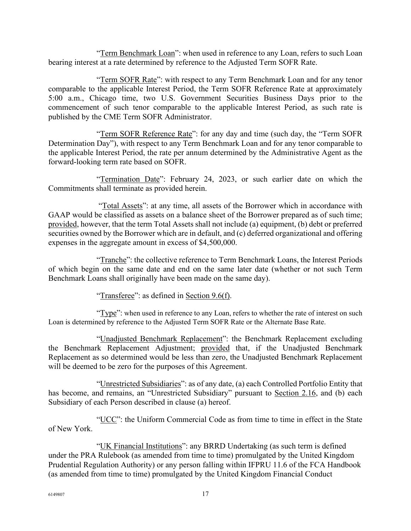"Term Benchmark Loan": when used in reference to any Loan, refers to such Loan bearing interest at a rate determined by reference to the Adjusted Term SOFR Rate.

"Term SOFR Rate": with respect to any Term Benchmark Loan and for any tenor comparable to the applicable Interest Period, the Term SOFR Reference Rate at approximately 5:00 a.m., Chicago time, two U.S. Government Securities Business Days prior to the commencement of such tenor comparable to the applicable Interest Period, as such rate is published by the CME Term SOFR Administrator.

"Term SOFR Reference Rate": for any day and time (such day, the "Term SOFR Determination Day"), with respect to any Term Benchmark Loan and for any tenor comparable to the applicable Interest Period, the rate per annum determined by the Administrative Agent as the forward-looking term rate based on SOFR.

"Termination Date": February 24, 2023, or such earlier date on which the Commitments shall terminate as provided herein.

"Total Assets": at any time, all assets of the Borrower which in accordance with GAAP would be classified as assets on a balance sheet of the Borrower prepared as of such time; provided, however, that the term Total Assets shall not include (a) equipment, (b) debt or preferred securities owned by the Borrower which are in default, and (c) deferred organizational and offering expenses in the aggregate amount in excess of \$4,500,000.

"Tranche": the collective reference to Term Benchmark Loans, the Interest Periods of which begin on the same date and end on the same later date (whether or not such Term Benchmark Loans shall originally have been made on the same day).

"Transferee": as defined in Section 9.6(f).

"Type": when used in reference to any Loan, refers to whether the rate of interest on such Loan is determined by reference to the Adjusted Term SOFR Rate or the Alternate Base Rate.

"Unadjusted Benchmark Replacement": the Benchmark Replacement excluding the Benchmark Replacement Adjustment; provided that, if the Unadjusted Benchmark Replacement as so determined would be less than zero, the Unadjusted Benchmark Replacement will be deemed to be zero for the purposes of this Agreement.

"Unrestricted Subsidiaries": as of any date, (a) each Controlled Portfolio Entity that has become, and remains, an "Unrestricted Subsidiary" pursuant to Section 2.16, and (b) each Subsidiary of each Person described in clause (a) hereof.

" $UCC$ ": the Uniform Commercial Code as from time to time in effect in the State of New York.

"UK Financial Institutions": any BRRD Undertaking (as such term is defined under the PRA Rulebook (as amended from time to time) promulgated by the United Kingdom Prudential Regulation Authority) or any person falling within IFPRU 11.6 of the FCA Handbook (as amended from time to time) promulgated by the United Kingdom Financial Conduct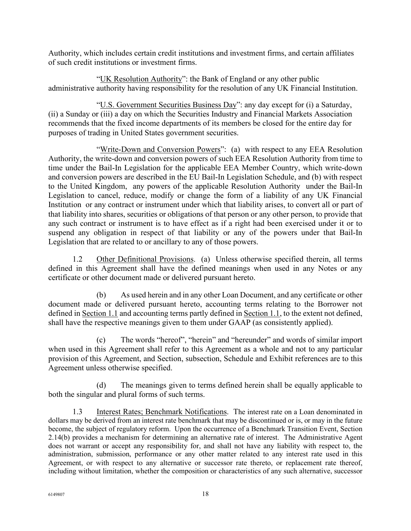Authority, which includes certain credit institutions and investment firms, and certain affiliates of such credit institutions or investment firms.

"UK Resolution Authority": the Bank of England or any other public administrative authority having responsibility for the resolution of any UK Financial Institution.

"U.S. Government Securities Business Day": any day except for (i) a Saturday, (ii) a Sunday or (iii) a day on which the Securities Industry and Financial Markets Association recommends that the fixed income departments of its members be closed for the entire day for purposes of trading in United States government securities.

"Write-Down and Conversion Powers": (a) with respect to any EEA Resolution Authority, the write-down and conversion powers of such EEA Resolution Authority from time to time under the Bail-In Legislation for the applicable EEA Member Country, which write-down and conversion powers are described in the EU Bail-In Legislation Schedule, and (b) with respect to the United Kingdom, any powers of the applicable Resolution Authority under the Bail-In Legislation to cancel, reduce, modify or change the form of a liability of any UK Financial Institution or any contract or instrument under which that liability arises, to convert all or part of that liability into shares, securities or obligations of that person or any other person, to provide that any such contract or instrument is to have effect as if a right had been exercised under it or to suspend any obligation in respect of that liability or any of the powers under that Bail-In Legislation that are related to or ancillary to any of those powers.

1.2 Other Definitional Provisions. (a) Unless otherwise specified therein, all terms defined in this Agreement shall have the defined meanings when used in any Notes or any certificate or other document made or delivered pursuant hereto.

As used herein and in any other Loan Document, and any certificate or other document made or delivered pursuant hereto, accounting terms relating to the Borrower not defined in Section 1.1 and accounting terms partly defined in Section 1.1, to the extent not defined, shall have the respective meanings given to them under GAAP (as consistently applied).

(c) The words "hereof", "herein" and "hereunder" and words of similar import when used in this Agreement shall refer to this Agreement as a whole and not to any particular provision of this Agreement, and Section, subsection, Schedule and Exhibit references are to this Agreement unless otherwise specified.

(d) The meanings given to terms defined herein shall be equally applicable to both the singular and plural forms of such terms.

1.3 Interest Rates; Benchmark Notifications. The interest rate on a Loan denominated in dollars may be derived from an interest rate benchmark that may be discontinued or is, or may in the future become, the subject of regulatory reform. Upon the occurrence of a Benchmark Transition Event, Section 2.14(b) provides a mechanism for determining an alternative rate of interest. The Administrative Agent does not warrant or accept any responsibility for, and shall not have any liability with respect to, the administration, submission, performance or any other matter related to any interest rate used in this Agreement, or with respect to any alternative or successor rate thereto, or replacement rate thereof, including without limitation, whether the composition or characteristics of any such alternative, successor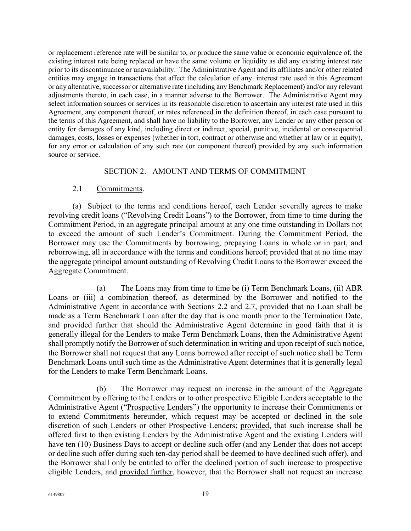or replacement reference rate will be similar to, or produce the same value or economic equivalence of, the existing interest rate being replaced or have the same volume or liquidity as did any existing interest rate prior to its discontinuance or unavailability. The Administrative Agent and its affiliates and/or other related entities may engage in transactions that affect the calculation of any interest rate used in this Agreement or any alternative, successor or alternative rate (including any Benchmark Replacement) and/or any relevant adjustments thereto, in each case, in a manner adverse to the Borrower. The Administrative Agent may select information sources or services in its reasonable discretion to ascertain any interest rate used in this Agreement, any component thereof, or rates referenced in the definition thereof, in each case pursuant to the terms of this Agreement, and shall have no liability to the Borrower, any Lender or any other person or entity for damages of any kind, including direct or indirect, special, punitive, incidental or consequential damages, costs, losses or expenses (whether in tort, contract or otherwise and whether at law or in equity), for any error or calculation of any such rate (or component thereof) provided by any such information source or service.

#### SECTION 2. AMOUNT AND TERMS OF COMMITMENT

### 2.1 Commitments.

(a) Subject to the terms and conditions hereof, each Lender severally agrees to make revolving credit loans ("Revolving Credit Loans") to the Borrower, from time to time during the Commitment Period, in an aggregate principal amount at any one time outstanding in Dollars not to exceed the amount of such Lender's Commitment. During the Commitment Period, the Borrower may use the Commitments by borrowing, prepaying Loans in whole or in part, and reborrowing, all in accordance with the terms and conditions hereof; provided that at no time may the aggregate principal amount outstanding of Revolving Credit Loans to the Borrower exceed the Aggregate Commitment.

(a) The Loans may from time to time be (i) Term Benchmark Loans, (ii) ABR Loans or (iii) a combination thereof, as determined by the Borrower and notified to the Administrative Agent in accordance with Sections 2.2 and 2.7, provided that no Loan shall be made as a Term Benchmark Loan after the day that is one month prior to the Termination Date, and provided further that should the Administrative Agent determine in good faith that it is generally illegal for the Lenders to make Term Benchmark Loans, then the Administrative Agent shall promptly notify the Borrower of such determination in writing and upon receipt of such notice, the Borrower shall not request that any Loans borrowed after receipt of such notice shall be Term Benchmark Loans until such time as the Administrative Agent determines that it is generally legal for the Lenders to make Term Benchmark Loans.

(b) The Borrower may request an increase in the amount of the Aggregate Commitment by offering to the Lenders or to other prospective Eligible Lenders acceptable to the Administrative Agent ("Prospective Lenders") the opportunity to increase their Commitments or to extend Commitments hereunder, which request may be accepted or declined in the sole discretion of such Lenders or other Prospective Lenders; provided, that such increase shall be offered first to then existing Lenders by the Administrative Agent and the existing Lenders will have ten (10) Business Days to accept or decline such offer (and any Lender that does not accept or decline such offer during such ten-day period shall be deemed to have declined such offer), and the Borrower shall only be entitled to offer the declined portion of such increase to prospective eligible Lenders, and provided further, however, that the Borrower shall not request an increase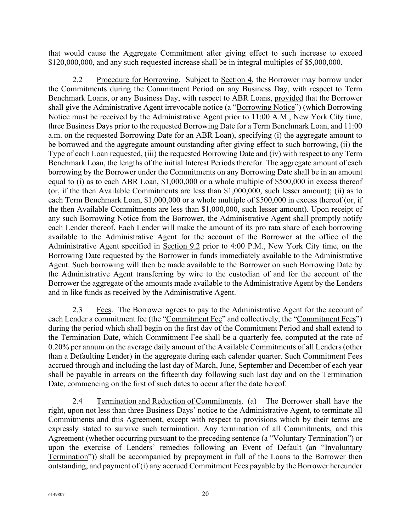that would cause the Aggregate Commitment after giving effect to such increase to exceed \$120,000,000, and any such requested increase shall be in integral multiples of \$5,000,000.

2.2 Procedure for Borrowing. Subject to Section 4, the Borrower may borrow under the Commitments during the Commitment Period on any Business Day, with respect to Term Benchmark Loans, or any Business Day, with respect to ABR Loans, provided that the Borrower shall give the Administrative Agent irrevocable notice (a "Borrowing Notice") (which Borrowing Notice must be received by the Administrative Agent prior to 11:00 A.M., New York City time, three Business Days prior to the requested Borrowing Date for a Term Benchmark Loan, and 11:00 a.m. on the requested Borrowing Date for an ABR Loan), specifying (i) the aggregate amount to be borrowed and the aggregate amount outstanding after giving effect to such borrowing, (ii) the Type of each Loan requested, (iii) the requested Borrowing Date and (iv) with respect to any Term Benchmark Loan, the lengths of the initial Interest Periods therefor. The aggregate amount of each borrowing by the Borrower under the Commitments on any Borrowing Date shall be in an amount equal to (i) as to each ABR Loan, \$1,000,000 or a whole multiple of \$500,000 in excess thereof (or, if the then Available Commitments are less than \$1,000,000, such lesser amount); (ii) as to each Term Benchmark Loan, \$1,000,000 or a whole multiple of \$500,000 in excess thereof (or, if the then Available Commitments are less than \$1,000,000, such lesser amount). Upon receipt of any such Borrowing Notice from the Borrower, the Administrative Agent shall promptly notify each Lender thereof. Each Lender will make the amount of its pro rata share of each borrowing available to the Administrative Agent for the account of the Borrower at the office of the Administrative Agent specified in Section 9.2 prior to 4:00 P.M., New York City time, on the Borrowing Date requested by the Borrower in funds immediately available to the Administrative Agent. Such borrowing will then be made available to the Borrower on such Borrowing Date by the Administrative Agent transferring by wire to the custodian of and for the account of the Borrower the aggregate of the amounts made available to the Administrative Agent by the Lenders and in like funds as received by the Administrative Agent.

2.3 Fees. The Borrower agrees to pay to the Administrative Agent for the account of each Lender a commitment fee (the "Commitment Fee" and collectively, the "Commitment Fees") during the period which shall begin on the first day of the Commitment Period and shall extend to the Termination Date, which Commitment Fee shall be a quarterly fee, computed at the rate of 0.20% per annum on the average daily amount of the Available Commitments of all Lenders (other than a Defaulting Lender) in the aggregate during each calendar quarter. Such Commitment Fees accrued through and including the last day of March, June, September and December of each year shall be payable in arrears on the fifteenth day following such last day and on the Termination Date, commencing on the first of such dates to occur after the date hereof.

2.4 Termination and Reduction of Commitments. (a) The Borrower shall have the right, upon not less than three Business Days' notice to the Administrative Agent, to terminate all Commitments and this Agreement, except with respect to provisions which by their terms are expressly stated to survive such termination. Any termination of all Commitments, and this Agreement (whether occurring pursuant to the preceding sentence (a "Voluntary Termination") or upon the exercise of Lenders' remedies following an Event of Default (an "Involuntary Termination")) shall be accompanied by prepayment in full of the Loans to the Borrower then outstanding, and payment of (i) any accrued Commitment Fees payable by the Borrower hereunder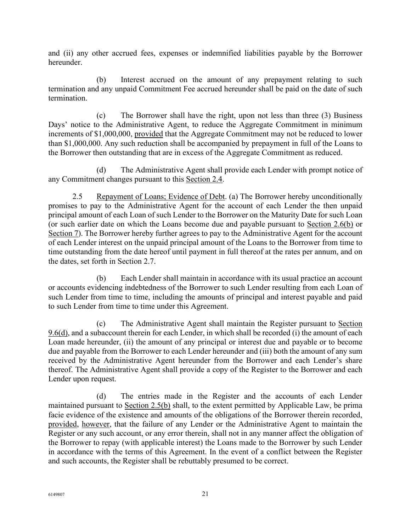and (ii) any other accrued fees, expenses or indemnified liabilities payable by the Borrower hereunder.

(b) Interest accrued on the amount of any prepayment relating to such termination and any unpaid Commitment Fee accrued hereunder shall be paid on the date of such termination.

(c) The Borrower shall have the right, upon not less than three (3) Business Days' notice to the Administrative Agent, to reduce the Aggregate Commitment in minimum increments of \$1,000,000, provided that the Aggregate Commitment may not be reduced to lower than \$1,000,000. Any such reduction shall be accompanied by prepayment in full of the Loans to the Borrower then outstanding that are in excess of the Aggregate Commitment as reduced.

(d) The Administrative Agent shall provide each Lender with prompt notice of any Commitment changes pursuant to this Section 2.4.

2.5 Repayment of Loans; Evidence of Debt. (a) The Borrower hereby unconditionally promises to pay to the Administrative Agent for the account of each Lender the then unpaid principal amount of each Loan of such Lender to the Borrower on the Maturity Date for such Loan (or such earlier date on which the Loans become due and payable pursuant to Section 2.6(b) or Section 7). The Borrower hereby further agrees to pay to the Administrative Agent for the account of each Lender interest on the unpaid principal amount of the Loans to the Borrower from time to time outstanding from the date hereof until payment in full thereof at the rates per annum, and on the dates, set forth in Section 2.7.

(b) Each Lender shall maintain in accordance with its usual practice an account or accounts evidencing indebtedness of the Borrower to such Lender resulting from each Loan of such Lender from time to time, including the amounts of principal and interest payable and paid to such Lender from time to time under this Agreement.

(c) The Administrative Agent shall maintain the Register pursuant to Section 9.6(d), and a subaccount therein for each Lender, in which shall be recorded (i) the amount of each Loan made hereunder, (ii) the amount of any principal or interest due and payable or to become due and payable from the Borrower to each Lender hereunder and (iii) both the amount of any sum received by the Administrative Agent hereunder from the Borrower and each Lender's share thereof. The Administrative Agent shall provide a copy of the Register to the Borrower and each Lender upon request.

(d) The entries made in the Register and the accounts of each Lender maintained pursuant to Section 2.5(b) shall, to the extent permitted by Applicable Law, be prima facie evidence of the existence and amounts of the obligations of the Borrower therein recorded, provided, however, that the failure of any Lender or the Administrative Agent to maintain the Register or any such account, or any error therein, shall not in any manner affect the obligation of the Borrower to repay (with applicable interest) the Loans made to the Borrower by such Lender in accordance with the terms of this Agreement. In the event of a conflict between the Register and such accounts, the Register shall be rebuttably presumed to be correct.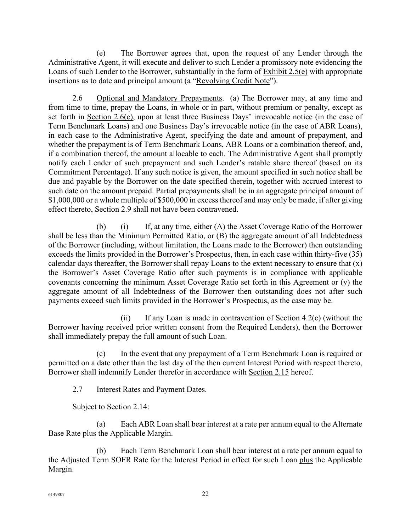(e) The Borrower agrees that, upon the request of any Lender through the Administrative Agent, it will execute and deliver to such Lender a promissory note evidencing the Loans of such Lender to the Borrower, substantially in the form of Exhibit 2.5(e) with appropriate insertions as to date and principal amount (a "Revolving Credit Note").

2.6 Optional and Mandatory Prepayments. (a) The Borrower may, at any time and from time to time, prepay the Loans, in whole or in part, without premium or penalty, except as set forth in Section 2.6(c), upon at least three Business Days' irrevocable notice (in the case of Term Benchmark Loans) and one Business Day's irrevocable notice (in the case of ABR Loans), in each case to the Administrative Agent, specifying the date and amount of prepayment, and whether the prepayment is of Term Benchmark Loans, ABR Loans or a combination thereof, and, if a combination thereof, the amount allocable to each. The Administrative Agent shall promptly notify each Lender of such prepayment and such Lender's ratable share thereof (based on its Commitment Percentage). If any such notice is given, the amount specified in such notice shall be due and payable by the Borrower on the date specified therein, together with accrued interest to such date on the amount prepaid. Partial prepayments shall be in an aggregate principal amount of \$1,000,000 or a whole multiple of \$500,000 in excess thereof and may only be made, if after giving effect thereto, Section 2.9 shall not have been contravened.

(b) (i) If, at any time, either (A) the Asset Coverage Ratio of the Borrower shall be less than the Minimum Permitted Ratio, or (B) the aggregate amount of all Indebtedness of the Borrower (including, without limitation, the Loans made to the Borrower) then outstanding exceeds the limits provided in the Borrower's Prospectus, then, in each case within thirty-five (35) calendar days thereafter, the Borrower shall repay Loans to the extent necessary to ensure that (x) the Borrower's Asset Coverage Ratio after such payments is in compliance with applicable covenants concerning the minimum Asset Coverage Ratio set forth in this Agreement or (y) the aggregate amount of all Indebtedness of the Borrower then outstanding does not after such payments exceed such limits provided in the Borrower's Prospectus, as the case may be.

(ii) If any Loan is made in contravention of Section 4.2(c) (without the Borrower having received prior written consent from the Required Lenders), then the Borrower shall immediately prepay the full amount of such Loan.

(c) In the event that any prepayment of a Term Benchmark Loan is required or permitted on a date other than the last day of the then current Interest Period with respect thereto, Borrower shall indemnify Lender therefor in accordance with Section 2.15 hereof.

2.7 Interest Rates and Payment Dates.

Subject to Section 2.14:

(a) Each ABR Loan shall bear interest at a rate per annum equal to the Alternate Base Rate plus the Applicable Margin.

(b) Each Term Benchmark Loan shall bear interest at a rate per annum equal to the Adjusted Term SOFR Rate for the Interest Period in effect for such Loan plus the Applicable Margin.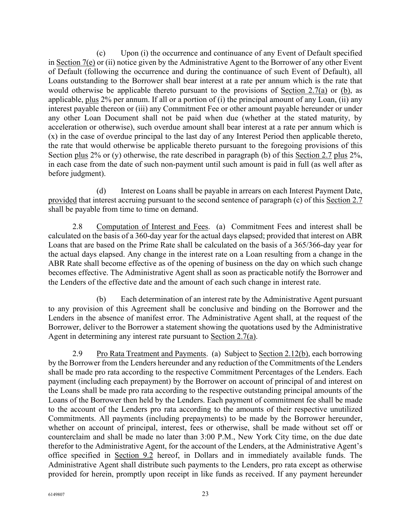(c) Upon (i) the occurrence and continuance of any Event of Default specified in Section 7(e) or (ii) notice given by the Administrative Agent to the Borrower of any other Event of Default (following the occurrence and during the continuance of such Event of Default), all Loans outstanding to the Borrower shall bear interest at a rate per annum which is the rate that would otherwise be applicable thereto pursuant to the provisions of Section 2.7(a) or (b), as applicable, plus  $2\%$  per annum. If all or a portion of (i) the principal amount of any Loan, (ii) any interest payable thereon or (iii) any Commitment Fee or other amount payable hereunder or under any other Loan Document shall not be paid when due (whether at the stated maturity, by acceleration or otherwise), such overdue amount shall bear interest at a rate per annum which is (x) in the case of overdue principal to the last day of any Interest Period then applicable thereto, the rate that would otherwise be applicable thereto pursuant to the foregoing provisions of this Section plus 2% or (y) otherwise, the rate described in paragraph (b) of this Section 2.7 plus 2%, in each case from the date of such non-payment until such amount is paid in full (as well after as before judgment).

(d) Interest on Loans shall be payable in arrears on each Interest Payment Date, provided that interest accruing pursuant to the second sentence of paragraph (c) of this Section 2.7 shall be payable from time to time on demand.

2.8 Computation of Interest and Fees. (a) Commitment Fees and interest shall be calculated on the basis of a 360-day year for the actual days elapsed; provided that interest on ABR Loans that are based on the Prime Rate shall be calculated on the basis of a 365/366-day year for the actual days elapsed. Any change in the interest rate on a Loan resulting from a change in the ABR Rate shall become effective as of the opening of business on the day on which such change becomes effective. The Administrative Agent shall as soon as practicable notify the Borrower and the Lenders of the effective date and the amount of each such change in interest rate.

(b) Each determination of an interest rate by the Administrative Agent pursuant to any provision of this Agreement shall be conclusive and binding on the Borrower and the Lenders in the absence of manifest error. The Administrative Agent shall, at the request of the Borrower, deliver to the Borrower a statement showing the quotations used by the Administrative Agent in determining any interest rate pursuant to Section 2.7(a).

2.9 Pro Rata Treatment and Payments. (a) Subject to Section 2.12(b), each borrowing by the Borrower from the Lenders hereunder and any reduction of the Commitments of the Lenders shall be made pro rata according to the respective Commitment Percentages of the Lenders. Each payment (including each prepayment) by the Borrower on account of principal of and interest on the Loans shall be made pro rata according to the respective outstanding principal amounts of the Loans of the Borrower then held by the Lenders. Each payment of commitment fee shall be made to the account of the Lenders pro rata according to the amounts of their respective unutilized Commitments. All payments (including prepayments) to be made by the Borrower hereunder, whether on account of principal, interest, fees or otherwise, shall be made without set off or counterclaim and shall be made no later than 3:00 P.M., New York City time, on the due date therefor to the Administrative Agent, for the account of the Lenders, at the Administrative Agent's office specified in Section 9.2 hereof, in Dollars and in immediately available funds. The Administrative Agent shall distribute such payments to the Lenders, pro rata except as otherwise provided for herein, promptly upon receipt in like funds as received. If any payment hereunder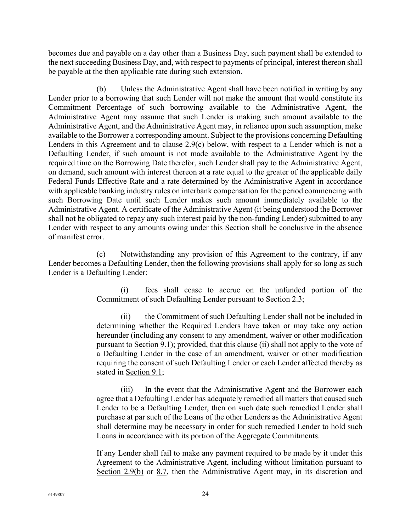becomes due and payable on a day other than a Business Day, such payment shall be extended to the next succeeding Business Day, and, with respect to payments of principal, interest thereon shall be payable at the then applicable rate during such extension.

(b) Unless the Administrative Agent shall have been notified in writing by any Lender prior to a borrowing that such Lender will not make the amount that would constitute its Commitment Percentage of such borrowing available to the Administrative Agent, the Administrative Agent may assume that such Lender is making such amount available to the Administrative Agent, and the Administrative Agent may, in reliance upon such assumption, make available to the Borrower a corresponding amount. Subject to the provisions concerning Defaulting Lenders in this Agreement and to clause 2.9(c) below, with respect to a Lender which is not a Defaulting Lender, if such amount is not made available to the Administrative Agent by the required time on the Borrowing Date therefor, such Lender shall pay to the Administrative Agent, on demand, such amount with interest thereon at a rate equal to the greater of the applicable daily Federal Funds Effective Rate and a rate determined by the Administrative Agent in accordance with applicable banking industry rules on interbank compensation for the period commencing with such Borrowing Date until such Lender makes such amount immediately available to the Administrative Agent. A certificate of the Administrative Agent (it being understood the Borrower shall not be obligated to repay any such interest paid by the non-funding Lender) submitted to any Lender with respect to any amounts owing under this Section shall be conclusive in the absence of manifest error.

(c) Notwithstanding any provision of this Agreement to the contrary, if any Lender becomes a Defaulting Lender, then the following provisions shall apply for so long as such Lender is a Defaulting Lender:

> (i) fees shall cease to accrue on the unfunded portion of the Commitment of such Defaulting Lender pursuant to Section 2.3;

> (ii) the Commitment of such Defaulting Lender shall not be included in determining whether the Required Lenders have taken or may take any action hereunder (including any consent to any amendment, waiver or other modification pursuant to Section 9.1); provided, that this clause (ii) shall not apply to the vote of a Defaulting Lender in the case of an amendment, waiver or other modification requiring the consent of such Defaulting Lender or each Lender affected thereby as stated in Section 9.1;

> (iii) In the event that the Administrative Agent and the Borrower each agree that a Defaulting Lender has adequately remedied all matters that caused such Lender to be a Defaulting Lender, then on such date such remedied Lender shall purchase at par such of the Loans of the other Lenders as the Administrative Agent shall determine may be necessary in order for such remedied Lender to hold such Loans in accordance with its portion of the Aggregate Commitments.

> If any Lender shall fail to make any payment required to be made by it under this Agreement to the Administrative Agent, including without limitation pursuant to Section 2.9(b) or 8.7, then the Administrative Agent may, in its discretion and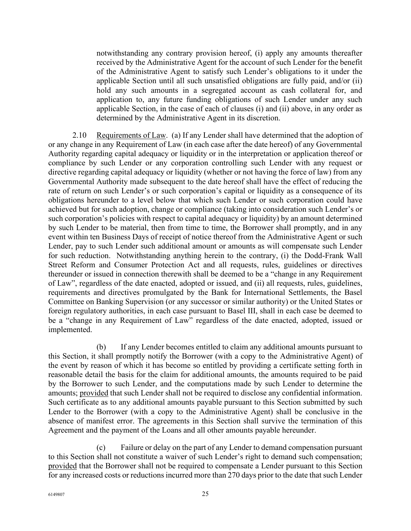notwithstanding any contrary provision hereof, (i) apply any amounts thereafter received by the Administrative Agent for the account of such Lender for the benefit of the Administrative Agent to satisfy such Lender's obligations to it under the applicable Section until all such unsatisfied obligations are fully paid, and/or (ii) hold any such amounts in a segregated account as cash collateral for, and application to, any future funding obligations of such Lender under any such applicable Section, in the case of each of clauses (i) and (ii) above, in any order as determined by the Administrative Agent in its discretion.

2.10 Requirements of Law. (a) If any Lender shall have determined that the adoption of or any change in any Requirement of Law (in each case after the date hereof) of any Governmental Authority regarding capital adequacy or liquidity or in the interpretation or application thereof or compliance by such Lender or any corporation controlling such Lender with any request or directive regarding capital adequacy or liquidity (whether or not having the force of law) from any Governmental Authority made subsequent to the date hereof shall have the effect of reducing the rate of return on such Lender's or such corporation's capital or liquidity as a consequence of its obligations hereunder to a level below that which such Lender or such corporation could have achieved but for such adoption, change or compliance (taking into consideration such Lender's or such corporation's policies with respect to capital adequacy or liquidity) by an amount determined by such Lender to be material, then from time to time, the Borrower shall promptly, and in any event within ten Business Days of receipt of notice thereof from the Administrative Agent or such Lender, pay to such Lender such additional amount or amounts as will compensate such Lender for such reduction. Notwithstanding anything herein to the contrary, (i) the Dodd-Frank Wall Street Reform and Consumer Protection Act and all requests, rules, guidelines or directives thereunder or issued in connection therewith shall be deemed to be a "change in any Requirement of Law", regardless of the date enacted, adopted or issued, and (ii) all requests, rules, guidelines, requirements and directives promulgated by the Bank for International Settlements, the Basel Committee on Banking Supervision (or any successor or similar authority) or the United States or foreign regulatory authorities, in each case pursuant to Basel III, shall in each case be deemed to be a "change in any Requirement of Law" regardless of the date enacted, adopted, issued or implemented.

(b) If any Lender becomes entitled to claim any additional amounts pursuant to this Section, it shall promptly notify the Borrower (with a copy to the Administrative Agent) of the event by reason of which it has become so entitled by providing a certificate setting forth in reasonable detail the basis for the claim for additional amounts, the amounts required to be paid by the Borrower to such Lender, and the computations made by such Lender to determine the amounts; provided that such Lender shall not be required to disclose any confidential information. Such certificate as to any additional amounts payable pursuant to this Section submitted by such Lender to the Borrower (with a copy to the Administrative Agent) shall be conclusive in the absence of manifest error. The agreements in this Section shall survive the termination of this Agreement and the payment of the Loans and all other amounts payable hereunder.

(c) Failure or delay on the part of any Lender to demand compensation pursuant to this Section shall not constitute a waiver of such Lender's right to demand such compensation; provided that the Borrower shall not be required to compensate a Lender pursuant to this Section for any increased costs or reductions incurred more than 270 days prior to the date that such Lender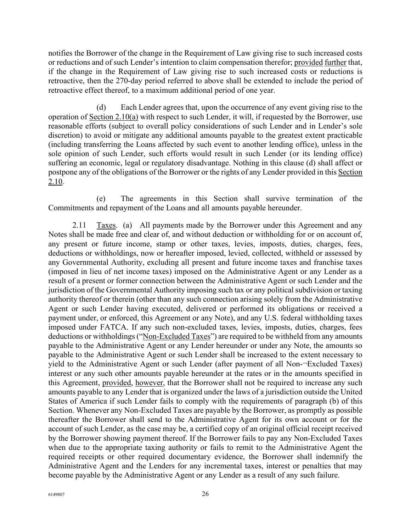notifies the Borrower of the change in the Requirement of Law giving rise to such increased costs or reductions and of such Lender's intention to claim compensation therefor; provided further that, if the change in the Requirement of Law giving rise to such increased costs or reductions is retroactive, then the 270-day period referred to above shall be extended to include the period of retroactive effect thereof, to a maximum additional period of one year.

(d) Each Lender agrees that, upon the occurrence of any event giving rise to the operation of Section 2.10(a) with respect to such Lender, it will, if requested by the Borrower, use reasonable efforts (subject to overall policy considerations of such Lender and in Lender's sole discretion) to avoid or mitigate any additional amounts payable to the greatest extent practicable (including transferring the Loans affected by such event to another lending office), unless in the sole opinion of such Lender, such efforts would result in such Lender (or its lending office) suffering an economic, legal or regulatory disadvantage. Nothing in this clause (d) shall affect or postpone any of the obligations of the Borrower or the rights of any Lender provided in this Section 2.10.

(e) The agreements in this Section shall survive termination of the Commitments and repayment of the Loans and all amounts payable hereunder.

2.11 Taxes. (a) All payments made by the Borrower under this Agreement and any Notes shall be made free and clear of, and without deduction or withholding for or on account of, any present or future income, stamp or other taxes, levies, imposts, duties, charges, fees, deductions or withholdings, now or hereafter imposed, levied, collected, withheld or assessed by any Governmental Authority, excluding all present and future income taxes and franchise taxes (imposed in lieu of net income taxes) imposed on the Administrative Agent or any Lender as a result of a present or former connection between the Administrative Agent or such Lender and the jurisdiction of the Governmental Authority imposing such tax or any political subdivision or taxing authority thereof or therein (other than any such connection arising solely from the Administrative Agent or such Lender having executed, delivered or performed its obligations or received a payment under, or enforced, this Agreement or any Note), and any U.S. federal withholding taxes imposed under FATCA. If any such non-excluded taxes, levies, imposts, duties, charges, fees deductions or withholdings ("Non-Excluded Taxes") are required to be withheld from any amounts payable to the Administrative Agent or any Lender hereunder or under any Note, the amounts so payable to the Administrative Agent or such Lender shall be increased to the extent necessary to yield to the Administrative Agent or such Lender (after payment of all Non-¬Excluded Taxes) interest or any such other amounts payable hereunder at the rates or in the amounts specified in this Agreement, provided, however, that the Borrower shall not be required to increase any such amounts payable to any Lender that is organized under the laws of a jurisdiction outside the United States of America if such Lender fails to comply with the requirements of paragraph (b) of this Section. Whenever any Non-Excluded Taxes are payable by the Borrower, as promptly as possible thereafter the Borrower shall send to the Administrative Agent for its own account or for the account of such Lender, as the case may be, a certified copy of an original official receipt received by the Borrower showing payment thereof. If the Borrower fails to pay any Non-Excluded Taxes when due to the appropriate taxing authority or fails to remit to the Administrative Agent the required receipts or other required documentary evidence, the Borrower shall indemnify the Administrative Agent and the Lenders for any incremental taxes, interest or penalties that may become payable by the Administrative Agent or any Lender as a result of any such failure.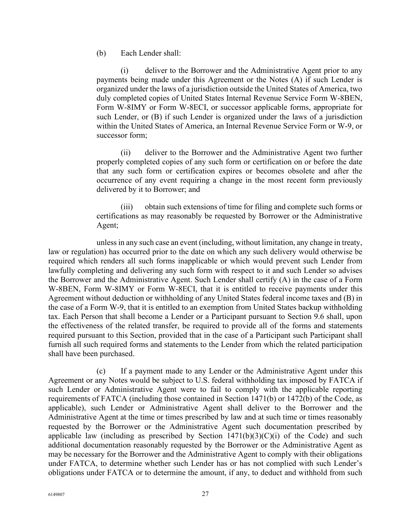(b) Each Lender shall:

(i) deliver to the Borrower and the Administrative Agent prior to any payments being made under this Agreement or the Notes (A) if such Lender is organized under the laws of a jurisdiction outside the United States of America, two duly completed copies of United States Internal Revenue Service Form W-8BEN, Form W-8IMY or Form W-8ECI, or successor applicable forms, appropriate for such Lender, or (B) if such Lender is organized under the laws of a jurisdiction within the United States of America, an Internal Revenue Service Form or W-9, or successor form;

(ii) deliver to the Borrower and the Administrative Agent two further properly completed copies of any such form or certification on or before the date that any such form or certification expires or becomes obsolete and after the occurrence of any event requiring a change in the most recent form previously delivered by it to Borrower; and

(iii) obtain such extensions of time for filing and complete such forms or certifications as may reasonably be requested by Borrower or the Administrative Agent;

unlessin any such case an event (including, without limitation, any change in treaty, law or regulation) has occurred prior to the date on which any such delivery would otherwise be required which renders all such forms inapplicable or which would prevent such Lender from lawfully completing and delivering any such form with respect to it and such Lender so advises the Borrower and the Administrative Agent. Such Lender shall certify (A) in the case of a Form W-8BEN, Form W-8IMY or Form W-8ECI, that it is entitled to receive payments under this Agreement without deduction or withholding of any United States federal income taxes and (B) in the case of a Form W-9, that it is entitled to an exemption from United States backup withholding tax. Each Person that shall become a Lender or a Participant pursuant to Section 9.6 shall, upon the effectiveness of the related transfer, be required to provide all of the forms and statements required pursuant to this Section, provided that in the case of a Participant such Participant shall furnish all such required forms and statements to the Lender from which the related participation shall have been purchased.

(c) If a payment made to any Lender or the Administrative Agent under this Agreement or any Notes would be subject to U.S. federal withholding tax imposed by FATCA if such Lender or Administrative Agent were to fail to comply with the applicable reporting requirements of FATCA (including those contained in Section 1471(b) or 1472(b) of the Code, as applicable), such Lender or Administrative Agent shall deliver to the Borrower and the Administrative Agent at the time or times prescribed by law and at such time or times reasonably requested by the Borrower or the Administrative Agent such documentation prescribed by applicable law (including as prescribed by Section  $1471(b)(3)(C)(i)$  of the Code) and such additional documentation reasonably requested by the Borrower or the Administrative Agent as may be necessary for the Borrower and the Administrative Agent to comply with their obligations under FATCA, to determine whether such Lender has or has not complied with such Lender's obligations under FATCA or to determine the amount, if any, to deduct and withhold from such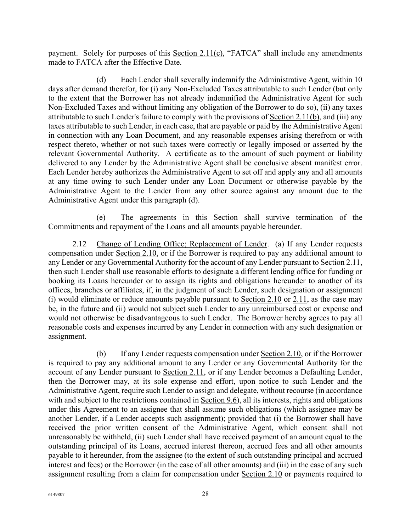payment. Solely for purposes of this Section 2.11(c), "FATCA" shall include any amendments made to FATCA after the Effective Date.

(d) Each Lender shall severally indemnify the Administrative Agent, within 10 days after demand therefor, for (i) any Non-Excluded Taxes attributable to such Lender (but only to the extent that the Borrower has not already indemnified the Administrative Agent for such Non-Excluded Taxes and without limiting any obligation of the Borrower to do so), (ii) any taxes attributable to such Lender's failure to comply with the provisions of Section 2.11(b), and (iii) any taxes attributable to such Lender, in each case, that are payable or paid by the Administrative Agent in connection with any Loan Document, and any reasonable expenses arising therefrom or with respect thereto, whether or not such taxes were correctly or legally imposed or asserted by the relevant Governmental Authority. A certificate as to the amount of such payment or liability delivered to any Lender by the Administrative Agent shall be conclusive absent manifest error. Each Lender hereby authorizes the Administrative Agent to set off and apply any and all amounts at any time owing to such Lender under any Loan Document or otherwise payable by the Administrative Agent to the Lender from any other source against any amount due to the Administrative Agent under this paragraph (d).

(e) The agreements in this Section shall survive termination of the Commitments and repayment of the Loans and all amounts payable hereunder.

2.12 Change of Lending Office; Replacement of Lender. (a) If any Lender requests compensation under Section 2.10, or if the Borrower is required to pay any additional amount to any Lender or any Governmental Authority for the account of any Lender pursuant to Section 2.11, then such Lender shall use reasonable efforts to designate a different lending office for funding or booking its Loans hereunder or to assign its rights and obligations hereunder to another of its offices, branches or affiliates, if, in the judgment of such Lender, such designation or assignment (i) would eliminate or reduce amounts payable pursuant to Section 2.10 or 2.11, as the case may be, in the future and (ii) would not subject such Lender to any unreimbursed cost or expense and would not otherwise be disadvantageous to such Lender. The Borrower hereby agrees to pay all reasonable costs and expenses incurred by any Lender in connection with any such designation or assignment.

(b) If any Lender requests compensation under Section 2.10, or if the Borrower is required to pay any additional amount to any Lender or any Governmental Authority for the account of any Lender pursuant to Section 2.11, or if any Lender becomes a Defaulting Lender, then the Borrower may, at its sole expense and effort, upon notice to such Lender and the Administrative Agent, require such Lender to assign and delegate, without recourse (in accordance with and subject to the restrictions contained in Section 9.6), all its interests, rights and obligations under this Agreement to an assignee that shall assume such obligations (which assignee may be another Lender, if a Lender accepts such assignment); provided that (i) the Borrower shall have received the prior written consent of the Administrative Agent, which consent shall not unreasonably be withheld, (ii) such Lender shall have received payment of an amount equal to the outstanding principal of its Loans, accrued interest thereon, accrued fees and all other amounts payable to it hereunder, from the assignee (to the extent of such outstanding principal and accrued interest and fees) or the Borrower (in the case of all other amounts) and (iii) in the case of any such assignment resulting from a claim for compensation under Section 2.10 or payments required to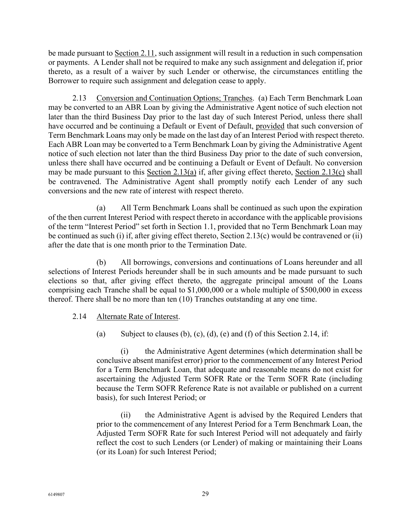be made pursuant to <u>Section 2.11</u>, such assignment will result in a reduction in such compensation or payments. A Lender shall not be required to make any such assignment and delegation if, prior thereto, as a result of a waiver by such Lender or otherwise, the circumstances entitling the Borrower to require such assignment and delegation cease to apply.

2.13 Conversion and Continuation Options; Tranches. (a) Each Term Benchmark Loan may be converted to an ABR Loan by giving the Administrative Agent notice of such election not later than the third Business Day prior to the last day of such Interest Period, unless there shall have occurred and be continuing a Default or Event of Default, provided that such conversion of Term Benchmark Loans may only be made on the last day of an Interest Period with respect thereto. Each ABR Loan may be converted to a Term Benchmark Loan by giving the Administrative Agent notice of such election not later than the third Business Day prior to the date of such conversion, unless there shall have occurred and be continuing a Default or Event of Default. No conversion may be made pursuant to this Section 2.13(a) if, after giving effect thereto, Section 2.13(c) shall be contravened. The Administrative Agent shall promptly notify each Lender of any such conversions and the new rate of interest with respect thereto.

(a) All Term Benchmark Loans shall be continued as such upon the expiration of the then current Interest Period with respect thereto in accordance with the applicable provisions of the term "Interest Period" set forth in Section 1.1, provided that no Term Benchmark Loan may be continued as such (i) if, after giving effect thereto, Section 2.13(c) would be contravened or (ii) after the date that is one month prior to the Termination Date.

(b) All borrowings, conversions and continuations of Loans hereunder and all selections of Interest Periods hereunder shall be in such amounts and be made pursuant to such elections so that, after giving effect thereto, the aggregate principal amount of the Loans comprising each Tranche shall be equal to \$1,000,000 or a whole multiple of \$500,000 in excess thereof. There shall be no more than ten (10) Tranches outstanding at any one time.

## 2.14 Alternate Rate of Interest.

(a) Subject to clauses (b), (c), (d), (e) and (f) of this Section 2.14, if:

(i) the Administrative Agent determines (which determination shall be conclusive absent manifest error) prior to the commencement of any Interest Period for a Term Benchmark Loan, that adequate and reasonable means do not exist for ascertaining the Adjusted Term SOFR Rate or the Term SOFR Rate (including because the Term SOFR Reference Rate is not available or published on a current basis), for such Interest Period; or

(ii) the Administrative Agent is advised by the Required Lenders that prior to the commencement of any Interest Period for a Term Benchmark Loan, the Adjusted Term SOFR Rate for such Interest Period will not adequately and fairly reflect the cost to such Lenders (or Lender) of making or maintaining their Loans (or its Loan) for such Interest Period;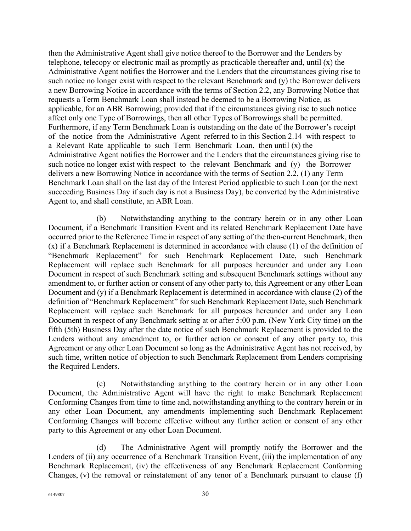then the Administrative Agent shall give notice thereof to the Borrower and the Lenders by telephone, telecopy or electronic mail as promptly as practicable thereafter and, until (x) the Administrative Agent notifies the Borrower and the Lenders that the circumstances giving rise to such notice no longer exist with respect to the relevant Benchmark and (y) the Borrower delivers a new Borrowing Notice in accordance with the terms of Section 2.2, any Borrowing Notice that requests a Term Benchmark Loan shall instead be deemed to be a Borrowing Notice, as applicable, for an ABR Borrowing; provided that if the circumstances giving rise to such notice affect only one Type of Borrowings, then all other Types of Borrowings shall be permitted. Furthermore, if any Term Benchmark Loan is outstanding on the date of the Borrower's receipt of the notice from the Administrative Agent referred to in this Section 2.14 with respect to a Relevant Rate applicable to such Term Benchmark Loan, then until  $(x)$  the Administrative Agent notifies the Borrower and the Lenders that the circumstances giving rise to such notice no longer exist with respect to the relevant Benchmark and (y) the Borrower delivers a new Borrowing Notice in accordance with the terms of Section 2.2, (1) any Term Benchmark Loan shall on the last day of the Interest Period applicable to such Loan (or the next succeeding Business Day if such day is not a Business Day), be converted by the Administrative Agent to, and shall constitute, an ABR Loan.

(b) Notwithstanding anything to the contrary herein or in any other Loan Document, if a Benchmark Transition Event and its related Benchmark Replacement Date have occurred prior to the Reference Time in respect of any setting of the then-current Benchmark, then (x) if a Benchmark Replacement is determined in accordance with clause (1) of the definition of "Benchmark Replacement" for such Benchmark Replacement Date, such Benchmark Replacement will replace such Benchmark for all purposes hereunder and under any Loan Document in respect of such Benchmark setting and subsequent Benchmark settings without any amendment to, or further action or consent of any other party to, this Agreement or any other Loan Document and (y) if a Benchmark Replacement is determined in accordance with clause (2) of the definition of "Benchmark Replacement" for such Benchmark Replacement Date, such Benchmark Replacement will replace such Benchmark for all purposes hereunder and under any Loan Document in respect of any Benchmark setting at or after 5:00 p.m. (New York City time) on the fifth (5th) Business Day after the date notice of such Benchmark Replacement is provided to the Lenders without any amendment to, or further action or consent of any other party to, this Agreement or any other Loan Document so long as the Administrative Agent has not received, by such time, written notice of objection to such Benchmark Replacement from Lenders comprising the Required Lenders.

(c) Notwithstanding anything to the contrary herein or in any other Loan Document, the Administrative Agent will have the right to make Benchmark Replacement Conforming Changes from time to time and, notwithstanding anything to the contrary herein or in any other Loan Document, any amendments implementing such Benchmark Replacement Conforming Changes will become effective without any further action or consent of any other party to this Agreement or any other Loan Document.

(d) The Administrative Agent will promptly notify the Borrower and the Lenders of (ii) any occurrence of a Benchmark Transition Event, (iii) the implementation of any Benchmark Replacement, (iv) the effectiveness of any Benchmark Replacement Conforming Changes, (v) the removal or reinstatement of any tenor of a Benchmark pursuant to clause (f)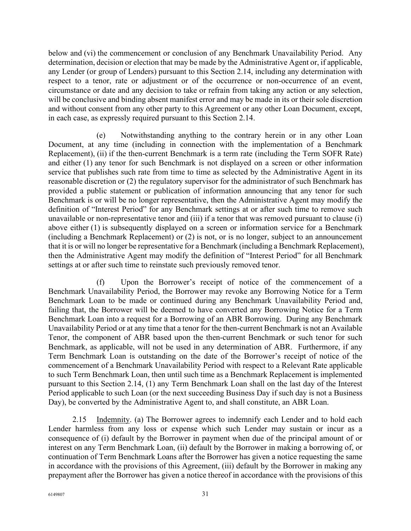below and (vi) the commencement or conclusion of any Benchmark Unavailability Period. Any determination, decision or election that may be made by the Administrative Agent or, if applicable, any Lender (or group of Lenders) pursuant to this Section 2.14, including any determination with respect to a tenor, rate or adjustment or of the occurrence or non-occurrence of an event, circumstance or date and any decision to take or refrain from taking any action or any selection, will be conclusive and binding absent manifest error and may be made in its or their sole discretion and without consent from any other party to this Agreement or any other Loan Document, except, in each case, as expressly required pursuant to this Section 2.14.

(e) Notwithstanding anything to the contrary herein or in any other Loan Document, at any time (including in connection with the implementation of a Benchmark Replacement), (ii) if the then-current Benchmark is a term rate (including the Term SOFR Rate) and either (1) any tenor for such Benchmark is not displayed on a screen or other information service that publishes such rate from time to time as selected by the Administrative Agent in its reasonable discretion or (2) the regulatory supervisor for the administrator of such Benchmark has provided a public statement or publication of information announcing that any tenor for such Benchmark is or will be no longer representative, then the Administrative Agent may modify the definition of "Interest Period" for any Benchmark settings at or after such time to remove such unavailable or non-representative tenor and (iii) if a tenor that was removed pursuant to clause (i) above either (1) is subsequently displayed on a screen or information service for a Benchmark (including a Benchmark Replacement) or (2) is not, or is no longer, subject to an announcement that it is or will no longer be representative for a Benchmark (including a Benchmark Replacement), then the Administrative Agent may modify the definition of "Interest Period" for all Benchmark settings at or after such time to reinstate such previously removed tenor.

(f) Upon the Borrower's receipt of notice of the commencement of a Benchmark Unavailability Period, the Borrower may revoke any Borrowing Notice for a Term Benchmark Loan to be made or continued during any Benchmark Unavailability Period and, failing that, the Borrower will be deemed to have converted any Borrowing Notice for a Term Benchmark Loan into a request for a Borrowing of an ABR Borrowing. During any Benchmark Unavailability Period or at any time that a tenor for the then-current Benchmark is not an Available Tenor, the component of ABR based upon the then-current Benchmark or such tenor for such Benchmark, as applicable, will not be used in any determination of ABR. Furthermore, if any Term Benchmark Loan is outstanding on the date of the Borrower's receipt of notice of the commencement of a Benchmark Unavailability Period with respect to a Relevant Rate applicable to such Term Benchmark Loan, then until such time as a Benchmark Replacement is implemented pursuant to this Section 2.14, (1) any Term Benchmark Loan shall on the last day of the Interest Period applicable to such Loan (or the next succeeding Business Day if such day is not a Business Day), be converted by the Administrative Agent to, and shall constitute, an ABR Loan.

2.15 Indemnity. (a) The Borrower agrees to indemnify each Lender and to hold each Lender harmless from any loss or expense which such Lender may sustain or incur as a consequence of (i) default by the Borrower in payment when due of the principal amount of or interest on any Term Benchmark Loan, (ii) default by the Borrower in making a borrowing of, or continuation of Term Benchmark Loans after the Borrower has given a notice requesting the same in accordance with the provisions of this Agreement, (iii) default by the Borrower in making any prepayment after the Borrower has given a notice thereof in accordance with the provisions of this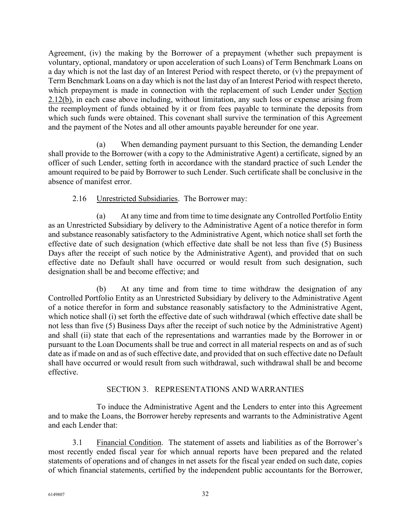Agreement, (iv) the making by the Borrower of a prepayment (whether such prepayment is voluntary, optional, mandatory or upon acceleration of such Loans) of Term Benchmark Loans on a day which is not the last day of an Interest Period with respect thereto, or (v) the prepayment of Term Benchmark Loans on a day which is not the last day of an Interest Period with respect thereto, which prepayment is made in connection with the replacement of such Lender under Section 2.12(b), in each case above including, without limitation, any such loss or expense arising from the reemployment of funds obtained by it or from fees payable to terminate the deposits from which such funds were obtained. This covenant shall survive the termination of this Agreement and the payment of the Notes and all other amounts payable hereunder for one year.

(a) When demanding payment pursuant to this Section, the demanding Lender shall provide to the Borrower (with a copy to the Administrative Agent) a certificate, signed by an officer of such Lender, setting forth in accordance with the standard practice of such Lender the amount required to be paid by Borrower to such Lender. Such certificate shall be conclusive in the absence of manifest error.

2.16 Unrestricted Subsidiaries. The Borrower may:

(a) At any time and from time to time designate any Controlled Portfolio Entity as an Unrestricted Subsidiary by delivery to the Administrative Agent of a notice therefor in form and substance reasonably satisfactory to the Administrative Agent, which notice shall set forth the effective date of such designation (which effective date shall be not less than five (5) Business Days after the receipt of such notice by the Administrative Agent), and provided that on such effective date no Default shall have occurred or would result from such designation, such designation shall be and become effective; and

(b) At any time and from time to time withdraw the designation of any Controlled Portfolio Entity as an Unrestricted Subsidiary by delivery to the Administrative Agent of a notice therefor in form and substance reasonably satisfactory to the Administrative Agent, which notice shall (i) set forth the effective date of such withdrawal (which effective date shall be not less than five (5) Business Days after the receipt of such notice by the Administrative Agent) and shall (ii) state that each of the representations and warranties made by the Borrower in or pursuant to the Loan Documents shall be true and correct in all material respects on and as of such date as if made on and as of such effective date, and provided that on such effective date no Default shall have occurred or would result from such withdrawal, such withdrawal shall be and become effective.

## SECTION 3. REPRESENTATIONS AND WARRANTIES

To induce the Administrative Agent and the Lenders to enter into this Agreement and to make the Loans, the Borrower hereby represents and warrants to the Administrative Agent and each Lender that:

3.1 Financial Condition. The statement of assets and liabilities as of the Borrower's most recently ended fiscal year for which annual reports have been prepared and the related statements of operations and of changes in net assets for the fiscal year ended on such date, copies of which financial statements, certified by the independent public accountants for the Borrower,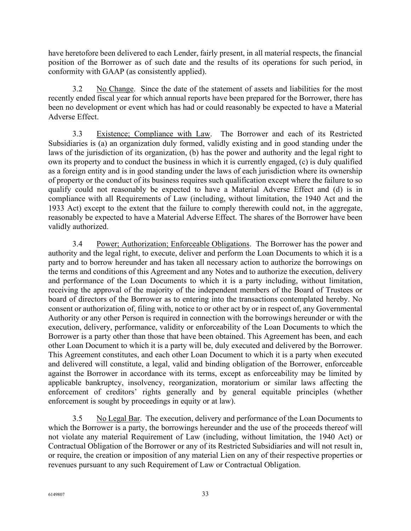have heretofore been delivered to each Lender, fairly present, in all material respects, the financial position of the Borrower as of such date and the results of its operations for such period, in conformity with GAAP (as consistently applied).

3.2 No Change. Since the date of the statement of assets and liabilities for the most recently ended fiscal year for which annual reports have been prepared for the Borrower, there has been no development or event which has had or could reasonably be expected to have a Material Adverse Effect.

3.3 Existence; Compliance with Law. The Borrower and each of its Restricted Subsidiaries is (a) an organization duly formed, validly existing and in good standing under the laws of the jurisdiction of its organization, (b) has the power and authority and the legal right to own its property and to conduct the business in which it is currently engaged, (c) is duly qualified as a foreign entity and is in good standing under the laws of each jurisdiction where its ownership of property or the conduct of its business requires such qualification except where the failure to so qualify could not reasonably be expected to have a Material Adverse Effect and (d) is in compliance with all Requirements of Law (including, without limitation, the 1940 Act and the 1933 Act) except to the extent that the failure to comply therewith could not, in the aggregate, reasonably be expected to have a Material Adverse Effect. The shares of the Borrower have been validly authorized.

3.4 Power; Authorization; Enforceable Obligations. The Borrower has the power and authority and the legal right, to execute, deliver and perform the Loan Documents to which it is a party and to borrow hereunder and has taken all necessary action to authorize the borrowings on the terms and conditions of this Agreement and any Notes and to authorize the execution, delivery and performance of the Loan Documents to which it is a party including, without limitation, receiving the approval of the majority of the independent members of the Board of Trustees or board of directors of the Borrower as to entering into the transactions contemplated hereby. No consent or authorization of, filing with, notice to or other act by or in respect of, any Governmental Authority or any other Person is required in connection with the borrowings hereunder or with the execution, delivery, performance, validity or enforceability of the Loan Documents to which the Borrower is a party other than those that have been obtained. This Agreement has been, and each other Loan Document to which it is a party will be, duly executed and delivered by the Borrower. This Agreement constitutes, and each other Loan Document to which it is a party when executed and delivered will constitute, a legal, valid and binding obligation of the Borrower, enforceable against the Borrower in accordance with its terms, except as enforceability may be limited by applicable bankruptcy, insolvency, reorganization, moratorium or similar laws affecting the enforcement of creditors' rights generally and by general equitable principles (whether enforcement is sought by proceedings in equity or at law).

3.5 No Legal Bar. The execution, delivery and performance of the Loan Documents to which the Borrower is a party, the borrowings hereunder and the use of the proceeds thereof will not violate any material Requirement of Law (including, without limitation, the 1940 Act) or Contractual Obligation of the Borrower or any of its Restricted Subsidiaries and will not result in, or require, the creation or imposition of any material Lien on any of their respective properties or revenues pursuant to any such Requirement of Law or Contractual Obligation.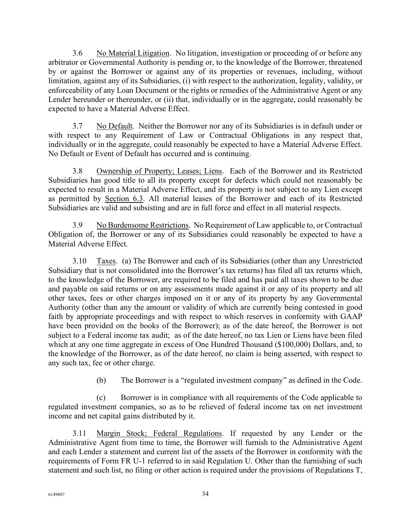3.6 No Material Litigation. No litigation, investigation or proceeding of or before any arbitrator or Governmental Authority is pending or, to the knowledge of the Borrower, threatened by or against the Borrower or against any of its properties or revenues, including, without limitation, against any of its Subsidiaries, (i) with respect to the authorization, legality, validity, or enforceability of any Loan Document or the rights or remedies of the Administrative Agent or any Lender hereunder or thereunder, or (ii) that, individually or in the aggregate, could reasonably be expected to have a Material Adverse Effect.

3.7 No Default. Neither the Borrower nor any of its Subsidiaries is in default under or with respect to any Requirement of Law or Contractual Obligations in any respect that, individually or in the aggregate, could reasonably be expected to have a Material Adverse Effect. No Default or Event of Default has occurred and is continuing.

3.8 Ownership of Property; Leases; Liens. Each of the Borrower and its Restricted Subsidiaries has good title to all its property except for defects which could not reasonably be expected to result in a Material Adverse Effect, and its property is not subject to any Lien except as permitted by Section 6.3. All material leases of the Borrower and each of its Restricted Subsidiaries are valid and subsisting and are in full force and effect in all material respects.

3.9 No Burdensome Restrictions. No Requirement of Law applicable to, or Contractual Obligation of, the Borrower or any of its Subsidiaries could reasonably be expected to have a Material Adverse Effect.

3.10 Taxes. (a) The Borrower and each of its Subsidiaries (other than any Unrestricted Subsidiary that is not consolidated into the Borrower's tax returns) has filed all tax returns which, to the knowledge of the Borrower, are required to be filed and has paid all taxes shown to be due and payable on said returns or on any assessments made against it or any of its property and all other taxes, fees or other charges imposed on it or any of its property by any Governmental Authority (other than any the amount or validity of which are currently being contested in good faith by appropriate proceedings and with respect to which reserves in conformity with GAAP have been provided on the books of the Borrower); as of the date hereof, the Borrower is not subject to a Federal income tax audit; as of the date hereof, no tax Lien or Liens have been filed which at any one time aggregate in excess of One Hundred Thousand (\$100,000) Dollars, and, to the knowledge of the Borrower, as of the date hereof, no claim is being asserted, with respect to any such tax, fee or other charge.

(b) The Borrower is a "regulated investment company" as defined in the Code.

(c) Borrower is in compliance with all requirements of the Code applicable to regulated investment companies, so as to be relieved of federal income tax on net investment income and net capital gains distributed by it.

3.11 Margin Stock; Federal Regulations. If requested by any Lender or the Administrative Agent from time to time, the Borrower will furnish to the Administrative Agent and each Lender a statement and current list of the assets of the Borrower in conformity with the requirements of Form FR U-1 referred to in said Regulation U. Other than the furnishing of such statement and such list, no filing or other action is required under the provisions of Regulations T,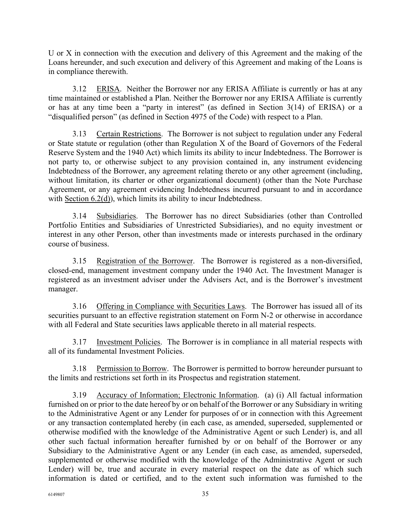U or X in connection with the execution and delivery of this Agreement and the making of the Loans hereunder, and such execution and delivery of this Agreement and making of the Loans is in compliance therewith.

3.12 ERISA. Neither the Borrower nor any ERISA Affiliate is currently or has at any time maintained or established a Plan. Neither the Borrower nor any ERISA Affiliate is currently or has at any time been a "party in interest" (as defined in Section 3(14) of ERISA) or a "disqualified person" (as defined in Section 4975 of the Code) with respect to a Plan.

3.13 Certain Restrictions. The Borrower is not subject to regulation under any Federal or State statute or regulation (other than Regulation X of the Board of Governors of the Federal Reserve System and the 1940 Act) which limits its ability to incur Indebtedness. The Borrower is not party to, or otherwise subject to any provision contained in, any instrument evidencing Indebtedness of the Borrower, any agreement relating thereto or any other agreement (including, without limitation, its charter or other organizational document) (other than the Note Purchase Agreement, or any agreement evidencing Indebtedness incurred pursuant to and in accordance with Section 6.2(d)), which limits its ability to incur Indebtedness.

3.14 Subsidiaries. The Borrower has no direct Subsidiaries (other than Controlled Portfolio Entities and Subsidiaries of Unrestricted Subsidiaries), and no equity investment or interest in any other Person, other than investments made or interests purchased in the ordinary course of business.

3.15 Registration of the Borrower. The Borrower is registered as a non-diversified, closed-end, management investment company under the 1940 Act. The Investment Manager is registered as an investment adviser under the Advisers Act, and is the Borrower's investment manager.

3.16 Offering in Compliance with Securities Laws. The Borrower has issued all of its securities pursuant to an effective registration statement on Form N-2 or otherwise in accordance with all Federal and State securities laws applicable thereto in all material respects.

3.17 Investment Policies. The Borrower is in compliance in all material respects with all of its fundamental Investment Policies.

3.18 Permission to Borrow. The Borrower is permitted to borrow hereunder pursuant to the limits and restrictions set forth in its Prospectus and registration statement.

3.19 Accuracy of Information; Electronic Information. (a) (i) All factual information furnished on or prior to the date hereof by or on behalf of the Borrower or any Subsidiary in writing to the Administrative Agent or any Lender for purposes of or in connection with this Agreement or any transaction contemplated hereby (in each case, as amended, superseded, supplemented or otherwise modified with the knowledge of the Administrative Agent or such Lender) is, and all other such factual information hereafter furnished by or on behalf of the Borrower or any Subsidiary to the Administrative Agent or any Lender (in each case, as amended, superseded, supplemented or otherwise modified with the knowledge of the Administrative Agent or such Lender) will be, true and accurate in every material respect on the date as of which such information is dated or certified, and to the extent such information was furnished to the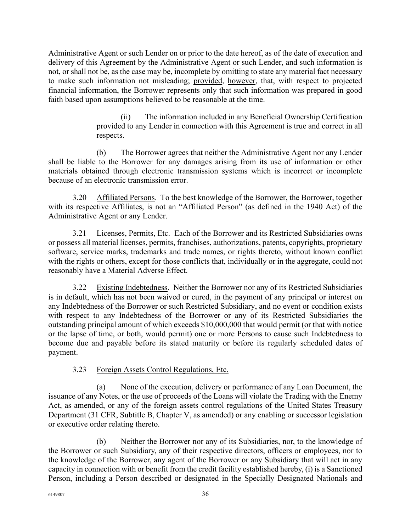Administrative Agent or such Lender on or prior to the date hereof, as of the date of execution and delivery of this Agreement by the Administrative Agent or such Lender, and such information is not, or shall not be, as the case may be, incomplete by omitting to state any material fact necessary to make such information not misleading; provided, however, that, with respect to projected financial information, the Borrower represents only that such information was prepared in good faith based upon assumptions believed to be reasonable at the time.

> (ii) The information included in any Beneficial Ownership Certification provided to any Lender in connection with this Agreement is true and correct in all respects.

(b) The Borrower agrees that neither the Administrative Agent nor any Lender shall be liable to the Borrower for any damages arising from its use of information or other materials obtained through electronic transmission systems which is incorrect or incomplete because of an electronic transmission error.

3.20 Affiliated Persons. To the best knowledge of the Borrower, the Borrower, together with its respective Affiliates, is not an "Affiliated Person" (as defined in the 1940 Act) of the Administrative Agent or any Lender.

3.21 Licenses, Permits, Etc. Each of the Borrower and its Restricted Subsidiaries owns or possess all material licenses, permits, franchises, authorizations, patents, copyrights, proprietary software, service marks, trademarks and trade names, or rights thereto, without known conflict with the rights or others, except for those conflicts that, individually or in the aggregate, could not reasonably have a Material Adverse Effect.

3.22 Existing Indebtedness. Neither the Borrower nor any of its Restricted Subsidiaries is in default, which has not been waived or cured, in the payment of any principal or interest on any Indebtedness of the Borrower or such Restricted Subsidiary, and no event or condition exists with respect to any Indebtedness of the Borrower or any of its Restricted Subsidiaries the outstanding principal amount of which exceeds \$10,000,000 that would permit (or that with notice or the lapse of time, or both, would permit) one or more Persons to cause such Indebtedness to become due and payable before its stated maturity or before its regularly scheduled dates of payment.

# 3.23 Foreign Assets Control Regulations, Etc.

(a) None of the execution, delivery or performance of any Loan Document, the issuance of any Notes, or the use of proceeds of the Loans will violate the Trading with the Enemy Act, as amended, or any of the foreign assets control regulations of the United States Treasury Department (31 CFR, Subtitle B, Chapter V, as amended) or any enabling or successor legislation or executive order relating thereto.

(b) Neither the Borrower nor any of its Subsidiaries, nor, to the knowledge of the Borrower or such Subsidiary, any of their respective directors, officers or employees, nor to the knowledge of the Borrower, any agent of the Borrower or any Subsidiary that will act in any capacity in connection with or benefit from the credit facility established hereby, (i) is a Sanctioned Person, including a Person described or designated in the Specially Designated Nationals and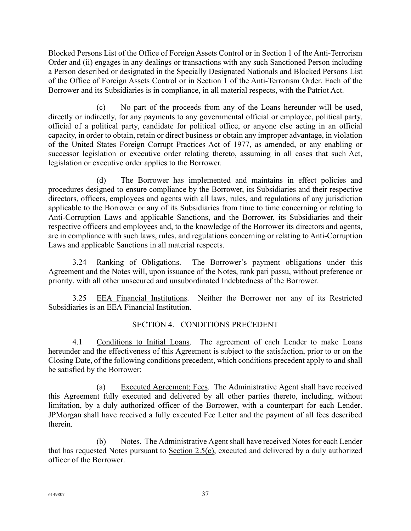Blocked Persons List of the Office of Foreign Assets Control or in Section 1 of the Anti-Terrorism Order and (ii) engages in any dealings or transactions with any such Sanctioned Person including a Person described or designated in the Specially Designated Nationals and Blocked Persons List of the Office of Foreign Assets Control or in Section 1 of the Anti-Terrorism Order. Each of the Borrower and its Subsidiaries is in compliance, in all material respects, with the Patriot Act.

(c) No part of the proceeds from any of the Loans hereunder will be used, directly or indirectly, for any payments to any governmental official or employee, political party, official of a political party, candidate for political office, or anyone else acting in an official capacity, in order to obtain, retain or direct business or obtain any improper advantage, in violation of the United States Foreign Corrupt Practices Act of 1977, as amended, or any enabling or successor legislation or executive order relating thereto, assuming in all cases that such Act, legislation or executive order applies to the Borrower.

(d) The Borrower has implemented and maintains in effect policies and procedures designed to ensure compliance by the Borrower, its Subsidiaries and their respective directors, officers, employees and agents with all laws, rules, and regulations of any jurisdiction applicable to the Borrower or any of its Subsidiaries from time to time concerning or relating to Anti-Corruption Laws and applicable Sanctions, and the Borrower, its Subsidiaries and their respective officers and employees and, to the knowledge of the Borrower its directors and agents, are in compliance with such laws, rules, and regulations concerning or relating to Anti-Corruption Laws and applicable Sanctions in all material respects.

3.24 Ranking of Obligations. The Borrower's payment obligations under this Agreement and the Notes will, upon issuance of the Notes, rank pari passu, without preference or priority, with all other unsecured and unsubordinated Indebtedness of the Borrower.

3.25 EEA Financial Institutions. Neither the Borrower nor any of its Restricted Subsidiaries is an EEA Financial Institution.

## SECTION 4. CONDITIONS PRECEDENT

4.1 Conditions to Initial Loans. The agreement of each Lender to make Loans hereunder and the effectiveness of this Agreement is subject to the satisfaction, prior to or on the Closing Date, of the following conditions precedent, which conditions precedent apply to and shall be satisfied by the Borrower:

(a) Executed Agreement; Fees. The Administrative Agent shall have received this Agreement fully executed and delivered by all other parties thereto, including, without limitation, by a duly authorized officer of the Borrower, with a counterpart for each Lender. JPMorgan shall have received a fully executed Fee Letter and the payment of all fees described therein.

(b) Notes. The Administrative Agent shall have received Notes for each Lender that has requested Notes pursuant to Section 2.5(e), executed and delivered by a duly authorized officer of the Borrower.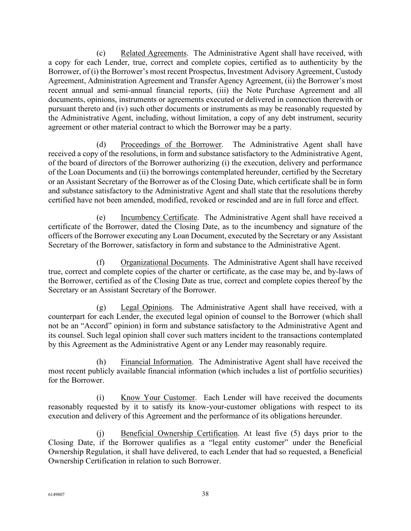(c) Related Agreements. The Administrative Agent shall have received, with a copy for each Lender, true, correct and complete copies, certified as to authenticity by the Borrower, of (i) the Borrower's most recent Prospectus, Investment Advisory Agreement, Custody Agreement, Administration Agreement and Transfer Agency Agreement, (ii) the Borrower's most recent annual and semi-annual financial reports, (iii) the Note Purchase Agreement and all documents, opinions, instruments or agreements executed or delivered in connection therewith or pursuant thereto and (iv) such other documents or instruments as may be reasonably requested by the Administrative Agent, including, without limitation, a copy of any debt instrument, security agreement or other material contract to which the Borrower may be a party.

(d) Proceedings of the Borrower. The Administrative Agent shall have received a copy of the resolutions, in form and substance satisfactory to the Administrative Agent, of the board of directors of the Borrower authorizing (i) the execution, delivery and performance of the Loan Documents and (ii) the borrowings contemplated hereunder, certified by the Secretary or an Assistant Secretary of the Borrower as of the Closing Date, which certificate shall be in form and substance satisfactory to the Administrative Agent and shall state that the resolutions thereby certified have not been amended, modified, revoked or rescinded and are in full force and effect.

(e) Incumbency Certificate. The Administrative Agent shall have received a certificate of the Borrower, dated the Closing Date, as to the incumbency and signature of the officers of the Borrower executing any Loan Document, executed by the Secretary or any Assistant Secretary of the Borrower, satisfactory in form and substance to the Administrative Agent.

(f) Organizational Documents. The Administrative Agent shall have received true, correct and complete copies of the charter or certificate, as the case may be, and by-laws of the Borrower, certified as of the Closing Date as true, correct and complete copies thereof by the Secretary or an Assistant Secretary of the Borrower.

(g) Legal Opinions. The Administrative Agent shall have received, with a counterpart for each Lender, the executed legal opinion of counsel to the Borrower (which shall not be an "Accord" opinion) in form and substance satisfactory to the Administrative Agent and its counsel. Such legal opinion shall cover such matters incident to the transactions contemplated by this Agreement as the Administrative Agent or any Lender may reasonably require.

(h) Financial Information. The Administrative Agent shall have received the most recent publicly available financial information (which includes a list of portfolio securities) for the Borrower.

(i) Know Your Customer. Each Lender will have received the documents reasonably requested by it to satisfy its know-your-customer obligations with respect to its execution and delivery of this Agreement and the performance of its obligations hereunder.

(j) Beneficial Ownership Certification. At least five (5) days prior to the Closing Date, if the Borrower qualifies as a "legal entity customer" under the Beneficial Ownership Regulation, it shall have delivered, to each Lender that had so requested, a Beneficial Ownership Certification in relation to such Borrower.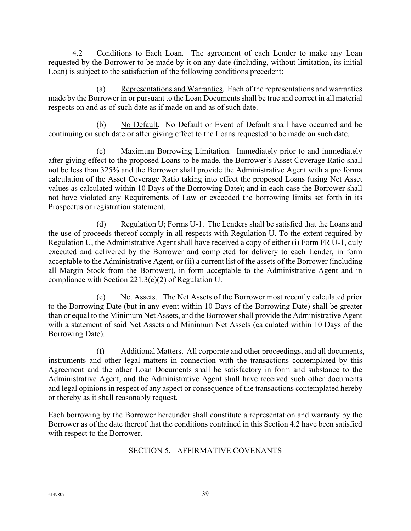4.2 Conditions to Each Loan. The agreement of each Lender to make any Loan requested by the Borrower to be made by it on any date (including, without limitation, its initial Loan) is subject to the satisfaction of the following conditions precedent:

(a) Representations and Warranties. Each of the representations and warranties made by the Borrower in or pursuant to the Loan Documents shall be true and correct in all material respects on and as of such date as if made on and as of such date.

No Default. No Default or Event of Default shall have occurred and be continuing on such date or after giving effect to the Loans requested to be made on such date.

(c) Maximum Borrowing Limitation. Immediately prior to and immediately after giving effect to the proposed Loans to be made, the Borrower's Asset Coverage Ratio shall not be less than 325% and the Borrower shall provide the Administrative Agent with a pro forma calculation of the Asset Coverage Ratio taking into effect the proposed Loans (using Net Asset values as calculated within 10 Days of the Borrowing Date); and in each case the Borrower shall not have violated any Requirements of Law or exceeded the borrowing limits set forth in its Prospectus or registration statement.

(d) Regulation U; Forms U-1. The Lenders shall be satisfied that the Loans and the use of proceeds thereof comply in all respects with Regulation U. To the extent required by Regulation U, the Administrative Agent shall have received a copy of either (i) Form FR U-1, duly executed and delivered by the Borrower and completed for delivery to each Lender, in form acceptable to the Administrative Agent, or (ii) a current list of the assets of the Borrower (including all Margin Stock from the Borrower), in form acceptable to the Administrative Agent and in compliance with Section 221.3(c)(2) of Regulation U.

(e) Net Assets. The Net Assets of the Borrower most recently calculated prior to the Borrowing Date (but in any event within 10 Days of the Borrowing Date) shall be greater than or equal to the Minimum Net Assets, and the Borrower shall provide the Administrative Agent with a statement of said Net Assets and Minimum Net Assets (calculated within 10 Days of the Borrowing Date).

(f) Additional Matters. All corporate and other proceedings, and all documents, instruments and other legal matters in connection with the transactions contemplated by this Agreement and the other Loan Documents shall be satisfactory in form and substance to the Administrative Agent, and the Administrative Agent shall have received such other documents and legal opinions in respect of any aspect or consequence of the transactions contemplated hereby or thereby as it shall reasonably request.

Each borrowing by the Borrower hereunder shall constitute a representation and warranty by the Borrower as of the date thereof that the conditions contained in this Section 4.2 have been satisfied with respect to the Borrower.

# SECTION 5. AFFIRMATIVE COVENANTS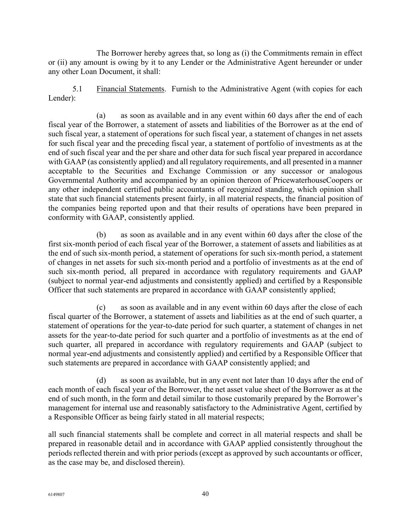The Borrower hereby agrees that, so long as (i) the Commitments remain in effect or (ii) any amount is owing by it to any Lender or the Administrative Agent hereunder or under any other Loan Document, it shall:

5.1 Financial Statements. Furnish to the Administrative Agent (with copies for each Lender):

(a) as soon as available and in any event within 60 days after the end of each fiscal year of the Borrower, a statement of assets and liabilities of the Borrower as at the end of such fiscal year, a statement of operations for such fiscal year, a statement of changes in net assets for such fiscal year and the preceding fiscal year, a statement of portfolio of investments as at the end of such fiscal year and the per share and other data for such fiscal year prepared in accordance with GAAP (as consistently applied) and all regulatory requirements, and all presented in a manner acceptable to the Securities and Exchange Commission or any successor or analogous Governmental Authority and accompanied by an opinion thereon of PricewaterhouseCoopers or any other independent certified public accountants of recognized standing, which opinion shall state that such financial statements present fairly, in all material respects, the financial position of the companies being reported upon and that their results of operations have been prepared in conformity with GAAP, consistently applied.

(b) as soon as available and in any event within 60 days after the close of the first six-month period of each fiscal year of the Borrower, a statement of assets and liabilities as at the end of such six-month period, a statement of operations for such six-month period, a statement of changes in net assets for such six-month period and a portfolio of investments as at the end of such six-month period, all prepared in accordance with regulatory requirements and GAAP (subject to normal year-end adjustments and consistently applied) and certified by a Responsible Officer that such statements are prepared in accordance with GAAP consistently applied;

(c) as soon as available and in any event within 60 days after the close of each fiscal quarter of the Borrower, a statement of assets and liabilities as at the end of such quarter, a statement of operations for the year-to-date period for such quarter, a statement of changes in net assets for the year-to-date period for such quarter and a portfolio of investments as at the end of such quarter, all prepared in accordance with regulatory requirements and GAAP (subject to normal year-end adjustments and consistently applied) and certified by a Responsible Officer that such statements are prepared in accordance with GAAP consistently applied; and

(d) as soon as available, but in any event not later than 10 days after the end of each month of each fiscal year of the Borrower, the net asset value sheet of the Borrower as at the end of such month, in the form and detail similar to those customarily prepared by the Borrower's management for internal use and reasonably satisfactory to the Administrative Agent, certified by a Responsible Officer as being fairly stated in all material respects;

all such financial statements shall be complete and correct in all material respects and shall be prepared in reasonable detail and in accordance with GAAP applied consistently throughout the periods reflected therein and with prior periods (except as approved by such accountants or officer, as the case may be, and disclosed therein).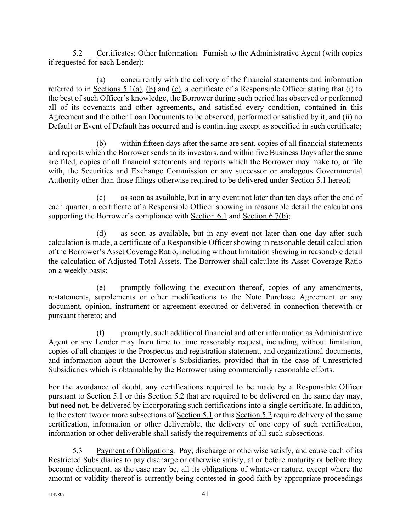5.2 Certificates; Other Information. Furnish to the Administrative Agent (with copies if requested for each Lender):

(a) concurrently with the delivery of the financial statements and information referred to in Sections 5.1(a), (b) and (c), a certificate of a Responsible Officer stating that (i) to the best of such Officer's knowledge, the Borrower during such period has observed or performed all of its covenants and other agreements, and satisfied every condition, contained in this Agreement and the other Loan Documents to be observed, performed or satisfied by it, and (ii) no Default or Event of Default has occurred and is continuing except as specified in such certificate;

(b) within fifteen days after the same are sent, copies of all financial statements and reports which the Borrower sends to its investors, and within five Business Days after the same are filed, copies of all financial statements and reports which the Borrower may make to, or file with, the Securities and Exchange Commission or any successor or analogous Governmental Authority other than those filings otherwise required to be delivered under Section 5.1 hereof;

(c) as soon as available, but in any event not later than ten days after the end of each quarter, a certificate of a Responsible Officer showing in reasonable detail the calculations supporting the Borrower's compliance with Section 6.1 and Section 6.7(b);

(d) as soon as available, but in any event not later than one day after such calculation is made, a certificate of a Responsible Officer showing in reasonable detail calculation of the Borrower's Asset Coverage Ratio, including without limitation showing in reasonable detail the calculation of Adjusted Total Assets. The Borrower shall calculate its Asset Coverage Ratio on a weekly basis;

(e) promptly following the execution thereof, copies of any amendments, restatements, supplements or other modifications to the Note Purchase Agreement or any document, opinion, instrument or agreement executed or delivered in connection therewith or pursuant thereto; and

(f) promptly, such additional financial and other information as Administrative Agent or any Lender may from time to time reasonably request, including, without limitation, copies of all changes to the Prospectus and registration statement, and organizational documents, and information about the Borrower's Subsidiaries, provided that in the case of Unrestricted Subsidiaries which is obtainable by the Borrower using commercially reasonable efforts.

For the avoidance of doubt, any certifications required to be made by a Responsible Officer pursuant to Section 5.1 or this Section 5.2 that are required to be delivered on the same day may, but need not, be delivered by incorporating such certifications into a single certificate. In addition, to the extent two or more subsections of Section 5.1 or this Section 5.2 require delivery of the same certification, information or other deliverable, the delivery of one copy of such certification, information or other deliverable shall satisfy the requirements of all such subsections.

5.3 Payment of Obligations. Pay, discharge or otherwise satisfy, and cause each of its Restricted Subsidiaries to pay discharge or otherwise satisfy, at or before maturity or before they become delinquent, as the case may be, all its obligations of whatever nature, except where the amount or validity thereof is currently being contested in good faith by appropriate proceedings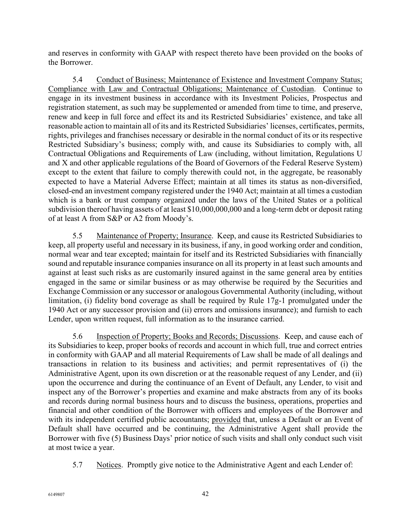and reserves in conformity with GAAP with respect thereto have been provided on the books of the Borrower.

5.4 Conduct of Business; Maintenance of Existence and Investment Company Status; Compliance with Law and Contractual Obligations; Maintenance of Custodian. Continue to engage in its investment business in accordance with its Investment Policies, Prospectus and registration statement, as such may be supplemented or amended from time to time, and preserve, renew and keep in full force and effect its and its Restricted Subsidiaries' existence, and take all reasonable action to maintain all of its and its Restricted Subsidiaries' licenses, certificates, permits, rights, privileges and franchises necessary or desirable in the normal conduct of its or its respective Restricted Subsidiary's business; comply with, and cause its Subsidiaries to comply with, all Contractual Obligations and Requirements of Law (including, without limitation, Regulations U and X and other applicable regulations of the Board of Governors of the Federal Reserve System) except to the extent that failure to comply therewith could not, in the aggregate, be reasonably expected to have a Material Adverse Effect; maintain at all times its status as non-diversified, closed-end an investment company registered under the 1940 Act; maintain at all times a custodian which is a bank or trust company organized under the laws of the United States or a political subdivision thereof having assets of at least \$10,000,000,000 and a long-term debt or deposit rating of at least A from S&P or A2 from Moody's.

5.5 Maintenance of Property; Insurance. Keep, and cause its Restricted Subsidiaries to keep, all property useful and necessary in its business, if any, in good working order and condition, normal wear and tear excepted; maintain for itself and its Restricted Subsidiaries with financially sound and reputable insurance companies insurance on all its property in at least such amounts and against at least such risks as are customarily insured against in the same general area by entities engaged in the same or similar business or as may otherwise be required by the Securities and Exchange Commission or any successor or analogous Governmental Authority (including, without limitation, (i) fidelity bond coverage as shall be required by Rule 17g-1 promulgated under the 1940 Act or any successor provision and (ii) errors and omissions insurance); and furnish to each Lender, upon written request, full information as to the insurance carried.

5.6 Inspection of Property; Books and Records; Discussions. Keep, and cause each of its Subsidiaries to keep, proper books of records and account in which full, true and correct entries in conformity with GAAP and all material Requirements of Law shall be made of all dealings and transactions in relation to its business and activities; and permit representatives of (i) the Administrative Agent, upon its own discretion or at the reasonable request of any Lender, and (ii) upon the occurrence and during the continuance of an Event of Default, any Lender, to visit and inspect any of the Borrower's properties and examine and make abstracts from any of its books and records during normal business hours and to discuss the business, operations, properties and financial and other condition of the Borrower with officers and employees of the Borrower and with its independent certified public accountants; provided that, unless a Default or an Event of Default shall have occurred and be continuing, the Administrative Agent shall provide the Borrower with five (5) Business Days' prior notice of such visits and shall only conduct such visit at most twice a year.

5.7 Notices. Promptly give notice to the Administrative Agent and each Lender of: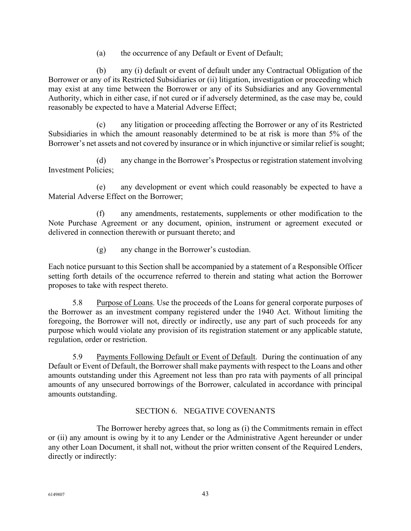(a) the occurrence of any Default or Event of Default;

(b) any (i) default or event of default under any Contractual Obligation of the Borrower or any of its Restricted Subsidiaries or (ii) litigation, investigation or proceeding which may exist at any time between the Borrower or any of its Subsidiaries and any Governmental Authority, which in either case, if not cured or if adversely determined, as the case may be, could reasonably be expected to have a Material Adverse Effect;

(c) any litigation or proceeding affecting the Borrower or any of its Restricted Subsidiaries in which the amount reasonably determined to be at risk is more than 5% of the Borrower's net assets and not covered by insurance or in which injunctive or similar relief is sought;

(d) any change in the Borrower's Prospectus or registration statement involving Investment Policies;

(e) any development or event which could reasonably be expected to have a Material Adverse Effect on the Borrower;

(f) any amendments, restatements, supplements or other modification to the Note Purchase Agreement or any document, opinion, instrument or agreement executed or delivered in connection therewith or pursuant thereto; and

(g) any change in the Borrower's custodian.

Each notice pursuant to this Section shall be accompanied by a statement of a Responsible Officer setting forth details of the occurrence referred to therein and stating what action the Borrower proposes to take with respect thereto.

5.8 Purpose of Loans. Use the proceeds of the Loans for general corporate purposes of the Borrower as an investment company registered under the 1940 Act. Without limiting the foregoing, the Borrower will not, directly or indirectly, use any part of such proceeds for any purpose which would violate any provision of its registration statement or any applicable statute, regulation, order or restriction.

5.9 Payments Following Default or Event of Default. During the continuation of any Default or Event of Default, the Borrower shall make payments with respect to the Loans and other amounts outstanding under this Agreement not less than pro rata with payments of all principal amounts of any unsecured borrowings of the Borrower, calculated in accordance with principal amounts outstanding.

# SECTION 6. NEGATIVE COVENANTS

The Borrower hereby agrees that, so long as (i) the Commitments remain in effect or (ii) any amount is owing by it to any Lender or the Administrative Agent hereunder or under any other Loan Document, it shall not, without the prior written consent of the Required Lenders, directly or indirectly: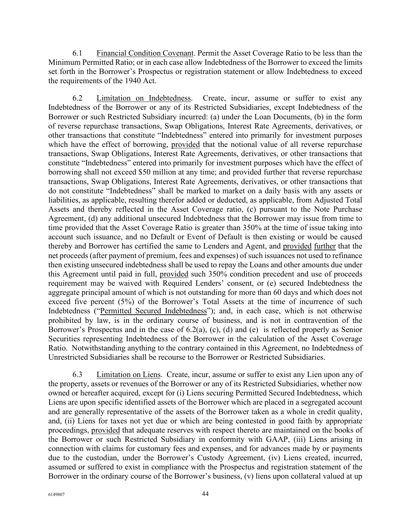6.1 Financial Condition Covenant. Permit the Asset Coverage Ratio to be less than the Minimum Permitted Ratio; or in each case allow Indebtedness of the Borrower to exceed the limits set forth in the Borrower's Prospectus or registration statement or allow Indebtedness to exceed the requirements of the 1940 Act.

6.2 Limitation on Indebtedness. Create, incur, assume or suffer to exist any Indebtedness of the Borrower or any of its Restricted Subsidiaries, except Indebtedness of the Borrower or such Restricted Subsidiary incurred: (a) under the Loan Documents, (b) in the form of reverse repurchase transactions, Swap Obligations, Interest Rate Agreements, derivatives, or other transactions that constitute "Indebtedness" entered into primarily for investment purposes which have the effect of borrowing, provided that the notional value of all reverse repurchase transactions, Swap Obligations, Interest Rate Agreements, derivatives, or other transactions that constitute "Indebtedness" entered into primarily for investment purposes which have the effect of borrowing shall not exceed \$50 million at any time; and provided further that reverse repurchase transactions, Swap Obligations, Interest Rate Agreements, derivatives, or other transactions that do not constitute "Indebtedness" shall be marked to market on a daily basis with any assets or liabilities, as applicable, resulting therefor added or deducted, as applicable, from Adjusted Total Assets and thereby reflected in the Asset Coverage ratio, (c) pursuant to the Note Purchase Agreement, (d) any additional unsecured Indebtedness that the Borrower may issue from time to time provided that the Asset Coverage Ratio is greater than 350% at the time of issue taking into account such issuance, and no Default or Event of Default is then existing or would be caused thereby and Borrower has certified the same to Lenders and Agent, and provided further that the net proceeds (after payment of premium, fees and expenses) of such issuances not used to refinance then existing unsecured indebtedness shall be used to repay the Loans and other amounts due under this Agreement until paid in full, provided such 350% condition precedent and use of proceeds requirement may be waived with Required Lenders' consent, or (e) secured Indebtedness the aggregate principal amount of which is not outstanding for more than 60 days and which does not exceed five percent (5%) of the Borrower's Total Assets at the time of incurrence of such Indebtedness ("Permitted Secured Indebtedness"); and, in each case, which is not otherwise prohibited by law, is in the ordinary course of business, and is not in contravention of the Borrower's Prospectus and in the case of 6.2(a), (c), (d) and (e) is reflected properly as Senior Securities representing Indebtedness of the Borrower in the calculation of the Asset Coverage Ratio. Notwithstanding anything to the contrary contained in this Agreement, no Indebtedness of Unrestricted Subsidiaries shall be recourse to the Borrower or Restricted Subsidiaries.

6.3 Limitation on Liens. Create, incur, assume or suffer to exist any Lien upon any of the property, assets or revenues of the Borrower or any of its Restricted Subsidiaries, whether now owned or hereafter acquired, except for (i) Liens securing Permitted Secured Indebtedness, which Liens are upon specific identified assets of the Borrower which are placed in a segregated account and are generally representative of the assets of the Borrower taken as a whole in credit quality, and, (ii) Liens for taxes not yet due or which are being contested in good faith by appropriate proceedings, provided that adequate reserves with respect thereto are maintained on the books of the Borrower or such Restricted Subsidiary in conformity with GAAP, (iii) Liens arising in connection with claims for customary fees and expenses, and for advances made by or payments due to the custodian, under the Borrower's Custody Agreement, (iv) Liens created, incurred, assumed or suffered to exist in compliance with the Prospectus and registration statement of the Borrower in the ordinary course of the Borrower's business, (v) liens upon collateral valued at up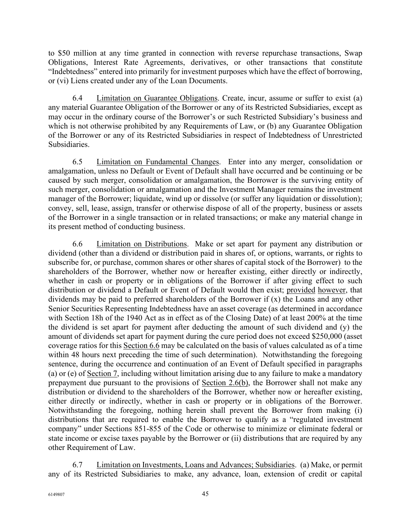to \$50 million at any time granted in connection with reverse repurchase transactions, Swap Obligations, Interest Rate Agreements, derivatives, or other transactions that constitute "Indebtedness" entered into primarily for investment purposes which have the effect of borrowing, or (vi) Liens created under any of the Loan Documents.

6.4 Limitation on Guarantee Obligations. Create, incur, assume or suffer to exist (a) any material Guarantee Obligation of the Borrower or any of its Restricted Subsidiaries, except as may occur in the ordinary course of the Borrower's or such Restricted Subsidiary's business and which is not otherwise prohibited by any Requirements of Law, or (b) any Guarantee Obligation of the Borrower or any of its Restricted Subsidiaries in respect of Indebtedness of Unrestricted Subsidiaries.

6.5 Limitation on Fundamental Changes. Enter into any merger, consolidation or amalgamation, unless no Default or Event of Default shall have occurred and be continuing or be caused by such merger, consolidation or amalgamation, the Borrower is the surviving entity of such merger, consolidation or amalgamation and the Investment Manager remains the investment manager of the Borrower; liquidate, wind up or dissolve (or suffer any liquidation or dissolution); convey, sell, lease, assign, transfer or otherwise dispose of all of the property, business or assets of the Borrower in a single transaction or in related transactions; or make any material change in its present method of conducting business.

6.6 Limitation on Distributions. Make or set apart for payment any distribution or dividend (other than a dividend or distribution paid in shares of, or options, warrants, or rights to subscribe for, or purchase, common shares or other shares of capital stock of the Borrower) to the shareholders of the Borrower, whether now or hereafter existing, either directly or indirectly, whether in cash or property or in obligations of the Borrower if after giving effect to such distribution or dividend a Default or Event of Default would then exist; provided however, that dividends may be paid to preferred shareholders of the Borrower if (x) the Loans and any other Senior Securities Representing Indebtedness have an asset coverage (as determined in accordance with Section 18h of the 1940 Act as in effect as of the Closing Date) of at least 200% at the time the dividend is set apart for payment after deducting the amount of such dividend and (y) the amount of dividends set apart for payment during the cure period does not exceed \$250,000 (asset coverage ratios for this Section 6.6 may be calculated on the basis of values calculated as of a time within 48 hours next preceding the time of such determination). Notwithstanding the foregoing sentence, during the occurrence and continuation of an Event of Default specified in paragraphs (a) or (e) of Section 7, including without limitation arising due to any failure to make a mandatory prepayment due pursuant to the provisions of <u>Section 2.6(b)</u>, the Borrower shall not make any distribution or dividend to the shareholders of the Borrower, whether now or hereafter existing, either directly or indirectly, whether in cash or property or in obligations of the Borrower. Notwithstanding the foregoing, nothing herein shall prevent the Borrower from making (i) distributions that are required to enable the Borrower to qualify as a "regulated investment company" under Sections 851-855 of the Code or otherwise to minimize or eliminate federal or state income or excise taxes payable by the Borrower or (ii) distributions that are required by any other Requirement of Law.

6.7 Limitation on Investments, Loans and Advances; Subsidiaries. (a) Make, or permit any of its Restricted Subsidiaries to make, any advance, loan, extension of credit or capital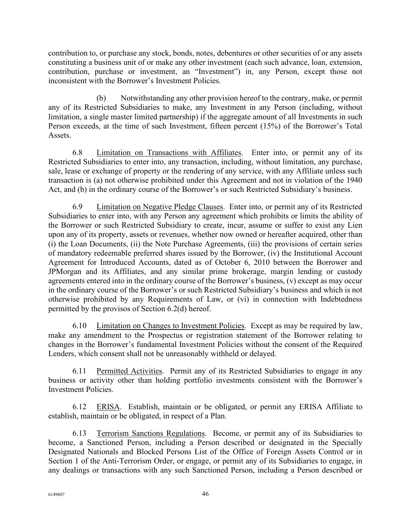contribution to, or purchase any stock, bonds, notes, debentures or other securities of or any assets constituting a business unit of or make any other investment (each such advance, loan, extension, contribution, purchase or investment, an "Investment") in, any Person, except those not inconsistent with the Borrower's Investment Policies.

(b) Notwithstanding any other provision hereof to the contrary, make, or permit any of its Restricted Subsidiaries to make, any Investment in any Person (including, without limitation, a single master limited partnership) if the aggregate amount of all Investments in such Person exceeds, at the time of such Investment, fifteen percent (15%) of the Borrower's Total Assets.

6.8 Limitation on Transactions with Affiliates. Enter into, or permit any of its Restricted Subsidiaries to enter into, any transaction, including, without limitation, any purchase, sale, lease or exchange of property or the rendering of any service, with any Affiliate unless such transaction is (a) not otherwise prohibited under this Agreement and not in violation of the 1940 Act, and (b) in the ordinary course of the Borrower's or such Restricted Subsidiary's business.

6.9 Limitation on Negative Pledge Clauses. Enter into, or permit any of its Restricted Subsidiaries to enter into, with any Person any agreement which prohibits or limits the ability of the Borrower or such Restricted Subsidiary to create, incur, assume or suffer to exist any Lien upon any of its property, assets or revenues, whether now owned or hereafter acquired, other than (i) the Loan Documents, (ii) the Note Purchase Agreements, (iii) the provisions of certain series of mandatory redeemable preferred shares issued by the Borrower, (iv) the Institutional Account Agreement for Introduced Accounts, dated as of October 6, 2010 between the Borrower and JPMorgan and its Affiliates, and any similar prime brokerage, margin lending or custody agreements entered into in the ordinary course of the Borrower's business, (v) except as may occur in the ordinary course of the Borrower's or such Restricted Subsidiary's business and which is not otherwise prohibited by any Requirements of Law, or (vi) in connection with Indebtedness permitted by the provisos of Section 6.2(d) hereof.

6.10 Limitation on Changes to Investment Policies. Except as may be required by law, make any amendment to the Prospectus or registration statement of the Borrower relating to changes in the Borrower's fundamental Investment Policies without the consent of the Required Lenders, which consent shall not be unreasonably withheld or delayed.

6.11 Permitted Activities. Permit any of its Restricted Subsidiaries to engage in any business or activity other than holding portfolio investments consistent with the Borrower's Investment Policies.

6.12 ERISA. Establish, maintain or be obligated, or permit any ERISA Affiliate to establish, maintain or be obligated, in respect of a Plan.

6.13 Terrorism Sanctions Regulations. Become, or permit any of its Subsidiaries to become, a Sanctioned Person, including a Person described or designated in the Specially Designated Nationals and Blocked Persons List of the Office of Foreign Assets Control or in Section 1 of the Anti-Terrorism Order, or engage, or permit any of its Subsidiaries to engage, in any dealings or transactions with any such Sanctioned Person, including a Person described or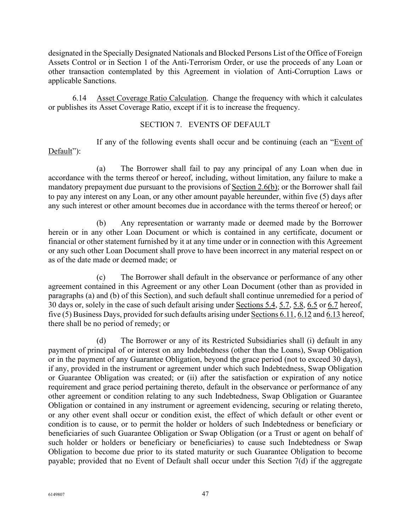designated in the Specially Designated Nationals and Blocked Persons List of the Office of Foreign Assets Control or in Section 1 of the Anti-Terrorism Order, or use the proceeds of any Loan or other transaction contemplated by this Agreement in violation of Anti-Corruption Laws or applicable Sanctions.

6.14 Asset Coverage Ratio Calculation. Change the frequency with which it calculates or publishes its Asset Coverage Ratio, except if it is to increase the frequency.

#### SECTION 7. EVENTS OF DEFAULT

If any of the following events shall occur and be continuing (each an "Event of Default"):

(a) The Borrower shall fail to pay any principal of any Loan when due in accordance with the terms thereof or hereof, including, without limitation, any failure to make a mandatory prepayment due pursuant to the provisions of Section 2.6(b); or the Borrower shall fail to pay any interest on any Loan, or any other amount payable hereunder, within five (5) days after any such interest or other amount becomes due in accordance with the terms thereof or hereof; or

(b) Any representation or warranty made or deemed made by the Borrower herein or in any other Loan Document or which is contained in any certificate, document or financial or other statement furnished by it at any time under or in connection with this Agreement or any such other Loan Document shall prove to have been incorrect in any material respect on or as of the date made or deemed made; or

(c) The Borrower shall default in the observance or performance of any other agreement contained in this Agreement or any other Loan Document (other than as provided in paragraphs (a) and (b) of this Section), and such default shall continue unremedied for a period of 30 days or, solely in the case of such default arising under Sections 5.4, 5.7, 5.8, 6.5 or 6.7 hereof, five (5) Business Days, provided for such defaults arising under Sections 6.11, 6.12 and 6.13 hereof, there shall be no period of remedy; or

(d) The Borrower or any of its Restricted Subsidiaries shall (i) default in any payment of principal of or interest on any Indebtedness (other than the Loans), Swap Obligation or in the payment of any Guarantee Obligation, beyond the grace period (not to exceed 30 days), if any, provided in the instrument or agreement under which such Indebtedness, Swap Obligation or Guarantee Obligation was created; or (ii) after the satisfaction or expiration of any notice requirement and grace period pertaining thereto, default in the observance or performance of any other agreement or condition relating to any such Indebtedness, Swap Obligation or Guarantee Obligation or contained in any instrument or agreement evidencing, securing or relating thereto, or any other event shall occur or condition exist, the effect of which default or other event or condition is to cause, or to permit the holder or holders of such Indebtedness or beneficiary or beneficiaries of such Guarantee Obligation or Swap Obligation (or a Trust or agent on behalf of such holder or holders or beneficiary or beneficiaries) to cause such Indebtedness or Swap Obligation to become due prior to its stated maturity or such Guarantee Obligation to become payable; provided that no Event of Default shall occur under this Section 7(d) if the aggregate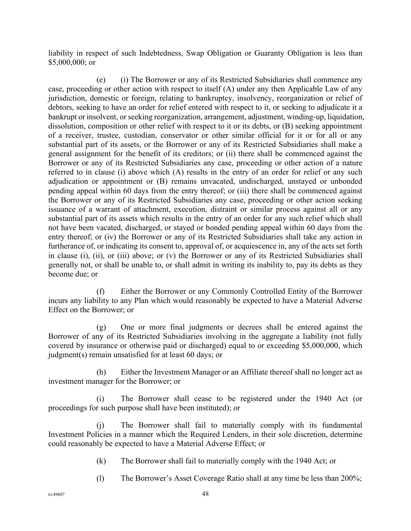liability in respect of such Indebtedness, Swap Obligation or Guaranty Obligation is less than \$5,000,000; or

(e) (i) The Borrower or any of its Restricted Subsidiaries shall commence any case, proceeding or other action with respect to itself (A) under any then Applicable Law of any jurisdiction, domestic or foreign, relating to bankruptcy, insolvency, reorganization or relief of debtors, seeking to have an order for relief entered with respect to it, or seeking to adjudicate it a bankrupt or insolvent, or seeking reorganization, arrangement, adjustment, winding-up, liquidation, dissolution, composition or other relief with respect to it or its debts, or (B) seeking appointment of a receiver, trustee, custodian, conservator or other similar official for it or for all or any substantial part of its assets, or the Borrower or any of its Restricted Subsidiaries shall make a general assignment for the benefit of its creditors; or (ii) there shall be commenced against the Borrower or any of its Restricted Subsidiaries any case, proceeding or other action of a nature referred to in clause (i) above which (A) results in the entry of an order for relief or any such adjudication or appointment or (B) remains unvacated, undischarged, unstayed or unbonded pending appeal within 60 days from the entry thereof; or (iii) there shall be commenced against the Borrower or any of its Restricted Subsidiaries any case, proceeding or other action seeking issuance of a warrant of attachment, execution, distraint or similar process against all or any substantial part of its assets which results in the entry of an order for any such relief which shall not have been vacated, discharged, or stayed or bonded pending appeal within 60 days from the entry thereof; or (iv) the Borrower or any of its Restricted Subsidiaries shall take any action in furtherance of, or indicating its consent to, approval of, or acquiescence in, any of the acts set forth in clause (i), (ii), or (iii) above; or (v) the Borrower or any of its Restricted Subsidiaries shall generally not, or shall be unable to, or shall admit in writing its inability to, pay its debts as they become due; or

(f) Either the Borrower or any Commonly Controlled Entity of the Borrower incurs any liability to any Plan which would reasonably be expected to have a Material Adverse Effect on the Borrower; or

(g) One or more final judgments or decrees shall be entered against the Borrower of any of its Restricted Subsidiaries involving in the aggregate a liability (not fully covered by insurance or otherwise paid or discharged) equal to or exceeding \$5,000,000, which judgment(s) remain unsatisfied for at least 60 days; or

(h) Either the Investment Manager or an Affiliate thereof shall no longer act as investment manager for the Borrower; or

(i) The Borrower shall cease to be registered under the 1940 Act (or proceedings for such purpose shall have been instituted); or

(j) The Borrower shall fail to materially comply with its fundamental Investment Policies in a manner which the Required Lenders, in their sole discretion, determine could reasonably be expected to have a Material Adverse Effect; or

- (k) The Borrower shall fail to materially comply with the 1940 Act; or
- (l) The Borrower's Asset Coverage Ratio shall at any time be less than 200%;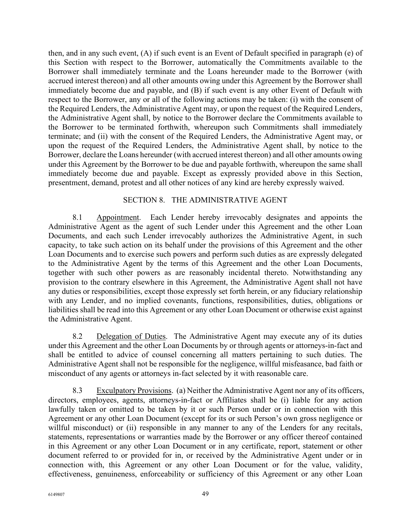then, and in any such event, (A) if such event is an Event of Default specified in paragraph (e) of this Section with respect to the Borrower, automatically the Commitments available to the Borrower shall immediately terminate and the Loans hereunder made to the Borrower (with accrued interest thereon) and all other amounts owing under this Agreement by the Borrower shall immediately become due and payable, and (B) if such event is any other Event of Default with respect to the Borrower, any or all of the following actions may be taken: (i) with the consent of the Required Lenders, the Administrative Agent may, or upon the request of the Required Lenders, the Administrative Agent shall, by notice to the Borrower declare the Commitments available to the Borrower to be terminated forthwith, whereupon such Commitments shall immediately terminate; and (ii) with the consent of the Required Lenders, the Administrative Agent may, or upon the request of the Required Lenders, the Administrative Agent shall, by notice to the Borrower, declare the Loans hereunder (with accrued interest thereon) and all other amounts owing under this Agreement by the Borrower to be due and payable forthwith, whereupon the same shall immediately become due and payable. Except as expressly provided above in this Section, presentment, demand, protest and all other notices of any kind are hereby expressly waived.

#### SECTION 8. THE ADMINISTRATIVE AGENT

8.1 Appointment. Each Lender hereby irrevocably designates and appoints the Administrative Agent as the agent of such Lender under this Agreement and the other Loan Documents, and each such Lender irrevocably authorizes the Administrative Agent, in such capacity, to take such action on its behalf under the provisions of this Agreement and the other Loan Documents and to exercise such powers and perform such duties as are expressly delegated to the Administrative Agent by the terms of this Agreement and the other Loan Documents, together with such other powers as are reasonably incidental thereto. Notwithstanding any provision to the contrary elsewhere in this Agreement, the Administrative Agent shall not have any duties or responsibilities, except those expressly set forth herein, or any fiduciary relationship with any Lender, and no implied covenants, functions, responsibilities, duties, obligations or liabilities shall be read into this Agreement or any other Loan Document or otherwise exist against the Administrative Agent.

8.2 Delegation of Duties. The Administrative Agent may execute any of its duties under this Agreement and the other Loan Documents by or through agents or attorneys-in-fact and shall be entitled to advice of counsel concerning all matters pertaining to such duties. The Administrative Agent shall not be responsible for the negligence, willful misfeasance, bad faith or misconduct of any agents or attorneys in-fact selected by it with reasonable care.

8.3 Exculpatory Provisions. (a) Neither the Administrative Agent nor any of its officers, directors, employees, agents, attorneys-in-fact or Affiliates shall be (i) liable for any action lawfully taken or omitted to be taken by it or such Person under or in connection with this Agreement or any other Loan Document (except for its or such Person's own gross negligence or willful misconduct) or (ii) responsible in any manner to any of the Lenders for any recitals, statements, representations or warranties made by the Borrower or any officer thereof contained in this Agreement or any other Loan Document or in any certificate, report, statement or other document referred to or provided for in, or received by the Administrative Agent under or in connection with, this Agreement or any other Loan Document or for the value, validity, effectiveness, genuineness, enforceability or sufficiency of this Agreement or any other Loan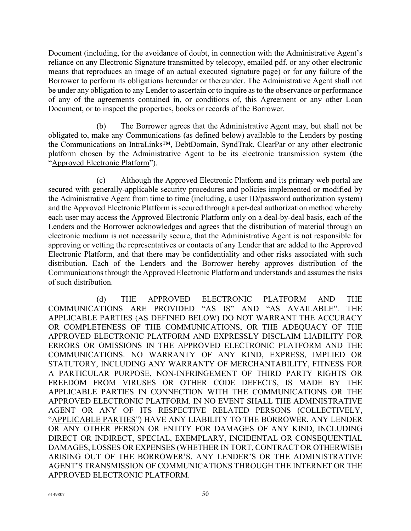Document (including, for the avoidance of doubt, in connection with the Administrative Agent's reliance on any Electronic Signature transmitted by telecopy, emailed pdf. or any other electronic means that reproduces an image of an actual executed signature page) or for any failure of the Borrower to perform its obligations hereunder or thereunder. The Administrative Agent shall not be under any obligation to any Lender to ascertain or to inquire as to the observance or performance of any of the agreements contained in, or conditions of, this Agreement or any other Loan Document, or to inspect the properties, books or records of the Borrower.

(b) The Borrower agrees that the Administrative Agent may, but shall not be obligated to, make any Communications (as defined below) available to the Lenders by posting the Communications on IntraLinks™, DebtDomain, SyndTrak, ClearPar or any other electronic platform chosen by the Administrative Agent to be its electronic transmission system (the "Approved Electronic Platform").

(c) Although the Approved Electronic Platform and its primary web portal are secured with generally-applicable security procedures and policies implemented or modified by the Administrative Agent from time to time (including, a user ID/password authorization system) and the Approved Electronic Platform is secured through a per-deal authorization method whereby each user may access the Approved Electronic Platform only on a deal-by-deal basis, each of the Lenders and the Borrower acknowledges and agrees that the distribution of material through an electronic medium is not necessarily secure, that the Administrative Agent is not responsible for approving or vetting the representatives or contacts of any Lender that are added to the Approved Electronic Platform, and that there may be confidentiality and other risks associated with such distribution. Each of the Lenders and the Borrower hereby approves distribution of the Communications through the Approved Electronic Platform and understands and assumes the risks of such distribution.

(d) THE APPROVED ELECTRONIC PLATFORM AND THE COMMUNICATIONS ARE PROVIDED "AS IS" AND "AS AVAILABLE". THE APPLICABLE PARTIES (AS DEFINED BELOW) DO NOT WARRANT THE ACCURACY OR COMPLETENESS OF THE COMMUNICATIONS, OR THE ADEQUACY OF THE APPROVED ELECTRONIC PLATFORM AND EXPRESSLY DISCLAIM LIABILITY FOR ERRORS OR OMISSIONS IN THE APPROVED ELECTRONIC PLATFORM AND THE COMMUNICATIONS. NO WARRANTY OF ANY KIND, EXPRESS, IMPLIED OR STATUTORY, INCLUDING ANY WARRANTY OF MERCHANTABILITY, FITNESS FOR A PARTICULAR PURPOSE, NON-INFRINGEMENT OF THIRD PARTY RIGHTS OR FREEDOM FROM VIRUSES OR OTHER CODE DEFECTS, IS MADE BY THE APPLICABLE PARTIES IN CONNECTION WITH THE COMMUNICATIONS OR THE APPROVED ELECTRONIC PLATFORM. IN NO EVENT SHALL THE ADMINISTRATIVE AGENT OR ANY OF ITS RESPECTIVE RELATED PERSONS (COLLECTIVELY, "APPLICABLE PARTIES") HAVE ANY LIABILITY TO THE BORROWER, ANY LENDER OR ANY OTHER PERSON OR ENTITY FOR DAMAGES OF ANY KIND, INCLUDING DIRECT OR INDIRECT, SPECIAL, EXEMPLARY, INCIDENTAL OR CONSEQUENTIAL DAMAGES, LOSSES OR EXPENSES (WHETHER IN TORT, CONTRACT OR OTHERWISE) ARISING OUT OF THE BORROWER'S, ANY LENDER'S OR THE ADMINISTRATIVE AGENT'S TRANSMISSION OF COMMUNICATIONS THROUGH THE INTERNET OR THE APPROVED ELECTRONIC PLATFORM.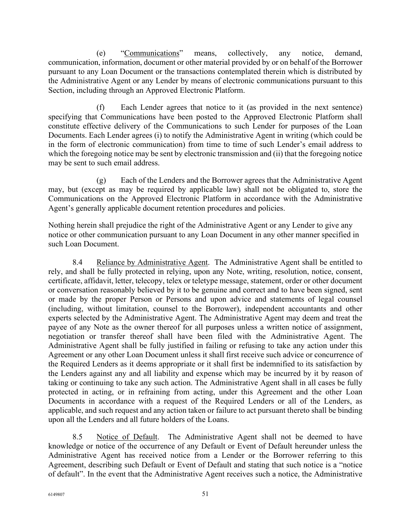(e) "Communications" means, collectively, any notice, demand, communication, information, document or other material provided by or on behalf of the Borrower pursuant to any Loan Document or the transactions contemplated therein which is distributed by the Administrative Agent or any Lender by means of electronic communications pursuant to this Section, including through an Approved Electronic Platform.

(f) Each Lender agrees that notice to it (as provided in the next sentence) specifying that Communications have been posted to the Approved Electronic Platform shall constitute effective delivery of the Communications to such Lender for purposes of the Loan Documents. Each Lender agrees (i) to notify the Administrative Agent in writing (which could be in the form of electronic communication) from time to time of such Lender's email address to which the foregoing notice may be sent by electronic transmission and (ii) that the foregoing notice may be sent to such email address.

(g) Each of the Lenders and the Borrower agrees that the Administrative Agent may, but (except as may be required by applicable law) shall not be obligated to, store the Communications on the Approved Electronic Platform in accordance with the Administrative Agent's generally applicable document retention procedures and policies.

Nothing herein shall prejudice the right of the Administrative Agent or any Lender to give any notice or other communication pursuant to any Loan Document in any other manner specified in such Loan Document.

8.4 Reliance by Administrative Agent. The Administrative Agent shall be entitled to rely, and shall be fully protected in relying, upon any Note, writing, resolution, notice, consent, certificate, affidavit, letter, telecopy, telex or teletype message, statement, order or other document or conversation reasonably believed by it to be genuine and correct and to have been signed, sent or made by the proper Person or Persons and upon advice and statements of legal counsel (including, without limitation, counsel to the Borrower), independent accountants and other experts selected by the Administrative Agent. The Administrative Agent may deem and treat the payee of any Note as the owner thereof for all purposes unless a written notice of assignment, negotiation or transfer thereof shall have been filed with the Administrative Agent. The Administrative Agent shall be fully justified in failing or refusing to take any action under this Agreement or any other Loan Document unless it shall first receive such advice or concurrence of the Required Lenders as it deems appropriate or it shall first be indemnified to its satisfaction by the Lenders against any and all liability and expense which may be incurred by it by reason of taking or continuing to take any such action. The Administrative Agent shall in all cases be fully protected in acting, or in refraining from acting, under this Agreement and the other Loan Documents in accordance with a request of the Required Lenders or all of the Lenders, as applicable, and such request and any action taken or failure to act pursuant thereto shall be binding upon all the Lenders and all future holders of the Loans.

8.5 Notice of Default. The Administrative Agent shall not be deemed to have knowledge or notice of the occurrence of any Default or Event of Default hereunder unless the Administrative Agent has received notice from a Lender or the Borrower referring to this Agreement, describing such Default or Event of Default and stating that such notice is a "notice of default". In the event that the Administrative Agent receives such a notice, the Administrative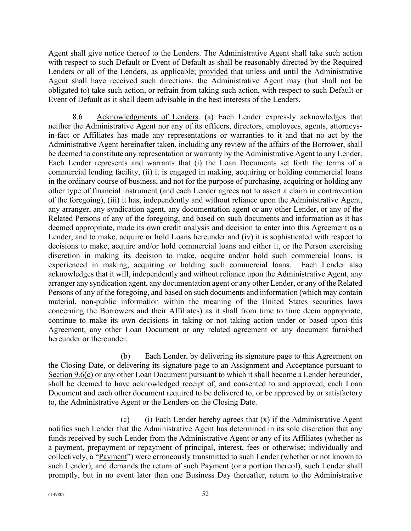Agent shall give notice thereof to the Lenders. The Administrative Agent shall take such action with respect to such Default or Event of Default as shall be reasonably directed by the Required Lenders or all of the Lenders, as applicable; provided that unless and until the Administrative Agent shall have received such directions, the Administrative Agent may (but shall not be obligated to) take such action, or refrain from taking such action, with respect to such Default or Event of Default as it shall deem advisable in the best interests of the Lenders.

8.6 Acknowledgments of Lenders. (a) Each Lender expressly acknowledges that neither the Administrative Agent nor any of its officers, directors, employees, agents, attorneysin-fact or Affiliates has made any representations or warranties to it and that no act by the Administrative Agent hereinafter taken, including any review of the affairs of the Borrower, shall be deemed to constitute any representation or warranty by the Administrative Agent to any Lender. Each Lender represents and warrants that (i) the Loan Documents set forth the terms of a commercial lending facility, (ii) it is engaged in making, acquiring or holding commercial loans in the ordinary course of business, and not for the purpose of purchasing, acquiring or holding any other type of financial instrument (and each Lender agrees not to assert a claim in contravention of the foregoing), (iii) it has, independently and without reliance upon the Administrative Agent, any arranger, any syndication agent, any documentation agent or any other Lender, or any of the Related Persons of any of the foregoing, and based on such documents and information as it has deemed appropriate, made its own credit analysis and decision to enter into this Agreement as a Lender, and to make, acquire or hold Loans hereunder and (iv) it is sophisticated with respect to decisions to make, acquire and/or hold commercial loans and either it, or the Person exercising discretion in making its decision to make, acquire and/or hold such commercial loans, is experienced in making, acquiring or holding such commercial loans. Each Lender also acknowledges that it will, independently and without reliance upon the Administrative Agent, any arranger any syndication agent, any documentation agent or any other Lender, or any of the Related Persons of any of the foregoing, and based on such documents and information (which may contain material, non-public information within the meaning of the United States securities laws concerning the Borrowers and their Affiliates) as it shall from time to time deem appropriate, continue to make its own decisions in taking or not taking action under or based upon this Agreement, any other Loan Document or any related agreement or any document furnished hereunder or thereunder.

(b) Each Lender, by delivering its signature page to this Agreement on the Closing Date, or delivering its signature page to an Assignment and Acceptance pursuant to Section 9.6(c) or any other Loan Document pursuant to which it shall become a Lender hereunder, shall be deemed to have acknowledged receipt of, and consented to and approved, each Loan Document and each other document required to be delivered to, or be approved by or satisfactory to, the Administrative Agent or the Lenders on the Closing Date.

(c) (i) Each Lender hereby agrees that (x) if the Administrative Agent notifies such Lender that the Administrative Agent has determined in its sole discretion that any funds received by such Lender from the Administrative Agent or any of its Affiliates (whether as a payment, prepayment or repayment of principal, interest, fees or otherwise; individually and collectively, a "Payment") were erroneously transmitted to such Lender (whether or not known to such Lender), and demands the return of such Payment (or a portion thereof), such Lender shall promptly, but in no event later than one Business Day thereafter, return to the Administrative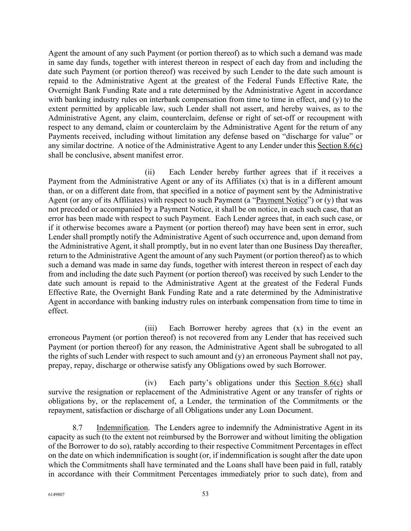Agent the amount of any such Payment (or portion thereof) as to which such a demand was made in same day funds, together with interest thereon in respect of each day from and including the date such Payment (or portion thereof) was received by such Lender to the date such amount is repaid to the Administrative Agent at the greatest of the Federal Funds Effective Rate, the Overnight Bank Funding Rate and a rate determined by the Administrative Agent in accordance with banking industry rules on interbank compensation from time to time in effect, and (y) to the extent permitted by applicable law, such Lender shall not assert, and hereby waives, as to the Administrative Agent, any claim, counterclaim, defense or right of set-off or recoupment with respect to any demand, claim or counterclaim by the Administrative Agent for the return of any Payments received, including without limitation any defense based on "discharge for value" or any similar doctrine. A notice of the Administrative Agent to any Lender under this Section 8.6(c) shall be conclusive, absent manifest error.

(ii) Each Lender hereby further agrees that if it receives a Payment from the Administrative Agent or any of its Affiliates (x) that is in a different amount than, or on a different date from, that specified in a notice of payment sent by the Administrative Agent (or any of its Affiliates) with respect to such Payment (a "Payment Notice") or (y) that was not preceded or accompanied by a Payment Notice, it shall be on notice, in each such case, that an error has been made with respect to such Payment. Each Lender agrees that, in each such case, or if it otherwise becomes aware a Payment (or portion thereof) may have been sent in error, such Lender shall promptly notify the Administrative Agent of such occurrence and, upon demand from the Administrative Agent, it shall promptly, but in no event later than one Business Day thereafter, return to the Administrative Agent the amount of any such Payment (or portion thereof) as to which such a demand was made in same day funds, together with interest thereon in respect of each day from and including the date such Payment (or portion thereof) was received by such Lender to the date such amount is repaid to the Administrative Agent at the greatest of the Federal Funds Effective Rate, the Overnight Bank Funding Rate and a rate determined by the Administrative Agent in accordance with banking industry rules on interbank compensation from time to time in effect.

(iii) Each Borrower hereby agrees that (x) in the event an erroneous Payment (or portion thereof) is not recovered from any Lender that has received such Payment (or portion thereof) for any reason, the Administrative Agent shall be subrogated to all the rights of such Lender with respect to such amount and (y) an erroneous Payment shall not pay, prepay, repay, discharge or otherwise satisfy any Obligations owed by such Borrower.

(iv) Each party's obligations under this Section 8.6(c) shall survive the resignation or replacement of the Administrative Agent or any transfer of rights or obligations by, or the replacement of, a Lender, the termination of the Commitments or the repayment, satisfaction or discharge of all Obligations under any Loan Document.

8.7 Indemnification. The Lenders agree to indemnify the Administrative Agent in its capacity as such (to the extent not reimbursed by the Borrower and without limiting the obligation of the Borrower to do so), ratably according to their respective Commitment Percentages in effect on the date on which indemnification is sought (or, if indemnification is sought after the date upon which the Commitments shall have terminated and the Loans shall have been paid in full, ratably in accordance with their Commitment Percentages immediately prior to such date), from and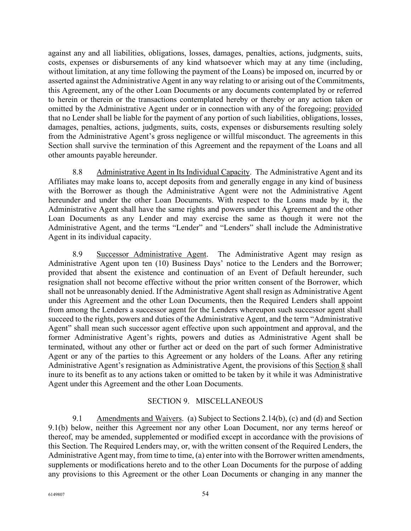against any and all liabilities, obligations, losses, damages, penalties, actions, judgments, suits, costs, expenses or disbursements of any kind whatsoever which may at any time (including, without limitation, at any time following the payment of the Loans) be imposed on, incurred by or asserted against the Administrative Agent in any way relating to or arising out of the Commitments, this Agreement, any of the other Loan Documents or any documents contemplated by or referred to herein or therein or the transactions contemplated hereby or thereby or any action taken or omitted by the Administrative Agent under or in connection with any of the foregoing; provided that no Lender shall be liable for the payment of any portion of such liabilities, obligations, losses, damages, penalties, actions, judgments, suits, costs, expenses or disbursements resulting solely from the Administrative Agent's gross negligence or willful misconduct. The agreements in this Section shall survive the termination of this Agreement and the repayment of the Loans and all other amounts payable hereunder.

8.8 Administrative Agent in Its Individual Capacity. The Administrative Agent and its Affiliates may make loans to, accept deposits from and generally engage in any kind of business with the Borrower as though the Administrative Agent were not the Administrative Agent hereunder and under the other Loan Documents. With respect to the Loans made by it, the Administrative Agent shall have the same rights and powers under this Agreement and the other Loan Documents as any Lender and may exercise the same as though it were not the Administrative Agent, and the terms "Lender" and "Lenders" shall include the Administrative Agent in its individual capacity.

8.9 Successor Administrative Agent. The Administrative Agent may resign as Administrative Agent upon ten (10) Business Days' notice to the Lenders and the Borrower; provided that absent the existence and continuation of an Event of Default hereunder, such resignation shall not become effective without the prior written consent of the Borrower, which shall not be unreasonably denied. If the Administrative Agent shall resign as Administrative Agent under this Agreement and the other Loan Documents, then the Required Lenders shall appoint from among the Lenders a successor agent for the Lenders whereupon such successor agent shall succeed to the rights, powers and duties of the Administrative Agent, and the term "Administrative Agent" shall mean such successor agent effective upon such appointment and approval, and the former Administrative Agent's rights, powers and duties as Administrative Agent shall be terminated, without any other or further act or deed on the part of such former Administrative Agent or any of the parties to this Agreement or any holders of the Loans. After any retiring Administrative Agent's resignation as Administrative Agent, the provisions of this Section 8 shall inure to its benefit as to any actions taken or omitted to be taken by it while it was Administrative Agent under this Agreement and the other Loan Documents.

## SECTION 9. MISCELLANEOUS

9.1 Amendments and Waivers. (a) Subject to Sections 2.14(b), (c) and (d) and Section 9.1(b) below, neither this Agreement nor any other Loan Document, nor any terms hereof or thereof, may be amended, supplemented or modified except in accordance with the provisions of this Section. The Required Lenders may, or, with the written consent of the Required Lenders, the Administrative Agent may, from time to time, (a) enter into with the Borrower written amendments, supplements or modifications hereto and to the other Loan Documents for the purpose of adding any provisions to this Agreement or the other Loan Documents or changing in any manner the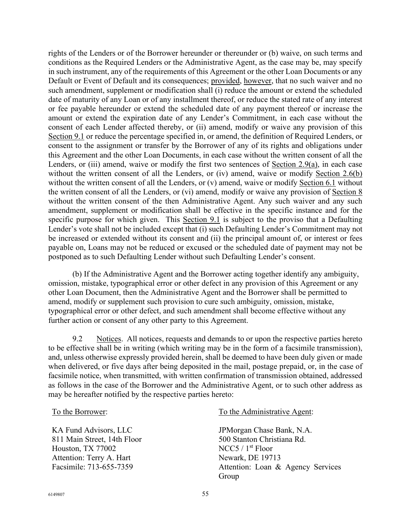rights of the Lenders or of the Borrower hereunder or thereunder or (b) waive, on such terms and conditions as the Required Lenders or the Administrative Agent, as the case may be, may specify in such instrument, any of the requirements of this Agreement or the other Loan Documents or any Default or Event of Default and its consequences; provided, however, that no such waiver and no such amendment, supplement or modification shall (i) reduce the amount or extend the scheduled date of maturity of any Loan or of any installment thereof, or reduce the stated rate of any interest or fee payable hereunder or extend the scheduled date of any payment thereof or increase the amount or extend the expiration date of any Lender's Commitment, in each case without the consent of each Lender affected thereby, or (ii) amend, modify or waive any provision of this Section 9.1 or reduce the percentage specified in, or amend, the definition of Required Lenders, or consent to the assignment or transfer by the Borrower of any of its rights and obligations under this Agreement and the other Loan Documents, in each case without the written consent of all the Lenders, or (iii) amend, waive or modify the first two sentences of Section 2.9(a), in each case without the written consent of all the Lenders, or (iv) amend, waive or modify Section 2.6(b) without the written consent of all the Lenders, or (v) amend, waive or modify Section 6.1 without the written consent of all the Lenders, or (vi) amend, modify or waive any provision of Section 8 without the written consent of the then Administrative Agent. Any such waiver and any such amendment, supplement or modification shall be effective in the specific instance and for the specific purpose for which given. This Section 9.1 is subject to the proviso that a Defaulting Lender's vote shall not be included except that (i) such Defaulting Lender's Commitment may not be increased or extended without its consent and (ii) the principal amount of, or interest or fees payable on, Loans may not be reduced or excused or the scheduled date of payment may not be postponed as to such Defaulting Lender without such Defaulting Lender's consent.

(b) If the Administrative Agent and the Borrower acting together identify any ambiguity, omission, mistake, typographical error or other defect in any provision of this Agreement or any other Loan Document, then the Administrative Agent and the Borrower shall be permitted to amend, modify or supplement such provision to cure such ambiguity, omission, mistake, typographical error or other defect, and such amendment shall become effective without any further action or consent of any other party to this Agreement.

9.2 Notices. All notices, requests and demands to or upon the respective parties hereto to be effective shall be in writing (which writing may be in the form of a facsimile transmission), and, unless otherwise expressly provided herein, shall be deemed to have been duly given or made when delivered, or five days after being deposited in the mail, postage prepaid, or, in the case of facsimile notice, when transmitted, with written confirmation of transmission obtained, addressed as follows in the case of the Borrower and the Administrative Agent, or to such other address as may be hereafter notified by the respective parties hereto:

KA Fund Advisors, LLC 811 Main Street, 14th Floor Houston, TX 77002 Attention: Terry A. Hart Facsimile: 713-655-7359

#### To the Borrower: To the Administrative Agent:

JPMorgan Chase Bank, N.A. 500 Stanton Christiana Rd.  $NCC5 / 1<sup>st</sup> Floor$ Newark, DE 19713 Attention: Loan & Agency Services Group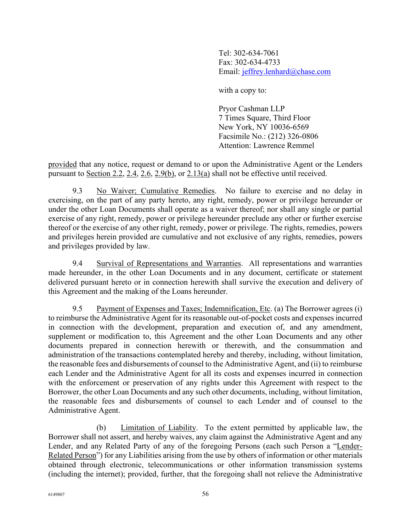Tel: 302-634-7061 Fax: 302-634-4733 Email: [jeffrey.lenhard@chase.com](mailto:jeffrey.lenhard@chase.com)

with a copy to:

Pryor Cashman LLP 7 Times Square, Third Floor New York, NY 10036-6569 Facsimile No.: (212) 326-0806 Attention: Lawrence Remmel

provided that any notice, request or demand to or upon the Administrative Agent or the Lenders pursuant to Section 2.2, 2.4, 2.6, 2.9(b), or 2.13(a) shall not be effective until received.

9.3 No Waiver; Cumulative Remedies. No failure to exercise and no delay in exercising, on the part of any party hereto, any right, remedy, power or privilege hereunder or under the other Loan Documents shall operate as a waiver thereof; nor shall any single or partial exercise of any right, remedy, power or privilege hereunder preclude any other or further exercise thereof or the exercise of any other right, remedy, power or privilege. The rights, remedies, powers and privileges herein provided are cumulative and not exclusive of any rights, remedies, powers and privileges provided by law.

9.4 Survival of Representations and Warranties. All representations and warranties made hereunder, in the other Loan Documents and in any document, certificate or statement delivered pursuant hereto or in connection herewith shall survive the execution and delivery of this Agreement and the making of the Loans hereunder.

9.5 Payment of Expenses and Taxes; Indemnification, Etc. (a) The Borrower agrees (i) to reimburse the Administrative Agent for its reasonable out-of-pocket costs and expenses incurred in connection with the development, preparation and execution of, and any amendment, supplement or modification to, this Agreement and the other Loan Documents and any other documents prepared in connection herewith or therewith, and the consummation and administration of the transactions contemplated hereby and thereby, including, without limitation, the reasonable fees and disbursements of counsel to the Administrative Agent, and (ii) to reimburse each Lender and the Administrative Agent for all its costs and expenses incurred in connection with the enforcement or preservation of any rights under this Agreement with respect to the Borrower, the other Loan Documents and any such other documents, including, without limitation, the reasonable fees and disbursements of counsel to each Lender and of counsel to the Administrative Agent.

(b) Limitation of Liability. To the extent permitted by applicable law, the Borrower shall not assert, and hereby waives, any claim against the Administrative Agent and any Lender, and any Related Party of any of the foregoing Persons (each such Person a "Lender-Related Person") for any Liabilities arising from the use by others of information or other materials obtained through electronic, telecommunications or other information transmission systems (including the internet); provided, further, that the foregoing shall not relieve the Administrative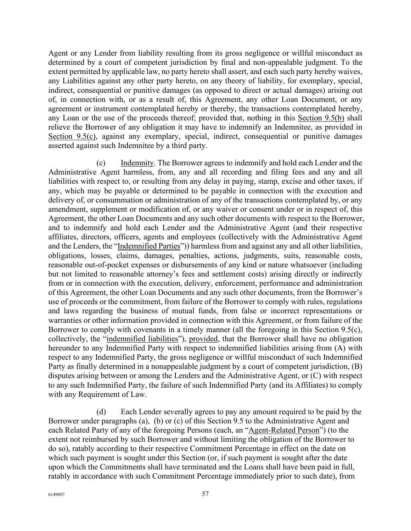Agent or any Lender from liability resulting from its gross negligence or willful misconduct as determined by a court of competent jurisdiction by final and non-appealable judgment. To the extent permitted by applicable law, no party hereto shall assert, and each such party hereby waives, any Liabilities against any other party hereto, on any theory of liability, for exemplary, special, indirect, consequential or punitive damages (as opposed to direct or actual damages) arising out of, in connection with, or as a result of, this Agreement, any other Loan Document, or any agreement or instrument contemplated hereby or thereby, the transactions contemplated hereby, any Loan or the use of the proceeds thereof; provided that, nothing in this Section 9.5(b) shall relieve the Borrower of any obligation it may have to indemnify an Indemnitee, as provided in Section 9.5(c), against any exemplary, special, indirect, consequential or punitive damages asserted against such Indemnitee by a third party.

(c) Indemnity. The Borrower agrees to indemnify and hold each Lender and the Administrative Agent harmless, from, any and all recording and filing fees and any and all liabilities with respect to, or resulting from any delay in paying, stamp, excise and other taxes, if any, which may be payable or determined to be payable in connection with the execution and delivery of, or consummation or administration of any of the transactions contemplated by, or any amendment, supplement or modification of, or any waiver or consent under or in respect of, this Agreement, the other Loan Documents and any such other documents with respect to the Borrower, and to indemnify and hold each Lender and the Administrative Agent (and their respective affiliates, directors, officers, agents and employees (collectively with the Administrative Agent and the Lenders, the "Indemnified Parties")) harmless from and against any and all other liabilities, obligations, losses, claims, damages, penalties, actions, judgments, suits, reasonable costs, reasonable out-of-pocket expenses or disbursements of any kind or nature whatsoever (including but not limited to reasonable attorney's fees and settlement costs) arising directly or indirectly from or in connection with the execution, delivery, enforcement, performance and administration of this Agreement, the other Loan Documents and any such other documents, from the Borrower's use of proceeds or the commitment, from failure of the Borrower to comply with rules, regulations and laws regarding the business of mutual funds, from false or incorrect representations or warranties or other information provided in connection with this Agreement, or from failure of the Borrower to comply with covenants in a timely manner (all the foregoing in this Section 9.5(c), collectively, the "indemnified liabilities"), provided, that the Borrower shall have no obligation hereunder to any Indemnified Party with respect to indemnified liabilities arising from (A) with respect to any Indemnified Party, the gross negligence or willful misconduct of such Indemnified Party as finally determined in a nonappealable judgment by a court of competent jurisdiction, (B) disputes arising between or among the Lenders and the Administrative Agent, or (C) with respect to any such Indemnified Party, the failure of such Indemnified Party (and its Affiliates) to comply with any Requirement of Law.

(d) Each Lender severally agrees to pay any amount required to be paid by the Borrower under paragraphs (a), (b) or (c) of this Section 9.5 to the Administrative Agent and each Related Party of any of the foregoing Persons (each, an "Agent-Related Person") (to the extent not reimbursed by such Borrower and without limiting the obligation of the Borrower to do so), ratably according to their respective Commitment Percentage in effect on the date on which such payment is sought under this Section (or, if such payment is sought after the date upon which the Commitments shall have terminated and the Loans shall have been paid in full, ratably in accordance with such Commitment Percentage immediately prior to such date), from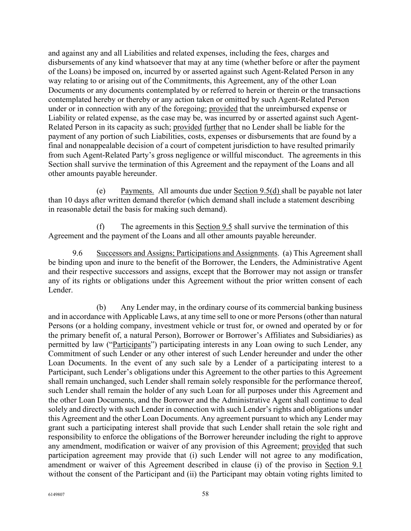and against any and all Liabilities and related expenses, including the fees, charges and disbursements of any kind whatsoever that may at any time (whether before or after the payment of the Loans) be imposed on, incurred by or asserted against such Agent-Related Person in any way relating to or arising out of the Commitments, this Agreement, any of the other Loan Documents or any documents contemplated by or referred to herein or therein or the transactions contemplated hereby or thereby or any action taken or omitted by such Agent-Related Person under or in connection with any of the foregoing; provided that the unreimbursed expense or Liability or related expense, as the case may be, was incurred by or asserted against such Agent-Related Person in its capacity as such; provided further that no Lender shall be liable for the payment of any portion of such Liabilities, costs, expenses or disbursements that are found by a final and nonappealable decision of a court of competent jurisdiction to have resulted primarily from such Agent-Related Party's gross negligence or willful misconduct. The agreements in this Section shall survive the termination of this Agreement and the repayment of the Loans and all other amounts payable hereunder.

(e) Payments. All amounts due under Section 9.5(d) shall be payable not later than 10 days after written demand therefor (which demand shall include a statement describing in reasonable detail the basis for making such demand).

(f) The agreements in this Section 9.5 shall survive the termination of this Agreement and the payment of the Loans and all other amounts payable hereunder.

9.6 Successors and Assigns; Participations and Assignments. (a) This Agreement shall be binding upon and inure to the benefit of the Borrower, the Lenders, the Administrative Agent and their respective successors and assigns, except that the Borrower may not assign or transfer any of its rights or obligations under this Agreement without the prior written consent of each Lender.

(b) Any Lender may, in the ordinary course of its commercial banking business and in accordance with Applicable Laws, at any time sell to one or more Persons(other than natural Persons (or a holding company, investment vehicle or trust for, or owned and operated by or for the primary benefit of, a natural Person), Borrower or Borrower's Affiliates and Subsidiaries) as permitted by law ("Participants") participating interests in any Loan owing to such Lender, any Commitment of such Lender or any other interest of such Lender hereunder and under the other Loan Documents. In the event of any such sale by a Lender of a participating interest to a Participant, such Lender's obligations under this Agreement to the other parties to this Agreement shall remain unchanged, such Lender shall remain solely responsible for the performance thereof, such Lender shall remain the holder of any such Loan for all purposes under this Agreement and the other Loan Documents, and the Borrower and the Administrative Agent shall continue to deal solely and directly with such Lender in connection with such Lender's rights and obligations under this Agreement and the other Loan Documents. Any agreement pursuant to which any Lender may grant such a participating interest shall provide that such Lender shall retain the sole right and responsibility to enforce the obligations of the Borrower hereunder including the right to approve any amendment, modification or waiver of any provision of this Agreement; provided that such participation agreement may provide that (i) such Lender will not agree to any modification, amendment or waiver of this Agreement described in clause (i) of the proviso in Section 9.1 without the consent of the Participant and (ii) the Participant may obtain voting rights limited to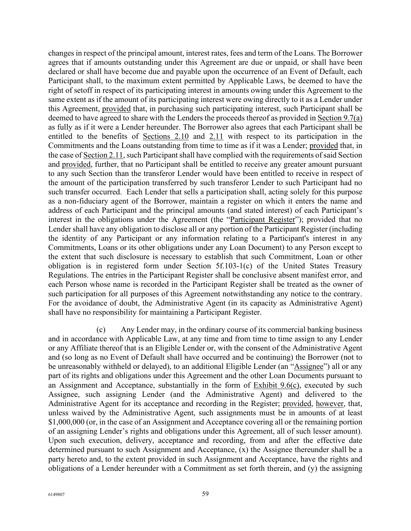changes in respect of the principal amount, interest rates, fees and term of the Loans. The Borrower agrees that if amounts outstanding under this Agreement are due or unpaid, or shall have been declared or shall have become due and payable upon the occurrence of an Event of Default, each Participant shall, to the maximum extent permitted by Applicable Laws, be deemed to have the right of setoff in respect of its participating interest in amounts owing under this Agreement to the same extent as if the amount of its participating interest were owing directly to it as a Lender under this Agreement, provided that, in purchasing such participating interest, such Participant shall be deemed to have agreed to share with the Lenders the proceeds thereof as provided in Section 9.7(a) as fully as if it were a Lender hereunder. The Borrower also agrees that each Participant shall be entitled to the benefits of Sections 2.10 and 2.11 with respect to its participation in the Commitments and the Loans outstanding from time to time as if it was a Lender; provided that, in the case of Section 2.11, such Participant shall have complied with the requirements of said Section and provided, further, that no Participant shall be entitled to receive any greater amount pursuant to any such Section than the transferor Lender would have been entitled to receive in respect of the amount of the participation transferred by such transferor Lender to such Participant had no such transfer occurred. Each Lender that sells a participation shall, acting solely for this purpose as a non-fiduciary agent of the Borrower, maintain a register on which it enters the name and address of each Participant and the principal amounts (and stated interest) of each Participant's interest in the obligations under the Agreement (the "Participant Register"); provided that no Lender shall have any obligation to disclose all or any portion of the Participant Register (including the identity of any Participant or any information relating to a Participant's interest in any Commitments, Loans or its other obligations under any Loan Document) to any Person except to the extent that such disclosure is necessary to establish that such Commitment, Loan or other obligation is in registered form under Section 5f.103-1(c) of the United States Treasury Regulations. The entries in the Participant Register shall be conclusive absent manifest error, and each Person whose name is recorded in the Participant Register shall be treated as the owner of such participation for all purposes of this Agreement notwithstanding any notice to the contrary. For the avoidance of doubt, the Administrative Agent (in its capacity as Administrative Agent) shall have no responsibility for maintaining a Participant Register.

(c) Any Lender may, in the ordinary course of its commercial banking business and in accordance with Applicable Law, at any time and from time to time assign to any Lender or any Affiliate thereof that is an Eligible Lender or, with the consent of the Administrative Agent and (so long as no Event of Default shall have occurred and be continuing) the Borrower (not to be unreasonably withheld or delayed), to an additional Eligible Lender (an "Assignee") all or any part of its rights and obligations under this Agreement and the other Loan Documents pursuant to an Assignment and Acceptance, substantially in the form of Exhibit 9.6(c), executed by such Assignee, such assigning Lender (and the Administrative Agent) and delivered to the Administrative Agent for its acceptance and recording in the Register; provided, however, that, unless waived by the Administrative Agent, such assignments must be in amounts of at least \$1,000,000 (or, in the case of an Assignment and Acceptance covering all or the remaining portion of an assigning Lender's rights and obligations under this Agreement, all of such lesser amount). Upon such execution, delivery, acceptance and recording, from and after the effective date determined pursuant to such Assignment and Acceptance, (x) the Assignee thereunder shall be a party hereto and, to the extent provided in such Assignment and Acceptance, have the rights and obligations of a Lender hereunder with a Commitment as set forth therein, and (y) the assigning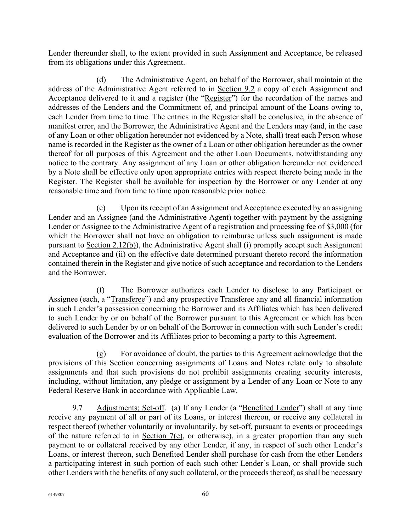Lender thereunder shall, to the extent provided in such Assignment and Acceptance, be released from its obligations under this Agreement.

(d) The Administrative Agent, on behalf of the Borrower, shall maintain at the address of the Administrative Agent referred to in Section 9.2 a copy of each Assignment and Acceptance delivered to it and a register (the "Register") for the recordation of the names and addresses of the Lenders and the Commitment of, and principal amount of the Loans owing to, each Lender from time to time. The entries in the Register shall be conclusive, in the absence of manifest error, and the Borrower, the Administrative Agent and the Lenders may (and, in the case of any Loan or other obligation hereunder not evidenced by a Note, shall) treat each Person whose name is recorded in the Register as the owner of a Loan or other obligation hereunder as the owner thereof for all purposes of this Agreement and the other Loan Documents, notwithstanding any notice to the contrary. Any assignment of any Loan or other obligation hereunder not evidenced by a Note shall be effective only upon appropriate entries with respect thereto being made in the Register. The Register shall be available for inspection by the Borrower or any Lender at any reasonable time and from time to time upon reasonable prior notice.

(e) Upon its receipt of an Assignment and Acceptance executed by an assigning Lender and an Assignee (and the Administrative Agent) together with payment by the assigning Lender or Assignee to the Administrative Agent of a registration and processing fee of \$3,000 (for which the Borrower shall not have an obligation to reimburse unless such assignment is made pursuant to Section 2.12(b)), the Administrative Agent shall (i) promptly accept such Assignment and Acceptance and (ii) on the effective date determined pursuant thereto record the information contained therein in the Register and give notice of such acceptance and recordation to the Lenders and the Borrower.

(f) The Borrower authorizes each Lender to disclose to any Participant or Assignee (each, a "Transferee") and any prospective Transferee any and all financial information in such Lender's possession concerning the Borrower and its Affiliates which has been delivered to such Lender by or on behalf of the Borrower pursuant to this Agreement or which has been delivered to such Lender by or on behalf of the Borrower in connection with such Lender's credit evaluation of the Borrower and its Affiliates prior to becoming a party to this Agreement.

(g) For avoidance of doubt, the parties to this Agreement acknowledge that the provisions of this Section concerning assignments of Loans and Notes relate only to absolute assignments and that such provisions do not prohibit assignments creating security interests, including, without limitation, any pledge or assignment by a Lender of any Loan or Note to any Federal Reserve Bank in accordance with Applicable Law.

9.7 Adjustments; Set-off. (a) If any Lender (a "Benefited Lender") shall at any time receive any payment of all or part of its Loans, or interest thereon, or receive any collateral in respect thereof (whether voluntarily or involuntarily, by set-off, pursuant to events or proceedings of the nature referred to in Section 7(e), or otherwise), in a greater proportion than any such payment to or collateral received by any other Lender, if any, in respect of such other Lender's Loans, or interest thereon, such Benefited Lender shall purchase for cash from the other Lenders a participating interest in such portion of each such other Lender's Loan, or shall provide such other Lenders with the benefits of any such collateral, or the proceeds thereof, as shall be necessary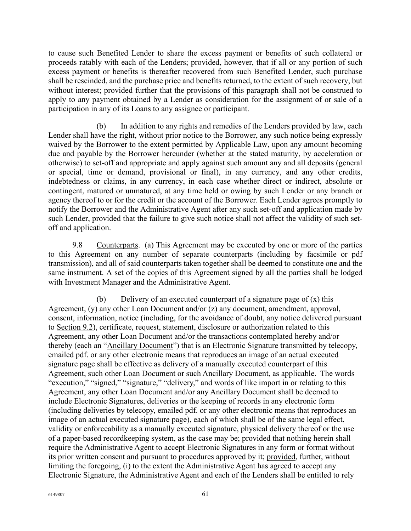to cause such Benefited Lender to share the excess payment or benefits of such collateral or proceeds ratably with each of the Lenders; provided, however, that if all or any portion of such excess payment or benefits is thereafter recovered from such Benefited Lender, such purchase shall be rescinded, and the purchase price and benefits returned, to the extent of such recovery, but without interest; provided further that the provisions of this paragraph shall not be construed to apply to any payment obtained by a Lender as consideration for the assignment of or sale of a participation in any of its Loans to any assignee or participant.

(b) In addition to any rights and remedies of the Lenders provided by law, each Lender shall have the right, without prior notice to the Borrower, any such notice being expressly waived by the Borrower to the extent permitted by Applicable Law, upon any amount becoming due and payable by the Borrower hereunder (whether at the stated maturity, by acceleration or otherwise) to set-off and appropriate and apply against such amount any and all deposits (general or special, time or demand, provisional or final), in any currency, and any other credits, indebtedness or claims, in any currency, in each case whether direct or indirect, absolute or contingent, matured or unmatured, at any time held or owing by such Lender or any branch or agency thereof to or for the credit or the account of the Borrower. Each Lender agrees promptly to notify the Borrower and the Administrative Agent after any such set-off and application made by such Lender, provided that the failure to give such notice shall not affect the validity of such setoff and application.

9.8 Counterparts. (a) This Agreement may be executed by one or more of the parties to this Agreement on any number of separate counterparts (including by facsimile or pdf transmission), and all of said counterparts taken together shall be deemed to constitute one and the same instrument. A set of the copies of this Agreement signed by all the parties shall be lodged with Investment Manager and the Administrative Agent.

(b) Delivery of an executed counterpart of a signature page of  $(x)$  this Agreement, (y) any other Loan Document and/or (z) any document, amendment, approval, consent, information, notice (including, for the avoidance of doubt, any notice delivered pursuant to Section 9.2), certificate, request, statement, disclosure or authorization related to this Agreement, any other Loan Document and/or the transactions contemplated hereby and/or thereby (each an "Ancillary Document") that is an Electronic Signature transmitted by telecopy, emailed pdf. or any other electronic means that reproduces an image of an actual executed signature page shall be effective as delivery of a manually executed counterpart of this Agreement, such other Loan Document or such Ancillary Document, as applicable. The words "execution," "signed," "signature," "delivery," and words of like import in or relating to this Agreement, any other Loan Document and/or any Ancillary Document shall be deemed to include Electronic Signatures, deliveries or the keeping of records in any electronic form (including deliveries by telecopy, emailed pdf. or any other electronic means that reproduces an image of an actual executed signature page), each of which shall be of the same legal effect, validity or enforceability as a manually executed signature, physical delivery thereof or the use of a paper-based recordkeeping system, as the case may be; provided that nothing herein shall require the Administrative Agent to accept Electronic Signatures in any form or format without its prior written consent and pursuant to procedures approved by it; provided, further, without limiting the foregoing, (i) to the extent the Administrative Agent has agreed to accept any Electronic Signature, the Administrative Agent and each of the Lenders shall be entitled to rely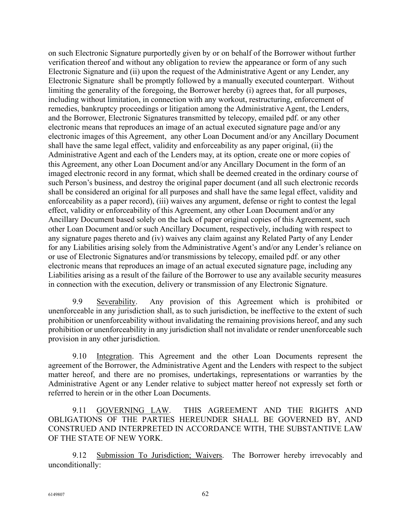on such Electronic Signature purportedly given by or on behalf of the Borrower without further verification thereof and without any obligation to review the appearance or form of any such Electronic Signature and (ii) upon the request of the Administrative Agent or any Lender, any Electronic Signature shall be promptly followed by a manually executed counterpart. Without limiting the generality of the foregoing, the Borrower hereby (i) agrees that, for all purposes, including without limitation, in connection with any workout, restructuring, enforcement of remedies, bankruptcy proceedings or litigation among the Administrative Agent, the Lenders, and the Borrower, Electronic Signatures transmitted by telecopy, emailed pdf. or any other electronic means that reproduces an image of an actual executed signature page and/or any electronic images of this Agreement, any other Loan Document and/or any Ancillary Document shall have the same legal effect, validity and enforceability as any paper original, (ii) the Administrative Agent and each of the Lenders may, at its option, create one or more copies of this Agreement, any other Loan Document and/or any Ancillary Document in the form of an imaged electronic record in any format, which shall be deemed created in the ordinary course of such Person's business, and destroy the original paper document (and all such electronic records shall be considered an original for all purposes and shall have the same legal effect, validity and enforceability as a paper record), (iii) waives any argument, defense or right to contest the legal effect, validity or enforceability of this Agreement, any other Loan Document and/or any Ancillary Document based solely on the lack of paper original copies of this Agreement, such other Loan Document and/or such Ancillary Document, respectively, including with respect to any signature pages thereto and (iv) waives any claim against any Related Party of any Lender for any Liabilities arising solely from the Administrative Agent's and/or any Lender's reliance on or use of Electronic Signatures and/or transmissions by telecopy, emailed pdf. or any other electronic means that reproduces an image of an actual executed signature page, including any Liabilities arising as a result of the failure of the Borrower to use any available security measures in connection with the execution, delivery or transmission of any Electronic Signature.

9.9 Severability. Any provision of this Agreement which is prohibited or unenforceable in any jurisdiction shall, as to such jurisdiction, be ineffective to the extent of such prohibition or unenforceability without invalidating the remaining provisions hereof, and any such prohibition or unenforceability in any jurisdiction shall not invalidate or render unenforceable such provision in any other jurisdiction.

9.10 Integration. This Agreement and the other Loan Documents represent the agreement of the Borrower, the Administrative Agent and the Lenders with respect to the subject matter hereof, and there are no promises, undertakings, representations or warranties by the Administrative Agent or any Lender relative to subject matter hereof not expressly set forth or referred to herein or in the other Loan Documents.

9.11 GOVERNING LAW. THIS AGREEMENT AND THE RIGHTS AND OBLIGATIONS OF THE PARTIES HEREUNDER SHALL BE GOVERNED BY, AND CONSTRUED AND INTERPRETED IN ACCORDANCE WITH, THE SUBSTANTIVE LAW OF THE STATE OF NEW YORK.

9.12 Submission To Jurisdiction; Waivers. The Borrower hereby irrevocably and unconditionally: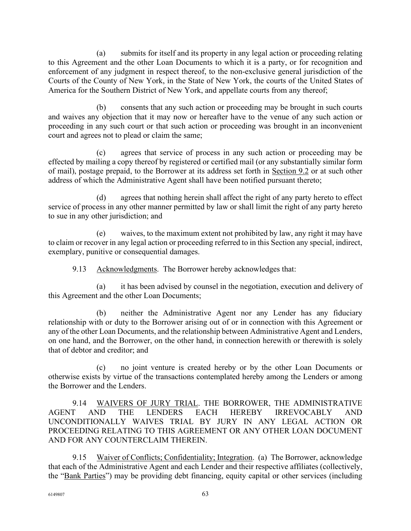(a) submits for itself and its property in any legal action or proceeding relating to this Agreement and the other Loan Documents to which it is a party, or for recognition and enforcement of any judgment in respect thereof, to the non-exclusive general jurisdiction of the Courts of the County of New York, in the State of New York, the courts of the United States of America for the Southern District of New York, and appellate courts from any thereof;

(b) consents that any such action or proceeding may be brought in such courts and waives any objection that it may now or hereafter have to the venue of any such action or proceeding in any such court or that such action or proceeding was brought in an inconvenient court and agrees not to plead or claim the same;

(c) agrees that service of process in any such action or proceeding may be effected by mailing a copy thereof by registered or certified mail (or any substantially similar form of mail), postage prepaid, to the Borrower at its address set forth in Section 9.2 or at such other address of which the Administrative Agent shall have been notified pursuant thereto;

(d) agrees that nothing herein shall affect the right of any party hereto to effect service of process in any other manner permitted by law or shall limit the right of any party hereto to sue in any other jurisdiction; and

(e) waives, to the maximum extent not prohibited by law, any right it may have to claim or recover in any legal action or proceeding referred to in this Section any special, indirect, exemplary, punitive or consequential damages.

9.13 Acknowledgments. The Borrower hereby acknowledges that:

(a) it has been advised by counsel in the negotiation, execution and delivery of this Agreement and the other Loan Documents;

(b) neither the Administrative Agent nor any Lender has any fiduciary relationship with or duty to the Borrower arising out of or in connection with this Agreement or any of the other Loan Documents, and the relationship between Administrative Agent and Lenders, on one hand, and the Borrower, on the other hand, in connection herewith or therewith is solely that of debtor and creditor; and

(c) no joint venture is created hereby or by the other Loan Documents or otherwise exists by virtue of the transactions contemplated hereby among the Lenders or among the Borrower and the Lenders.

9.14 WAIVERS OF JURY TRIAL. THE BORROWER, THE ADMINISTRATIVE AGENT AND THE LENDERS EACH HEREBY IRREVOCABLY AND UNCONDITIONALLY WAIVES TRIAL BY JURY IN ANY LEGAL ACTION OR PROCEEDING RELATING TO THIS AGREEMENT OR ANY OTHER LOAN DOCUMENT AND FOR ANY COUNTERCLAIM THEREIN.

9.15 Waiver of Conflicts; Confidentiality; Integration. (a) The Borrower, acknowledge that each of the Administrative Agent and each Lender and their respective affiliates (collectively, the "Bank Parties") may be providing debt financing, equity capital or other services (including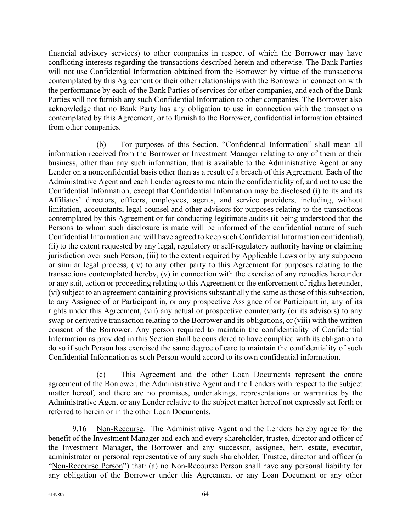financial advisory services) to other companies in respect of which the Borrower may have conflicting interests regarding the transactions described herein and otherwise. The Bank Parties will not use Confidential Information obtained from the Borrower by virtue of the transactions contemplated by this Agreement or their other relationships with the Borrower in connection with the performance by each of the Bank Parties of services for other companies, and each of the Bank Parties will not furnish any such Confidential Information to other companies. The Borrower also acknowledge that no Bank Party has any obligation to use in connection with the transactions contemplated by this Agreement, or to furnish to the Borrower, confidential information obtained from other companies.

(b) For purposes of this Section, "Confidential Information" shall mean all information received from the Borrower or Investment Manager relating to any of them or their business, other than any such information, that is available to the Administrative Agent or any Lender on a nonconfidential basis other than as a result of a breach of this Agreement. Each of the Administrative Agent and each Lender agrees to maintain the confidentiality of, and not to use the Confidential Information, except that Confidential Information may be disclosed (i) to its and its Affiliates' directors, officers, employees, agents, and service providers, including, without limitation, accountants, legal counsel and other advisors for purposes relating to the transactions contemplated by this Agreement or for conducting legitimate audits (it being understood that the Persons to whom such disclosure is made will be informed of the confidential nature of such Confidential Information and will have agreed to keep such Confidential Information confidential), (ii) to the extent requested by any legal, regulatory or self-regulatory authority having or claiming jurisdiction over such Person, (iii) to the extent required by Applicable Laws or by any subpoena or similar legal process, (iv) to any other party to this Agreement for purposes relating to the transactions contemplated hereby, (v) in connection with the exercise of any remedies hereunder or any suit, action or proceeding relating to this Agreement or the enforcement of rights hereunder, (vi) subject to an agreement containing provisions substantially the same as those of this subsection, to any Assignee of or Participant in, or any prospective Assignee of or Participant in, any of its rights under this Agreement, (vii) any actual or prospective counterparty (or its advisors) to any swap or derivative transaction relating to the Borrower and its obligations, or (viii) with the written consent of the Borrower. Any person required to maintain the confidentiality of Confidential Information as provided in this Section shall be considered to have complied with its obligation to do so if such Person has exercised the same degree of care to maintain the confidentiality of such Confidential Information as such Person would accord to its own confidential information.

(c) This Agreement and the other Loan Documents represent the entire agreement of the Borrower, the Administrative Agent and the Lenders with respect to the subject matter hereof, and there are no promises, undertakings, representations or warranties by the Administrative Agent or any Lender relative to the subject matter hereof not expressly set forth or referred to herein or in the other Loan Documents.

9.16 Non-Recourse. The Administrative Agent and the Lenders hereby agree for the benefit of the Investment Manager and each and every shareholder, trustee, director and officer of the Investment Manager, the Borrower and any successor, assignee, heir, estate, executor, administrator or personal representative of any such shareholder, Trustee, director and officer (a "Non-Recourse Person") that: (a) no Non-Recourse Person shall have any personal liability for any obligation of the Borrower under this Agreement or any Loan Document or any other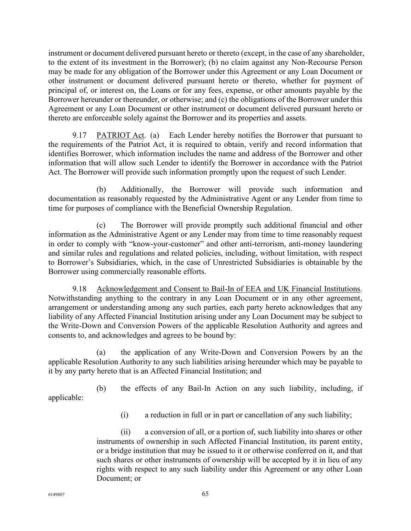instrument or document delivered pursuant hereto or thereto (except, in the case of any shareholder, to the extent of its investment in the Borrower); (b) no claim against any Non-Recourse Person may be made for any obligation of the Borrower under this Agreement or any Loan Document or other instrument or document delivered pursuant hereto or thereto, whether for payment of principal of, or interest on, the Loans or for any fees, expense, or other amounts payable by the Borrower hereunder or thereunder, or otherwise; and (c) the obligations of the Borrower under this Agreement or any Loan Document or other instrument or document delivered pursuant hereto or thereto are enforceable solely against the Borrower and its properties and assets.

9.17 PATRIOT Act. (a) Each Lender hereby notifies the Borrower that pursuant to the requirements of the Patriot Act, it is required to obtain, verify and record information that identifies Borrower, which information includes the name and address of the Borrower and other information that will allow such Lender to identify the Borrower in accordance with the Patriot Act. The Borrower will provide such information promptly upon the request of such Lender.

(b) Additionally, the Borrower will provide such information and documentation as reasonably requested by the Administrative Agent or any Lender from time to time for purposes of compliance with the Beneficial Ownership Regulation.

(c) The Borrower will provide promptly such additional financial and other information as the Administrative Agent or any Lender may from time to time reasonably request in order to comply with "know-your-customer" and other anti-terrorism, anti-money laundering and similar rules and regulations and related policies, including, without limitation, with respect to Borrower's Subsidiaries, which, in the case of Unrestricted Subsidiaries is obtainable by the Borrower using commercially reasonable efforts.

9.18 Acknowledgement and Consent to Bail-In of EEA and UK Financial Institutions. Notwithstanding anything to the contrary in any Loan Document or in any other agreement, arrangement or understanding among any such parties, each party hereto acknowledges that any liability of any Affected Financial Institution arising under any Loan Document may be subject to the Write-Down and Conversion Powers of the applicable Resolution Authority and agrees and consents to, and acknowledges and agrees to be bound by:

(a) the application of any Write-Down and Conversion Powers by an the applicable Resolution Authority to any such liabilities arising hereunder which may be payable to it by any party hereto that is an Affected Financial Institution; and

(b) the effects of any Bail-In Action on any such liability, including, if applicable:

(i) a reduction in full or in part or cancellation of any such liability;

(ii) a conversion of all, or a portion of, such liability into shares or other instruments of ownership in such Affected Financial Institution, its parent entity, or a bridge institution that may be issued to it or otherwise conferred on it, and that such shares or other instruments of ownership will be accepted by it in lieu of any rights with respect to any such liability under this Agreement or any other Loan Document; or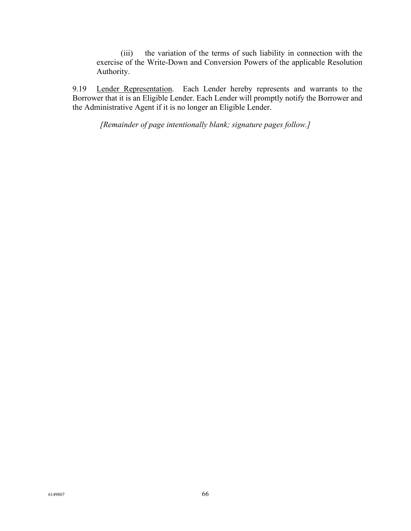(iii) the variation of the terms of such liability in connection with the exercise of the Write-Down and Conversion Powers of the applicable Resolution Authority.

9.19 Lender Representation. Each Lender hereby represents and warrants to the Borrower that it is an Eligible Lender. Each Lender will promptly notify the Borrower and the Administrative Agent if it is no longer an Eligible Lender.

*[Remainder of page intentionally blank; signature pages follow.]*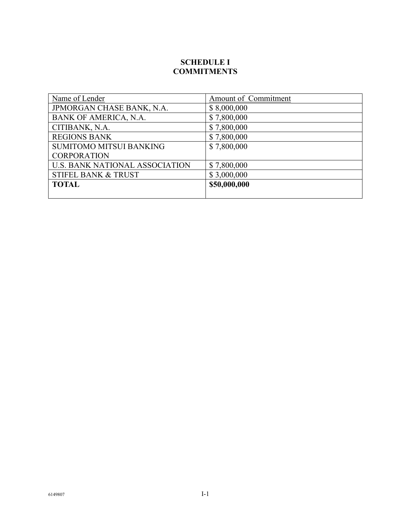# **SCHEDULE I COMMITMENTS**

| Name of Lender                        | Amount of Commitment |
|---------------------------------------|----------------------|
| JPMORGAN CHASE BANK, N.A.             | \$8,000,000          |
| BANK OF AMERICA, N.A.                 | \$7,800,000          |
| CITIBANK, N.A.                        | \$7,800,000          |
| <b>REGIONS BANK</b>                   | \$7,800,000          |
| <b>SUMITOMO MITSUI BANKING</b>        | \$7,800,000          |
| <b>CORPORATION</b>                    |                      |
| <b>U.S. BANK NATIONAL ASSOCIATION</b> | \$7,800,000          |
| <b>STIFEL BANK &amp; TRUST</b>        | \$3,000,000          |
| <b>TOTAL</b>                          | \$50,000,000         |
|                                       |                      |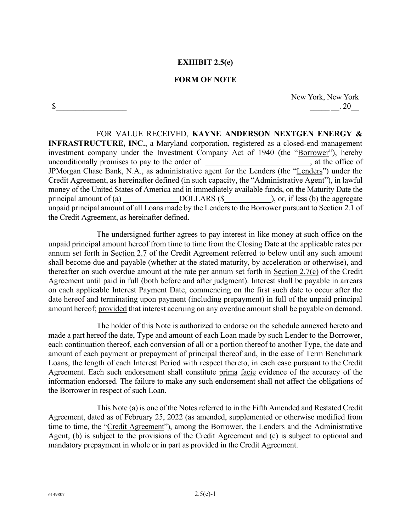#### **EXHIBIT 2.5(e)**

#### **FORM OF NOTE**

 $\mathbb{S}$ 

New York, New York  $.20$ 

FOR VALUE RECEIVED, **KAYNE ANDERSON NEXTGEN ENERGY & INFRASTRUCTURE, INC.**, a Maryland corporation, registered as a closed-end management investment company under the Investment Company Act of 1940 (the "Borrower"), hereby unconditionally promises to pay to the order of  $\blacksquare$ , at the office of JPMorgan Chase Bank, N.A., as administrative agent for the Lenders (the "Lenders") under the Credit Agreement, as hereinafter defined (in such capacity, the "Administrative Agent"), in lawful money of the United States of America and in immediately available funds, on the Maturity Date the principal amount of (a) DOLLARS (\$), or, if less (b) the aggregate unpaid principal amount of all Loans made by the Lenders to the Borrower pursuant to Section 2.1 of the Credit Agreement, as hereinafter defined.

The undersigned further agrees to pay interest in like money at such office on the unpaid principal amount hereof from time to time from the Closing Date at the applicable rates per annum set forth in Section 2.7 of the Credit Agreement referred to below until any such amount shall become due and payable (whether at the stated maturity, by acceleration or otherwise), and thereafter on such overdue amount at the rate per annum set forth in Section 2.7(c) of the Credit Agreement until paid in full (both before and after judgment). Interest shall be payable in arrears on each applicable Interest Payment Date, commencing on the first such date to occur after the date hereof and terminating upon payment (including prepayment) in full of the unpaid principal amount hereof; provided that interest accruing on any overdue amount shall be payable on demand.

The holder of this Note is authorized to endorse on the schedule annexed hereto and made a part hereof the date, Type and amount of each Loan made by such Lender to the Borrower, each continuation thereof, each conversion of all or a portion thereof to another Type, the date and amount of each payment or prepayment of principal thereof and, in the case of Term Benchmark Loans, the length of each Interest Period with respect thereto, in each case pursuant to the Credit Agreement. Each such endorsement shall constitute prima facie evidence of the accuracy of the information endorsed. The failure to make any such endorsement shall not affect the obligations of the Borrower in respect of such Loan.

This Note (a) is one of the Notes referred to in the Fifth Amended and Restated Credit Agreement, dated as of February 25, 2022 (as amended, supplemented or otherwise modified from time to time, the "Credit Agreement"), among the Borrower, the Lenders and the Administrative Agent, (b) is subject to the provisions of the Credit Agreement and (c) is subject to optional and mandatory prepayment in whole or in part as provided in the Credit Agreement.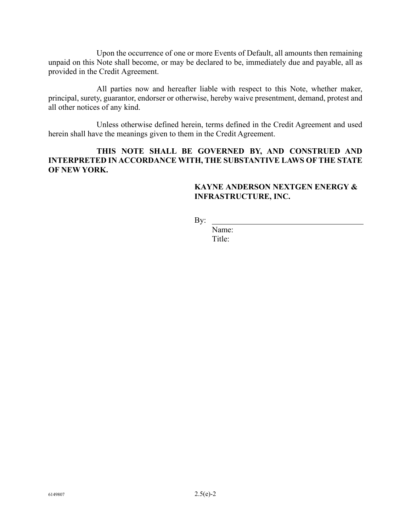Upon the occurrence of one or more Events of Default, all amounts then remaining unpaid on this Note shall become, or may be declared to be, immediately due and payable, all as provided in the Credit Agreement.

All parties now and hereafter liable with respect to this Note, whether maker, principal, surety, guarantor, endorser or otherwise, hereby waive presentment, demand, protest and all other notices of any kind.

Unless otherwise defined herein, terms defined in the Credit Agreement and used herein shall have the meanings given to them in the Credit Agreement.

**THIS NOTE SHALL BE GOVERNED BY, AND CONSTRUED AND INTERPRETED IN ACCORDANCE WITH, THE SUBSTANTIVE LAWS OF THE STATE OF NEW YORK.**

# **KAYNE ANDERSON NEXTGEN ENERGY & INFRASTRUCTURE, INC.**

By:

Name: Title: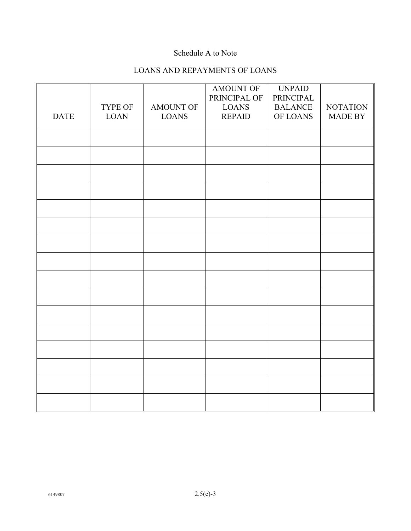# Schedule A to Note

# LOANS AND REPAYMENTS OF LOANS

| <b>DATE</b> | TYPE OF<br><b>LOAN</b> | <b>AMOUNT OF</b><br><b>LOANS</b> | <b>AMOUNT OF</b><br>PRINCIPAL OF<br><b>LOANS</b><br><b>REPAID</b> | <b>UNPAID</b><br><b>PRINCIPAL</b><br><b>BALANCE</b><br>OF LOANS | <b>NOTATION</b><br><b>MADE BY</b> |
|-------------|------------------------|----------------------------------|-------------------------------------------------------------------|-----------------------------------------------------------------|-----------------------------------|
|             |                        |                                  |                                                                   |                                                                 |                                   |
|             |                        |                                  |                                                                   |                                                                 |                                   |
|             |                        |                                  |                                                                   |                                                                 |                                   |
|             |                        |                                  |                                                                   |                                                                 |                                   |
|             |                        |                                  |                                                                   |                                                                 |                                   |
|             |                        |                                  |                                                                   |                                                                 |                                   |
|             |                        |                                  |                                                                   |                                                                 |                                   |
|             |                        |                                  |                                                                   |                                                                 |                                   |
|             |                        |                                  |                                                                   |                                                                 |                                   |
|             |                        |                                  |                                                                   |                                                                 |                                   |
|             |                        |                                  |                                                                   |                                                                 |                                   |
|             |                        |                                  |                                                                   |                                                                 |                                   |
|             |                        |                                  |                                                                   |                                                                 |                                   |
|             |                        |                                  |                                                                   |                                                                 |                                   |
|             |                        |                                  |                                                                   |                                                                 |                                   |
|             |                        |                                  |                                                                   |                                                                 |                                   |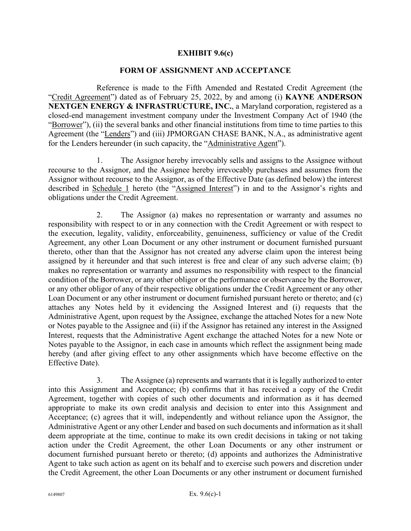### **EXHIBIT 9.6(c)**

#### **FORM OF ASSIGNMENT AND ACCEPTANCE**

Reference is made to the Fifth Amended and Restated Credit Agreement (the "Credit Agreement") dated as of February 25, 2022, by and among (i) **KAYNE ANDERSON NEXTGEN ENERGY & INFRASTRUCTURE, INC.**, a Maryland corporation, registered as a closed-end management investment company under the Investment Company Act of 1940 (the "Borrower"), (ii) the several banks and other financial institutions from time to time parties to this Agreement (the "Lenders") and (iii) JPMORGAN CHASE BANK, N.A., as administrative agent for the Lenders hereunder (in such capacity, the "Administrative Agent").

1. The Assignor hereby irrevocably sells and assigns to the Assignee without recourse to the Assignor, and the Assignee hereby irrevocably purchases and assumes from the Assignor without recourse to the Assignor, as of the Effective Date (as defined below) the interest described in Schedule 1 hereto (the "Assigned Interest") in and to the Assignor's rights and obligations under the Credit Agreement.

2. The Assignor (a) makes no representation or warranty and assumes no responsibility with respect to or in any connection with the Credit Agreement or with respect to the execution, legality, validity, enforceability, genuineness, sufficiency or value of the Credit Agreement, any other Loan Document or any other instrument or document furnished pursuant thereto, other than that the Assignor has not created any adverse claim upon the interest being assigned by it hereunder and that such interest is free and clear of any such adverse claim; (b) makes no representation or warranty and assumes no responsibility with respect to the financial condition of the Borrower, or any other obligor or the performance or observance by the Borrower, or any other obligor of any of their respective obligations under the Credit Agreement or any other Loan Document or any other instrument or document furnished pursuant hereto or thereto; and (c) attaches any Notes held by it evidencing the Assigned Interest and (i) requests that the Administrative Agent, upon request by the Assignee, exchange the attached Notes for a new Note or Notes payable to the Assignee and (ii) if the Assignor has retained any interest in the Assigned Interest, requests that the Administrative Agent exchange the attached Notes for a new Note or Notes payable to the Assignor, in each case in amounts which reflect the assignment being made hereby (and after giving effect to any other assignments which have become effective on the Effective Date).

3. The Assignee (a) represents and warrants that it is legally authorized to enter into this Assignment and Acceptance; (b) confirms that it has received a copy of the Credit Agreement, together with copies of such other documents and information as it has deemed appropriate to make its own credit analysis and decision to enter into this Assignment and Acceptance; (c) agrees that it will, independently and without reliance upon the Assignor, the Administrative Agent or any other Lender and based on such documents and information as it shall deem appropriate at the time, continue to make its own credit decisions in taking or not taking action under the Credit Agreement, the other Loan Documents or any other instrument or document furnished pursuant hereto or thereto; (d) appoints and authorizes the Administrative Agent to take such action as agent on its behalf and to exercise such powers and discretion under the Credit Agreement, the other Loan Documents or any other instrument or document furnished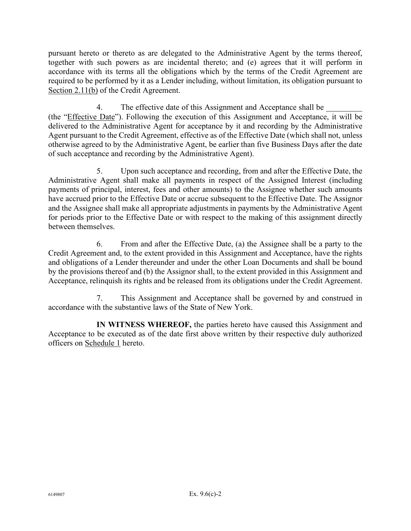pursuant hereto or thereto as are delegated to the Administrative Agent by the terms thereof, together with such powers as are incidental thereto; and (e) agrees that it will perform in accordance with its terms all the obligations which by the terms of the Credit Agreement are required to be performed by it as a Lender including, without limitation, its obligation pursuant to Section 2.11(b) of the Credit Agreement.

4. The effective date of this Assignment and Acceptance shall be (the "Effective Date"). Following the execution of this Assignment and Acceptance, it will be delivered to the Administrative Agent for acceptance by it and recording by the Administrative Agent pursuant to the Credit Agreement, effective as of the Effective Date (which shall not, unless otherwise agreed to by the Administrative Agent, be earlier than five Business Days after the date of such acceptance and recording by the Administrative Agent).

5. Upon such acceptance and recording, from and after the Effective Date, the Administrative Agent shall make all payments in respect of the Assigned Interest (including payments of principal, interest, fees and other amounts) to the Assignee whether such amounts have accrued prior to the Effective Date or accrue subsequent to the Effective Date. The Assignor and the Assignee shall make all appropriate adjustments in payments by the Administrative Agent for periods prior to the Effective Date or with respect to the making of this assignment directly between themselves.

6. From and after the Effective Date, (a) the Assignee shall be a party to the Credit Agreement and, to the extent provided in this Assignment and Acceptance, have the rights and obligations of a Lender thereunder and under the other Loan Documents and shall be bound by the provisions thereof and (b) the Assignor shall, to the extent provided in this Assignment and Acceptance, relinquish its rights and be released from its obligations under the Credit Agreement.

7. This Assignment and Acceptance shall be governed by and construed in accordance with the substantive laws of the State of New York.

**IN WITNESS WHEREOF,** the parties hereto have caused this Assignment and Acceptance to be executed as of the date first above written by their respective duly authorized officers on Schedule 1 hereto.